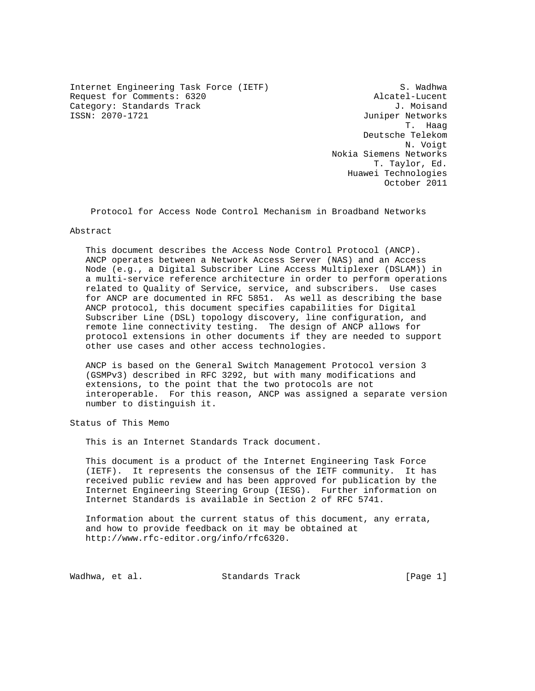Internet Engineering Task Force (IETF) S. Wadhwa Request for Comments: 6320 Alcatel-Lucent Category: Standards Track J. Moisand<br>
ISSN: 2070-1721<br>
Juniper Networks

Juniper Networks T. Haag Deutsche Telekom N. Voigt Nokia Siemens Networks T. Taylor, Ed. Huawei Technologies October 2011

Protocol for Access Node Control Mechanism in Broadband Networks

## Abstract

 This document describes the Access Node Control Protocol (ANCP). ANCP operates between a Network Access Server (NAS) and an Access Node (e.g., a Digital Subscriber Line Access Multiplexer (DSLAM)) in a multi-service reference architecture in order to perform operations related to Quality of Service, service, and subscribers. Use cases for ANCP are documented in RFC 5851. As well as describing the base ANCP protocol, this document specifies capabilities for Digital Subscriber Line (DSL) topology discovery, line configuration, and remote line connectivity testing. The design of ANCP allows for protocol extensions in other documents if they are needed to support other use cases and other access technologies.

 ANCP is based on the General Switch Management Protocol version 3 (GSMPv3) described in RFC 3292, but with many modifications and extensions, to the point that the two protocols are not interoperable. For this reason, ANCP was assigned a separate version number to distinguish it.

Status of This Memo

This is an Internet Standards Track document.

 This document is a product of the Internet Engineering Task Force (IETF). It represents the consensus of the IETF community. It has received public review and has been approved for publication by the Internet Engineering Steering Group (IESG). Further information on Internet Standards is available in Section 2 of RFC 5741.

 Information about the current status of this document, any errata, and how to provide feedback on it may be obtained at http://www.rfc-editor.org/info/rfc6320.

Wadhwa, et al. Standards Track [Page 1]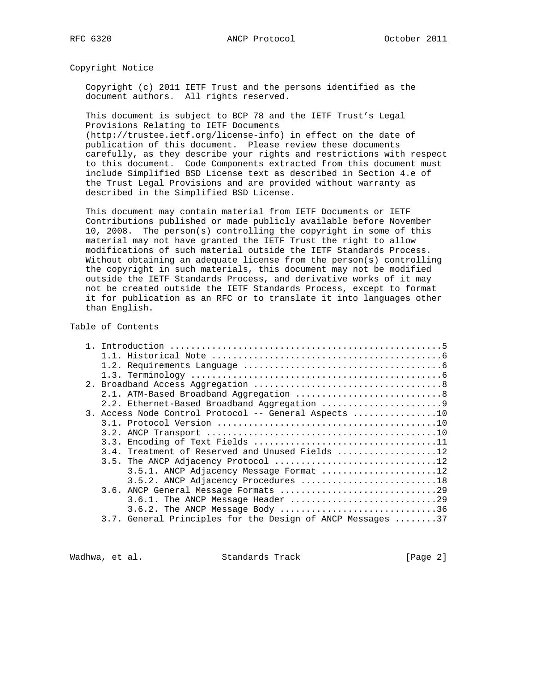Copyright Notice

 Copyright (c) 2011 IETF Trust and the persons identified as the document authors. All rights reserved.

 This document is subject to BCP 78 and the IETF Trust's Legal Provisions Relating to IETF Documents

 (http://trustee.ietf.org/license-info) in effect on the date of publication of this document. Please review these documents carefully, as they describe your rights and restrictions with respect to this document. Code Components extracted from this document must include Simplified BSD License text as described in Section 4.e of the Trust Legal Provisions and are provided without warranty as described in the Simplified BSD License.

 This document may contain material from IETF Documents or IETF Contributions published or made publicly available before November 10, 2008. The person(s) controlling the copyright in some of this material may not have granted the IETF Trust the right to allow modifications of such material outside the IETF Standards Process. Without obtaining an adequate license from the person(s) controlling the copyright in such materials, this document may not be modified outside the IETF Standards Process, and derivative works of it may not be created outside the IETF Standards Process, except to format it for publication as an RFC or to translate it into languages other than English.

# Table of Contents

|  | 3. Access Node Control Protocol -- General Aspects 10      |
|--|------------------------------------------------------------|
|  |                                                            |
|  |                                                            |
|  |                                                            |
|  | 3.4. Treatment of Reserved and Unused Fields 12            |
|  |                                                            |
|  | 3.5.1. ANCP Adjacency Message Format 12                    |
|  | 3.5.2. ANCP Adjacency Procedures 18                        |
|  |                                                            |
|  |                                                            |
|  | $3.6.2$ . The ANCP Message Body 36                         |
|  | 3.7. General Principles for the Design of ANCP Messages 37 |
|  |                                                            |

Wadhwa, et al. Standards Track [Page 2]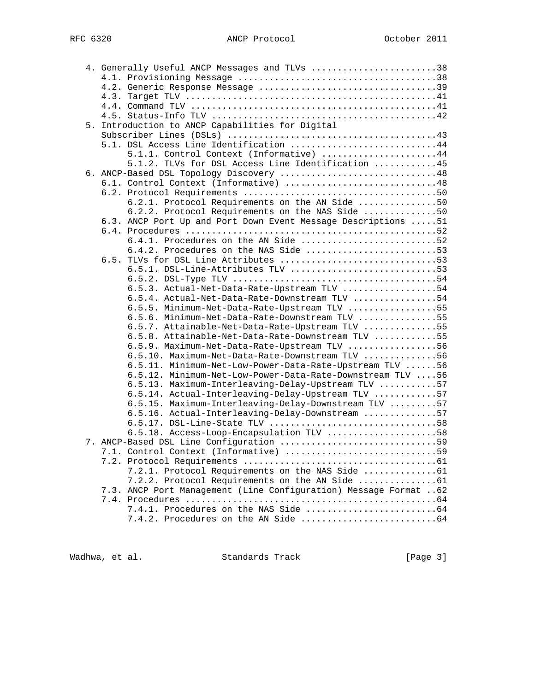| 4. Generally Useful ANCP Messages and TLVs 38                     |  |
|-------------------------------------------------------------------|--|
|                                                                   |  |
|                                                                   |  |
|                                                                   |  |
|                                                                   |  |
|                                                                   |  |
| 5. Introduction to ANCP Capabilities for Digital                  |  |
|                                                                   |  |
| 5.1. DSL Access Line Identification 44                            |  |
| 5.1.1. Control Context (Informative) 44                           |  |
| 5.1.2. TLVs for DSL Access Line Identification 45                 |  |
| 6. ANCP-Based DSL Topology Discovery 48                           |  |
| 6.1. Control Context (Informative) 48                             |  |
|                                                                   |  |
|                                                                   |  |
| 6.2.1. Protocol Requirements on the AN Side 50                    |  |
| 6.2.2. Protocol Requirements on the NAS Side 50                   |  |
| 6.3. ANCP Port Up and Port Down Event Message Descriptions  51    |  |
|                                                                   |  |
| 6.4.1. Procedures on the AN Side 52                               |  |
| 6.4.2. Procedures on the NAS Side 53                              |  |
| 6.5. TLVs for DSL Line Attributes 53                              |  |
| 6.5.1. DSL-Line-Attributes TLV 53                                 |  |
|                                                                   |  |
| 6.5.3. Actual-Net-Data-Rate-Upstream TLV 54                       |  |
| 6.5.4. Actual-Net-Data-Rate-Downstream TLV 54                     |  |
| 6.5.5. Minimum-Net-Data-Rate-Upstream TLV 55                      |  |
| 6.5.6. Minimum-Net-Data-Rate-Downstream TLV 55                    |  |
| 6.5.7. Attainable-Net-Data-Rate-Upstream TLV 55                   |  |
| 6.5.8. Attainable-Net-Data-Rate-Downstream TLV 55                 |  |
| 6.5.9. Maximum-Net-Data-Rate-Upstream TLV 56                      |  |
| 6.5.10. Maximum-Net-Data-Rate-Downstream TLV 56                   |  |
| 6.5.11. Minimum-Net-Low-Power-Data-Rate-Upstream TLV 56           |  |
| 6.5.12. Minimum-Net-Low-Power-Data-Rate-Downstream TLV 56         |  |
| 6.5.13. Maximum-Interleaving-Delay-Upstream TLV 57                |  |
| 6.5.14. Actual-Interleaving-Delay-Upstream TLV 57                 |  |
| 6.5.15. Maximum-Interleaving-Delay-Downstream TLV 57              |  |
| 6.5.16. Actual-Interleaving-Delay-Downstream 57                   |  |
| $6.5.17.$ DSL-Line-State TLV 58                                   |  |
| 6.5.18. Access-Loop-Encapsulation TLV 58                          |  |
| 7. ANCP-Based DSL Line Configuration 59                           |  |
| 7.1. Control Context (Informative) 59                             |  |
|                                                                   |  |
| 7.2.1. Protocol Requirements on the NAS Side  61                  |  |
|                                                                   |  |
|                                                                   |  |
| 7.3. ANCP Port Management (Line Configuration) Message Format  62 |  |
|                                                                   |  |
|                                                                   |  |
|                                                                   |  |

Wadhwa, et al. Standards Track [Page 3]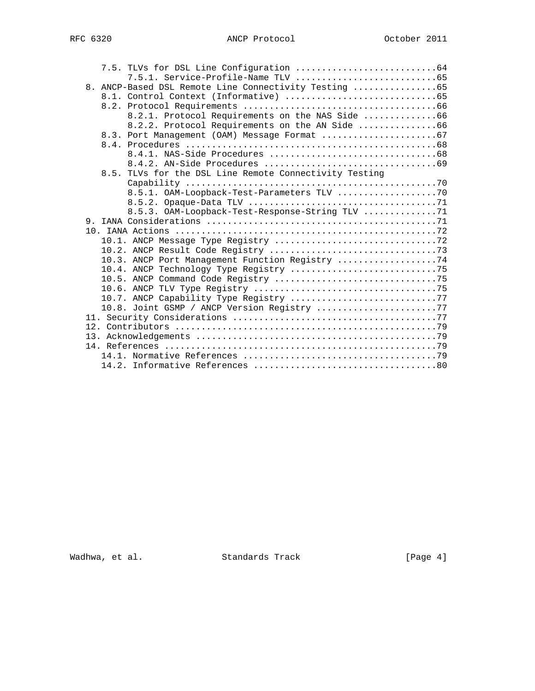# RFC 6320 ANCP Protocol October 2011

|  | 8. ANCP-Based DSL Remote Line Connectivity Testing 65  |  |
|--|--------------------------------------------------------|--|
|  |                                                        |  |
|  |                                                        |  |
|  | 8.2.1. Protocol Requirements on the NAS Side 66        |  |
|  | 8.2.2. Protocol Requirements on the AN Side 66         |  |
|  |                                                        |  |
|  |                                                        |  |
|  |                                                        |  |
|  |                                                        |  |
|  | 8.5. TLVs for the DSL Line Remote Connectivity Testing |  |
|  |                                                        |  |
|  |                                                        |  |
|  |                                                        |  |
|  | 8.5.3. OAM-Loopback-Test-Response-String TLV 71        |  |
|  |                                                        |  |
|  |                                                        |  |
|  |                                                        |  |
|  |                                                        |  |
|  | 10.3. ANCP Port Management Function Registry 74        |  |
|  |                                                        |  |
|  |                                                        |  |
|  |                                                        |  |
|  |                                                        |  |
|  | 10.8. Joint GSMP / ANCP Version Registry 77            |  |
|  |                                                        |  |
|  |                                                        |  |
|  |                                                        |  |
|  |                                                        |  |
|  |                                                        |  |
|  |                                                        |  |

Wadhwa, et al. Standards Track [Page 4]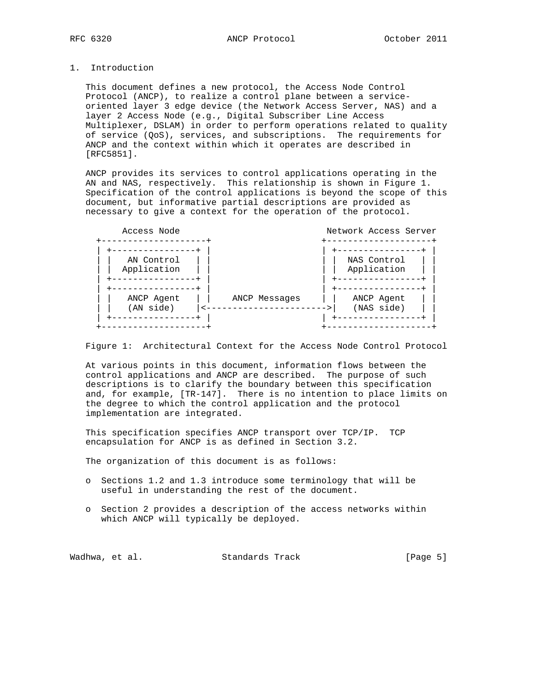# 1. Introduction

 This document defines a new protocol, the Access Node Control Protocol (ANCP), to realize a control plane between a service oriented layer 3 edge device (the Network Access Server, NAS) and a layer 2 Access Node (e.g., Digital Subscriber Line Access Multiplexer, DSLAM) in order to perform operations related to quality of service (QoS), services, and subscriptions. The requirements for ANCP and the context within which it operates are described in [RFC5851].

 ANCP provides its services to control applications operating in the AN and NAS, respectively. This relationship is shown in Figure 1. Specification of the control applications is beyond the scope of this document, but informative partial descriptions are provided as necessary to give a context for the operation of the protocol.



Figure 1: Architectural Context for the Access Node Control Protocol

 At various points in this document, information flows between the control applications and ANCP are described. The purpose of such descriptions is to clarify the boundary between this specification and, for example, [TR-147]. There is no intention to place limits on the degree to which the control application and the protocol implementation are integrated.

 This specification specifies ANCP transport over TCP/IP. TCP encapsulation for ANCP is as defined in Section 3.2.

The organization of this document is as follows:

- o Sections 1.2 and 1.3 introduce some terminology that will be useful in understanding the rest of the document.
- o Section 2 provides a description of the access networks within which ANCP will typically be deployed.

| [Page 5]<br>Wadhwa, et al.<br>Standards Track |
|-----------------------------------------------|
|                                               |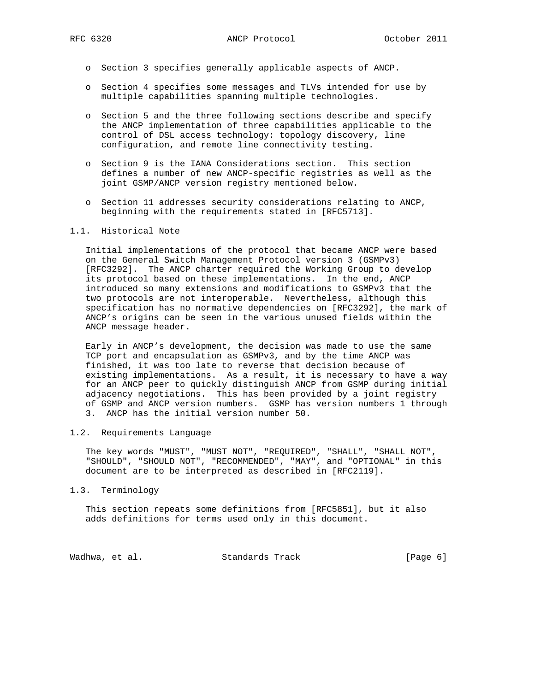- o Section 3 specifies generally applicable aspects of ANCP.
- o Section 4 specifies some messages and TLVs intended for use by multiple capabilities spanning multiple technologies.
- o Section 5 and the three following sections describe and specify the ANCP implementation of three capabilities applicable to the control of DSL access technology: topology discovery, line configuration, and remote line connectivity testing.
- o Section 9 is the IANA Considerations section. This section defines a number of new ANCP-specific registries as well as the joint GSMP/ANCP version registry mentioned below.
- o Section 11 addresses security considerations relating to ANCP, beginning with the requirements stated in [RFC5713].

#### 1.1. Historical Note

 Initial implementations of the protocol that became ANCP were based on the General Switch Management Protocol version 3 (GSMPv3) [RFC3292]. The ANCP charter required the Working Group to develop its protocol based on these implementations. In the end, ANCP introduced so many extensions and modifications to GSMPv3 that the two protocols are not interoperable. Nevertheless, although this specification has no normative dependencies on [RFC3292], the mark of ANCP's origins can be seen in the various unused fields within the ANCP message header.

 Early in ANCP's development, the decision was made to use the same TCP port and encapsulation as GSMPv3, and by the time ANCP was finished, it was too late to reverse that decision because of existing implementations. As a result, it is necessary to have a way for an ANCP peer to quickly distinguish ANCP from GSMP during initial adjacency negotiations. This has been provided by a joint registry of GSMP and ANCP version numbers. GSMP has version numbers 1 through 3. ANCP has the initial version number 50.

# 1.2. Requirements Language

 The key words "MUST", "MUST NOT", "REQUIRED", "SHALL", "SHALL NOT", "SHOULD", "SHOULD NOT", "RECOMMENDED", "MAY", and "OPTIONAL" in this document are to be interpreted as described in [RFC2119].

#### 1.3. Terminology

 This section repeats some definitions from [RFC5851], but it also adds definitions for terms used only in this document.

Wadhwa, et al. Standards Track [Page 6]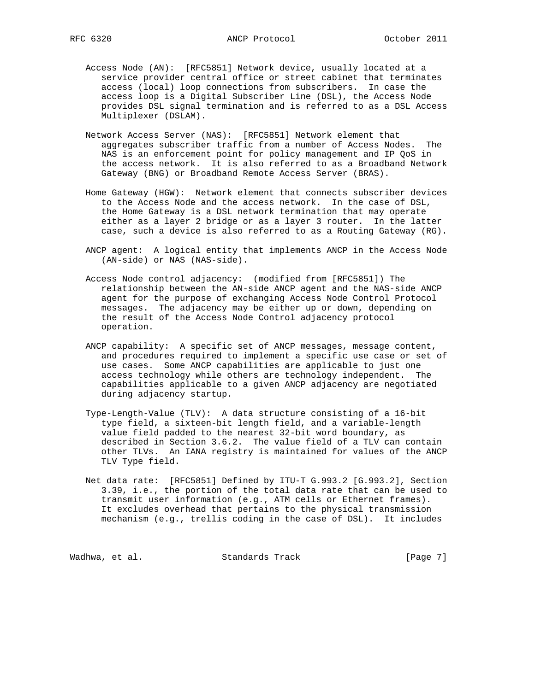- Access Node (AN): [RFC5851] Network device, usually located at a service provider central office or street cabinet that terminates access (local) loop connections from subscribers. In case the access loop is a Digital Subscriber Line (DSL), the Access Node provides DSL signal termination and is referred to as a DSL Access Multiplexer (DSLAM).
- Network Access Server (NAS): [RFC5851] Network element that aggregates subscriber traffic from a number of Access Nodes. The NAS is an enforcement point for policy management and IP QoS in the access network. It is also referred to as a Broadband Network Gateway (BNG) or Broadband Remote Access Server (BRAS).
- Home Gateway (HGW): Network element that connects subscriber devices to the Access Node and the access network. In the case of DSL, the Home Gateway is a DSL network termination that may operate either as a layer 2 bridge or as a layer 3 router. In the latter case, such a device is also referred to as a Routing Gateway (RG).
- ANCP agent: A logical entity that implements ANCP in the Access Node (AN-side) or NAS (NAS-side).
- Access Node control adjacency: (modified from [RFC5851]) The relationship between the AN-side ANCP agent and the NAS-side ANCP agent for the purpose of exchanging Access Node Control Protocol messages. The adjacency may be either up or down, depending on the result of the Access Node Control adjacency protocol operation.
- ANCP capability: A specific set of ANCP messages, message content, and procedures required to implement a specific use case or set of use cases. Some ANCP capabilities are applicable to just one access technology while others are technology independent. The capabilities applicable to a given ANCP adjacency are negotiated during adjacency startup.
- Type-Length-Value (TLV): A data structure consisting of a 16-bit type field, a sixteen-bit length field, and a variable-length value field padded to the nearest 32-bit word boundary, as described in Section 3.6.2. The value field of a TLV can contain other TLVs. An IANA registry is maintained for values of the ANCP TLV Type field.
- Net data rate: [RFC5851] Defined by ITU-T G.993.2 [G.993.2], Section 3.39, i.e., the portion of the total data rate that can be used to transmit user information (e.g., ATM cells or Ethernet frames). It excludes overhead that pertains to the physical transmission mechanism (e.g., trellis coding in the case of DSL). It includes

Wadhwa, et al. Standards Track [Page 7]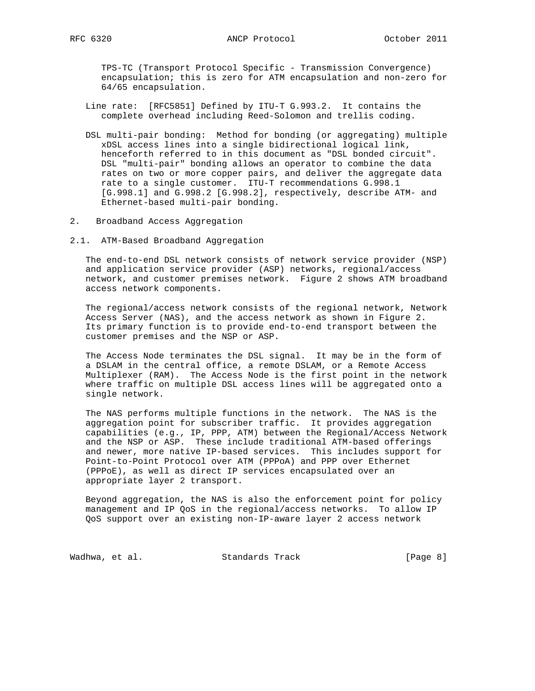TPS-TC (Transport Protocol Specific - Transmission Convergence) encapsulation; this is zero for ATM encapsulation and non-zero for 64/65 encapsulation.

- Line rate: [RFC5851] Defined by ITU-T G.993.2. It contains the complete overhead including Reed-Solomon and trellis coding.
- DSL multi-pair bonding: Method for bonding (or aggregating) multiple xDSL access lines into a single bidirectional logical link, henceforth referred to in this document as "DSL bonded circuit". DSL "multi-pair" bonding allows an operator to combine the data rates on two or more copper pairs, and deliver the aggregate data rate to a single customer. ITU-T recommendations G.998.1 [G.998.1] and G.998.2 [G.998.2], respectively, describe ATM- and Ethernet-based multi-pair bonding.
- 2. Broadband Access Aggregation
- 2.1. ATM-Based Broadband Aggregation

 The end-to-end DSL network consists of network service provider (NSP) and application service provider (ASP) networks, regional/access network, and customer premises network. Figure 2 shows ATM broadband access network components.

 The regional/access network consists of the regional network, Network Access Server (NAS), and the access network as shown in Figure 2. Its primary function is to provide end-to-end transport between the customer premises and the NSP or ASP.

 The Access Node terminates the DSL signal. It may be in the form of a DSLAM in the central office, a remote DSLAM, or a Remote Access Multiplexer (RAM). The Access Node is the first point in the network where traffic on multiple DSL access lines will be aggregated onto a single network.

 The NAS performs multiple functions in the network. The NAS is the aggregation point for subscriber traffic. It provides aggregation capabilities (e.g., IP, PPP, ATM) between the Regional/Access Network and the NSP or ASP. These include traditional ATM-based offerings and newer, more native IP-based services. This includes support for Point-to-Point Protocol over ATM (PPPoA) and PPP over Ethernet (PPPoE), as well as direct IP services encapsulated over an appropriate layer 2 transport.

 Beyond aggregation, the NAS is also the enforcement point for policy management and IP QoS in the regional/access networks. To allow IP QoS support over an existing non-IP-aware layer 2 access network

Wadhwa, et al. Standards Track [Page 8]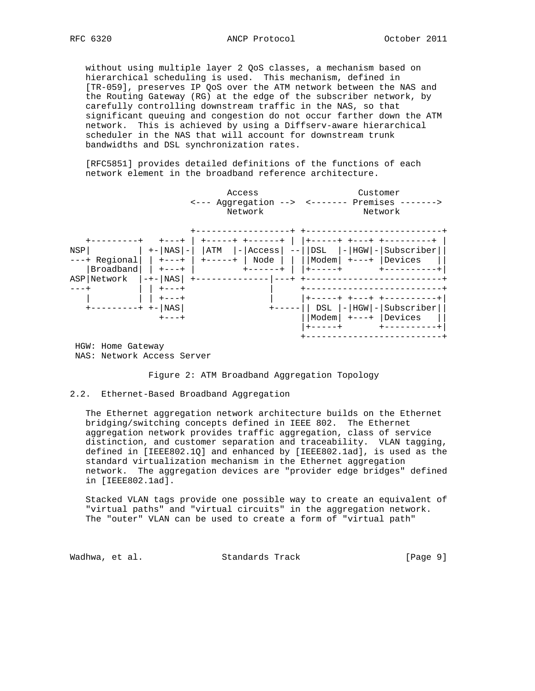without using multiple layer 2 QoS classes, a mechanism based on hierarchical scheduling is used. This mechanism, defined in [TR-059], preserves IP QoS over the ATM network between the NAS and the Routing Gateway (RG) at the edge of the subscriber network, by carefully controlling downstream traffic in the NAS, so that significant queuing and congestion do not occur farther down the ATM network. This is achieved by using a Diffserv-aware hierarchical scheduler in the NAS that will account for downstream trunk bandwidths and DSL synchronization rates.

 [RFC5851] provides detailed definitions of the functions of each network element in the broadband reference architecture.



NAS: Network Access Server

Figure 2: ATM Broadband Aggregation Topology

# 2.2. Ethernet-Based Broadband Aggregation

 The Ethernet aggregation network architecture builds on the Ethernet bridging/switching concepts defined in IEEE 802. The Ethernet aggregation network provides traffic aggregation, class of service distinction, and customer separation and traceability. VLAN tagging, defined in [IEEE802.1Q] and enhanced by [IEEE802.1ad], is used as the standard virtualization mechanism in the Ethernet aggregation network. The aggregation devices are "provider edge bridges" defined in [IEEE802.1ad].

 Stacked VLAN tags provide one possible way to create an equivalent of "virtual paths" and "virtual circuits" in the aggregation network. The "outer" VLAN can be used to create a form of "virtual path"

Wadhwa, et al. Standards Track [Page 9]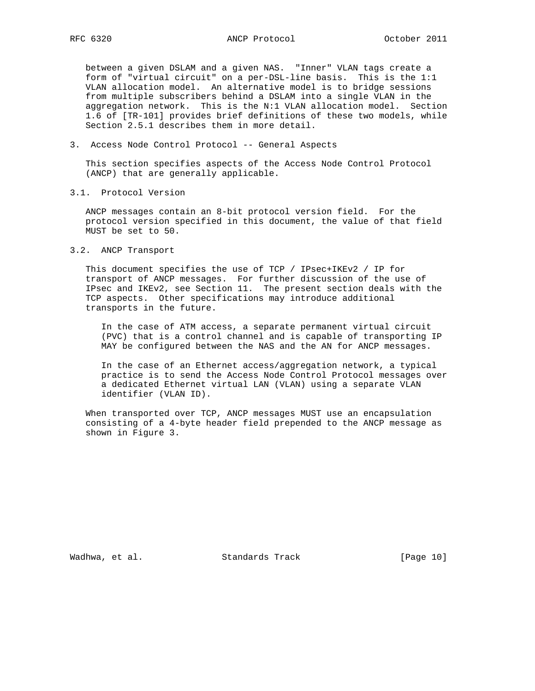between a given DSLAM and a given NAS. "Inner" VLAN tags create a form of "virtual circuit" on a per-DSL-line basis. This is the 1:1 VLAN allocation model. An alternative model is to bridge sessions from multiple subscribers behind a DSLAM into a single VLAN in the aggregation network. This is the N:1 VLAN allocation model. Section 1.6 of [TR-101] provides brief definitions of these two models, while Section 2.5.1 describes them in more detail.

3. Access Node Control Protocol -- General Aspects

 This section specifies aspects of the Access Node Control Protocol (ANCP) that are generally applicable.

3.1. Protocol Version

 ANCP messages contain an 8-bit protocol version field. For the protocol version specified in this document, the value of that field MUST be set to 50.

3.2. ANCP Transport

 This document specifies the use of TCP / IPsec+IKEv2 / IP for transport of ANCP messages. For further discussion of the use of IPsec and IKEv2, see Section 11. The present section deals with the TCP aspects. Other specifications may introduce additional transports in the future.

 In the case of ATM access, a separate permanent virtual circuit (PVC) that is a control channel and is capable of transporting IP MAY be configured between the NAS and the AN for ANCP messages.

 In the case of an Ethernet access/aggregation network, a typical practice is to send the Access Node Control Protocol messages over a dedicated Ethernet virtual LAN (VLAN) using a separate VLAN identifier (VLAN ID).

 When transported over TCP, ANCP messages MUST use an encapsulation consisting of a 4-byte header field prepended to the ANCP message as shown in Figure 3.

Wadhwa, et al. Standards Track [Page 10]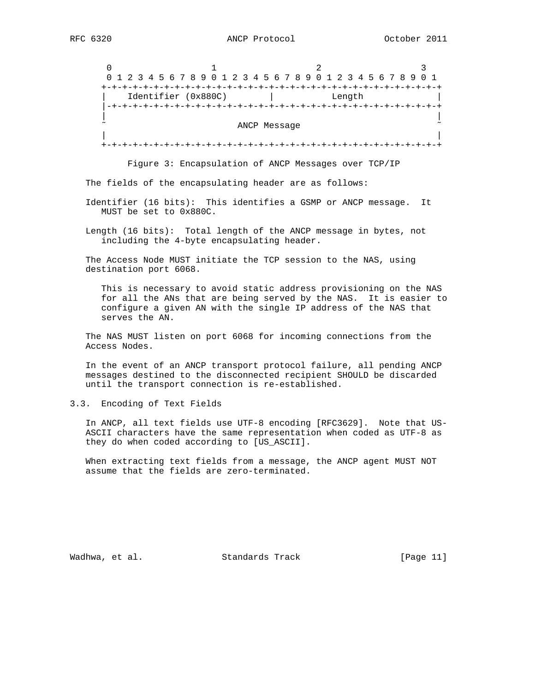$0$  1 2 3 0 1 2 3 4 5 6 7 8 9 0 1 2 3 4 5 6 7 8 9 0 1 2 3 4 5 6 7 8 9 0 1 +-+-+-+-+-+-+-+-+-+-+-+-+-+-+-+-+-+-+-+-+-+-+-+-+-+-+-+-+-+-+-+-+ Identifier (0x880C) | Length |-+-+-+-+-+-+-+-+-+-+-+-+-+-+-+-+-+-+-+-+-+-+-+-+-+-+-+-+-+-+-+-+ | | ANCP Message | | +-+-+-+-+-+-+-+-+-+-+-+-+-+-+-+-+-+-+-+-+-+-+-+-+-+-+-+-+-+-+-+-+

Figure 3: Encapsulation of ANCP Messages over TCP/IP

The fields of the encapsulating header are as follows:

 Identifier (16 bits): This identifies a GSMP or ANCP message. It MUST be set to 0x880C.

 Length (16 bits): Total length of the ANCP message in bytes, not including the 4-byte encapsulating header.

 The Access Node MUST initiate the TCP session to the NAS, using destination port 6068.

 This is necessary to avoid static address provisioning on the NAS for all the ANs that are being served by the NAS. It is easier to configure a given AN with the single IP address of the NAS that serves the AN.

 The NAS MUST listen on port 6068 for incoming connections from the Access Nodes.

 In the event of an ANCP transport protocol failure, all pending ANCP messages destined to the disconnected recipient SHOULD be discarded until the transport connection is re-established.

3.3. Encoding of Text Fields

 In ANCP, all text fields use UTF-8 encoding [RFC3629]. Note that US- ASCII characters have the same representation when coded as UTF-8 as they do when coded according to [US\_ASCII].

 When extracting text fields from a message, the ANCP agent MUST NOT assume that the fields are zero-terminated.

Wadhwa, et al. Standards Track [Page 11]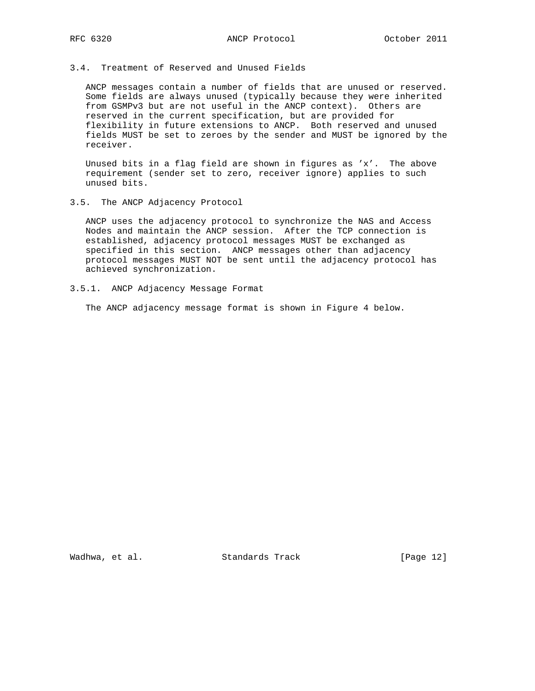3.4. Treatment of Reserved and Unused Fields

 ANCP messages contain a number of fields that are unused or reserved. Some fields are always unused (typically because they were inherited from GSMPv3 but are not useful in the ANCP context). Others are reserved in the current specification, but are provided for flexibility in future extensions to ANCP. Both reserved and unused fields MUST be set to zeroes by the sender and MUST be ignored by the receiver.

 Unused bits in a flag field are shown in figures as 'x'. The above requirement (sender set to zero, receiver ignore) applies to such unused bits.

3.5. The ANCP Adjacency Protocol

 ANCP uses the adjacency protocol to synchronize the NAS and Access Nodes and maintain the ANCP session. After the TCP connection is established, adjacency protocol messages MUST be exchanged as specified in this section. ANCP messages other than adjacency protocol messages MUST NOT be sent until the adjacency protocol has achieved synchronization.

3.5.1. ANCP Adjacency Message Format

The ANCP adjacency message format is shown in Figure 4 below.

Wadhwa, et al. Standards Track [Page 12]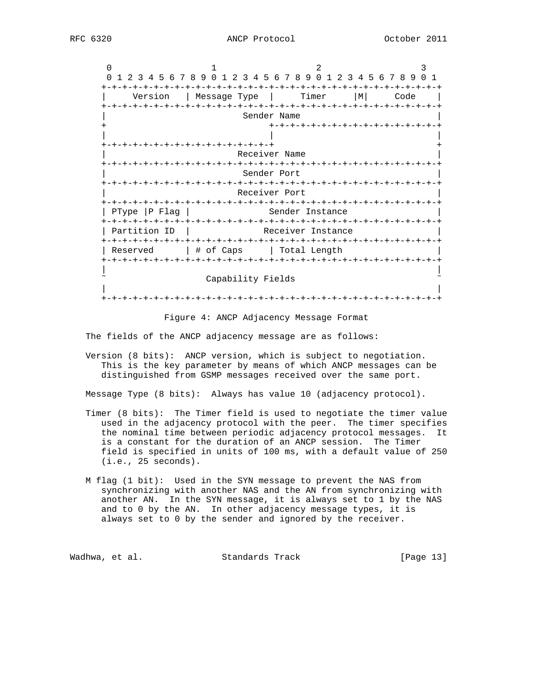$0$  1 2 3 0 1 2 3 4 5 6 7 8 9 0 1 2 3 4 5 6 7 8 9 0 1 2 3 4 5 6 7 8 9 0 1 +-+-+-+-+-+-+-+-+-+-+-+-+-+-+-+-+-+-+-+-+-+-+-+-+-+-+-+-+-+-+-+-+ | Version | Message Type | Timer |M| Code | +-+-+-+-+-+-+-+-+-+-+-+-+-+-+-+-+-+-+-+-+-+-+-+-+-+-+-+-+-+-+-+-+ Sender Name + +-+-+-+-+-+-+-+-+-+-+-+-+-+-+-+-+ | | | +-+-+-+-+-+-+-+-+-+-+-+-+-+-+-+-+ + Receiver Name +-+-+-+-+-+-+-+-+-+-+-+-+-+-+-+-+-+-+-+-+-+-+-+-+-+-+-+-+-+-+-+-+ Sender Port +-+-+-+-+-+-+-+-+-+-+-+-+-+-+-+-+-+-+-+-+-+-+-+-+-+-+-+-+-+-+-+-+ Receiver Port +-+-+-+-+-+-+-+-+-+-+-+-+-+-+-+-+-+-+-+-+-+-+-+-+-+-+-+-+-+-+-+-+  $|$  PType  $|$  P Flag  $|$  +-+-+-+-+-+-+-+-+-+-+-+-+-+-+-+-+-+-+-+-+-+-+-+-+-+-+-+-+-+-+-+-+ | Partition ID | Receiver Instance +-+-+-+-+-+-+-+-+-+-+-+-+-+-+-+-+-+-+-+-+-+-+-+-+-+-+-+-+-+-+-+-+ | Reserved | # of Caps | Total Length +-+-+-+-+-+-+-+-+-+-+-+-+-+-+-+-+-+-+-+-+-+-+-+-+-+-+-+-+-+-+-+-+ | | Capability Fields | | +-+-+-+-+-+-+-+-+-+-+-+-+-+-+-+-+-+-+-+-+-+-+-+-+-+-+-+-+-+-+-+-+

Figure 4: ANCP Adjacency Message Format

The fields of the ANCP adjacency message are as follows:

 Version (8 bits): ANCP version, which is subject to negotiation. This is the key parameter by means of which ANCP messages can be distinguished from GSMP messages received over the same port.

Message Type (8 bits): Always has value 10 (adjacency protocol).

- Timer (8 bits): The Timer field is used to negotiate the timer value used in the adjacency protocol with the peer. The timer specifies the nominal time between periodic adjacency protocol messages. It is a constant for the duration of an ANCP session. The Timer field is specified in units of 100 ms, with a default value of 250 (i.e., 25 seconds).
- M flag (1 bit): Used in the SYN message to prevent the NAS from synchronizing with another NAS and the AN from synchronizing with another AN. In the SYN message, it is always set to 1 by the NAS and to 0 by the AN. In other adjacency message types, it is always set to 0 by the sender and ignored by the receiver.

Wadhwa, et al. Standards Track [Page 13]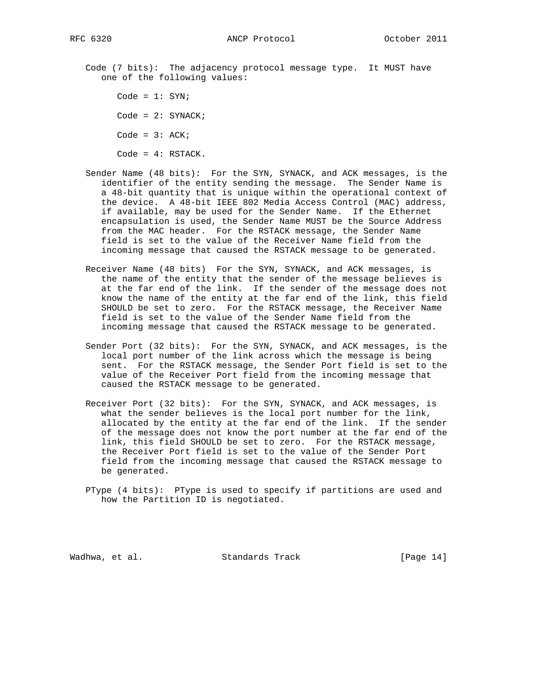Code (7 bits): The adjacency protocol message type. It MUST have one of the following values:

 $Code = 1: SYN;$  $Code = 2: SYNACK;$ Code =  $3: ACK;$ Code = 4: RSTACK.

- Sender Name (48 bits): For the SYN, SYNACK, and ACK messages, is the identifier of the entity sending the message. The Sender Name is a 48-bit quantity that is unique within the operational context of the device. A 48-bit IEEE 802 Media Access Control (MAC) address, if available, may be used for the Sender Name. If the Ethernet encapsulation is used, the Sender Name MUST be the Source Address from the MAC header. For the RSTACK message, the Sender Name field is set to the value of the Receiver Name field from the incoming message that caused the RSTACK message to be generated.
- Receiver Name (48 bits) For the SYN, SYNACK, and ACK messages, is the name of the entity that the sender of the message believes is at the far end of the link. If the sender of the message does not know the name of the entity at the far end of the link, this field SHOULD be set to zero. For the RSTACK message, the Receiver Name field is set to the value of the Sender Name field from the incoming message that caused the RSTACK message to be generated.
- Sender Port (32 bits): For the SYN, SYNACK, and ACK messages, is the local port number of the link across which the message is being sent. For the RSTACK message, the Sender Port field is set to the value of the Receiver Port field from the incoming message that caused the RSTACK message to be generated.
- Receiver Port (32 bits): For the SYN, SYNACK, and ACK messages, is what the sender believes is the local port number for the link, allocated by the entity at the far end of the link. If the sender of the message does not know the port number at the far end of the link, this field SHOULD be set to zero. For the RSTACK message, the Receiver Port field is set to the value of the Sender Port field from the incoming message that caused the RSTACK message to be generated.

 PType (4 bits): PType is used to specify if partitions are used and how the Partition ID is negotiated.

Wadhwa, et al. Standards Track [Page 14]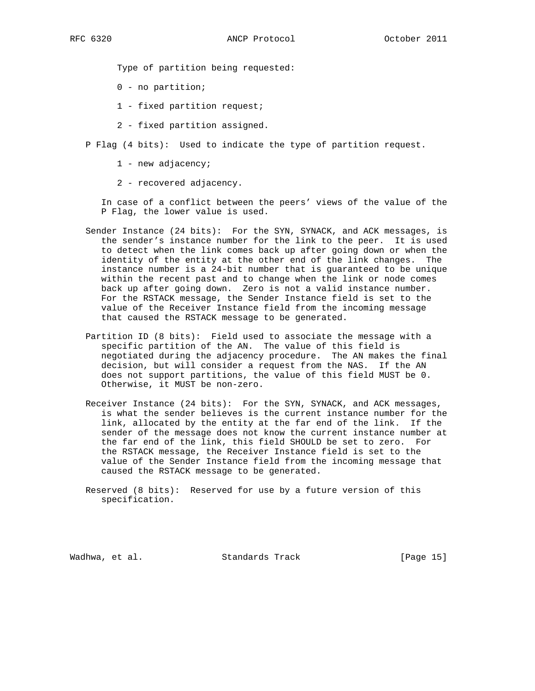Type of partition being requested:

- 0 no partition;
- 1 fixed partition request;
- 2 fixed partition assigned.

P Flag (4 bits): Used to indicate the type of partition request.

1 - new adjacency;

2 - recovered adjacency.

 In case of a conflict between the peers' views of the value of the P Flag, the lower value is used.

- Sender Instance (24 bits): For the SYN, SYNACK, and ACK messages, is the sender's instance number for the link to the peer. It is used to detect when the link comes back up after going down or when the identity of the entity at the other end of the link changes. The instance number is a 24-bit number that is guaranteed to be unique within the recent past and to change when the link or node comes back up after going down. Zero is not a valid instance number. For the RSTACK message, the Sender Instance field is set to the value of the Receiver Instance field from the incoming message that caused the RSTACK message to be generated.
- Partition ID (8 bits): Field used to associate the message with a specific partition of the AN. The value of this field is negotiated during the adjacency procedure. The AN makes the final decision, but will consider a request from the NAS. If the AN does not support partitions, the value of this field MUST be 0. Otherwise, it MUST be non-zero.
- Receiver Instance (24 bits): For the SYN, SYNACK, and ACK messages, is what the sender believes is the current instance number for the link, allocated by the entity at the far end of the link. If the sender of the message does not know the current instance number at the far end of the link, this field SHOULD be set to zero. For the RSTACK message, the Receiver Instance field is set to the value of the Sender Instance field from the incoming message that caused the RSTACK message to be generated.
- Reserved (8 bits): Reserved for use by a future version of this specification.

Wadhwa, et al. Standards Track [Page 15]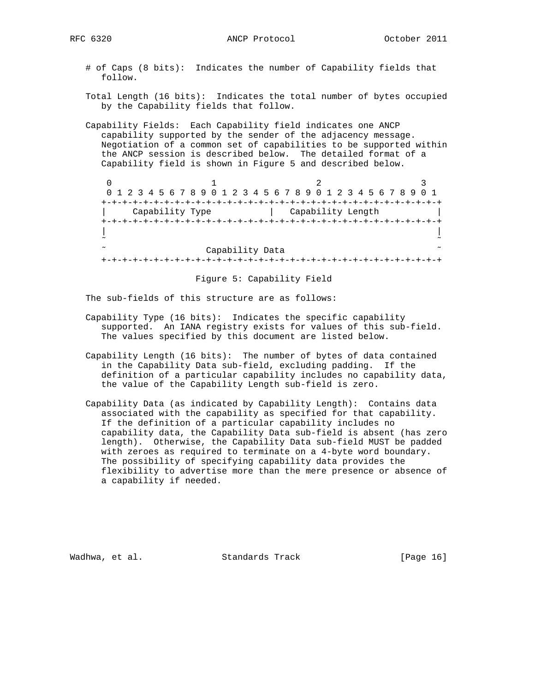- # of Caps (8 bits): Indicates the number of Capability fields that follow.
- Total Length (16 bits): Indicates the total number of bytes occupied by the Capability fields that follow.
- Capability Fields: Each Capability field indicates one ANCP capability supported by the sender of the adjacency message. Negotiation of a common set of capabilities to be supported within the ANCP session is described below. The detailed format of a Capability field is shown in Figure 5 and described below.

 $0$  1 2 3 0 1 2 3 4 5 6 7 8 9 0 1 2 3 4 5 6 7 8 9 0 1 2 3 4 5 6 7 8 9 0 1 +-+-+-+-+-+-+-+-+-+-+-+-+-+-+-+-+-+-+-+-+-+-+-+-+-+-+-+-+-+-+-+-+ | Capability Type | Capability Length | +-+-+-+-+-+-+-+-+-+-+-+-+-+-+-+-+-+-+-+-+-+-+-+-+-+-+-+-+-+-+-+-+ | | ˜ ˜ Capability Data +-+-+-+-+-+-+-+-+-+-+-+-+-+-+-+-+-+-+-+-+-+-+-+-+-+-+-+-+-+-+-+-+

Figure 5: Capability Field

The sub-fields of this structure are as follows:

- Capability Type (16 bits): Indicates the specific capability supported. An IANA registry exists for values of this sub-field. The values specified by this document are listed below.
- Capability Length (16 bits): The number of bytes of data contained in the Capability Data sub-field, excluding padding. If the definition of a particular capability includes no capability data, the value of the Capability Length sub-field is zero.
- Capability Data (as indicated by Capability Length): Contains data associated with the capability as specified for that capability. If the definition of a particular capability includes no capability data, the Capability Data sub-field is absent (has zero length). Otherwise, the Capability Data sub-field MUST be padded with zeroes as required to terminate on a 4-byte word boundary. The possibility of specifying capability data provides the flexibility to advertise more than the mere presence or absence of a capability if needed.

Wadhwa, et al. Standards Track (Page 16)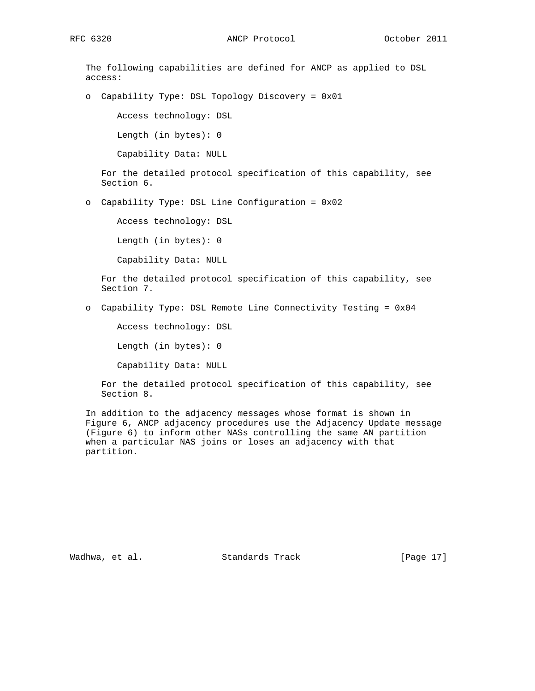The following capabilities are defined for ANCP as applied to DSL access: o Capability Type: DSL Topology Discovery = 0x01 Access technology: DSL Length (in bytes): 0 Capability Data: NULL For the detailed protocol specification of this capability, see Section 6. o Capability Type: DSL Line Configuration = 0x02 Access technology: DSL Length (in bytes): 0 Capability Data: NULL For the detailed protocol specification of this capability, see Section 7. o Capability Type: DSL Remote Line Connectivity Testing = 0x04 Access technology: DSL Length (in bytes): 0

Capability Data: NULL

 For the detailed protocol specification of this capability, see Section 8.

 In addition to the adjacency messages whose format is shown in Figure 6, ANCP adjacency procedures use the Adjacency Update message (Figure 6) to inform other NASs controlling the same AN partition when a particular NAS joins or loses an adjacency with that partition.

Wadhwa, et al. Standards Track [Page 17]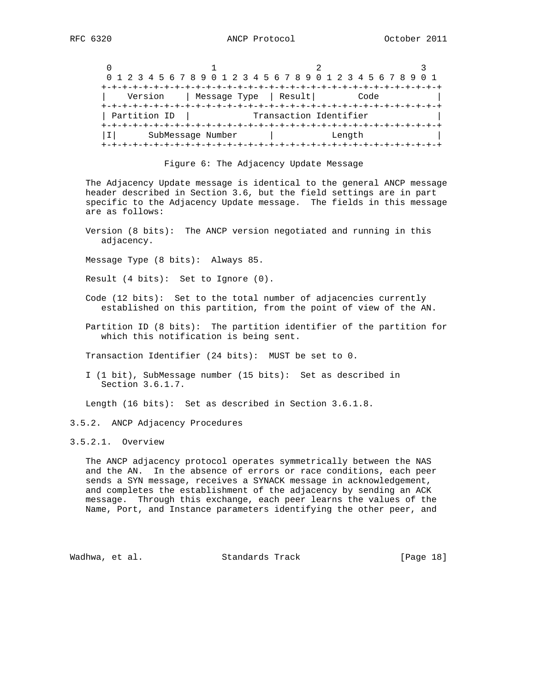|              |                       | 0 1 2 3 4 5 6 7 8 9 0 1 2 3 4 5 6 7 8 9 0 1 2 3 4 5 6 7 8 9 0 1 |  |
|--------------|-----------------------|-----------------------------------------------------------------|--|
|              |                       |                                                                 |  |
| Version      | Message Type   Result | Code                                                            |  |
|              |                       |                                                                 |  |
| Partition ID |                       | Transaction Identifier                                          |  |
|              |                       |                                                                 |  |
|              | SubMessage Number     | Length                                                          |  |
|              |                       |                                                                 |  |

#### Figure 6: The Adjacency Update Message

 The Adjacency Update message is identical to the general ANCP message header described in Section 3.6, but the field settings are in part specific to the Adjacency Update message. The fields in this message are as follows:

 Version (8 bits): The ANCP version negotiated and running in this adjacency.

Message Type (8 bits): Always 85.

Result (4 bits): Set to Ignore (0).

- Code (12 bits): Set to the total number of adjacencies currently established on this partition, from the point of view of the AN.
- Partition ID (8 bits): The partition identifier of the partition for which this notification is being sent.

Transaction Identifier (24 bits): MUST be set to 0.

 I (1 bit), SubMessage number (15 bits): Set as described in Section 3.6.1.7.

Length (16 bits): Set as described in Section 3.6.1.8.

#### 3.5.2. ANCP Adjacency Procedures

3.5.2.1. Overview

 The ANCP adjacency protocol operates symmetrically between the NAS and the AN. In the absence of errors or race conditions, each peer sends a SYN message, receives a SYNACK message in acknowledgement, and completes the establishment of the adjacency by sending an ACK message. Through this exchange, each peer learns the values of the Name, Port, and Instance parameters identifying the other peer, and

Wadhwa, et al. Standards Track [Page 18]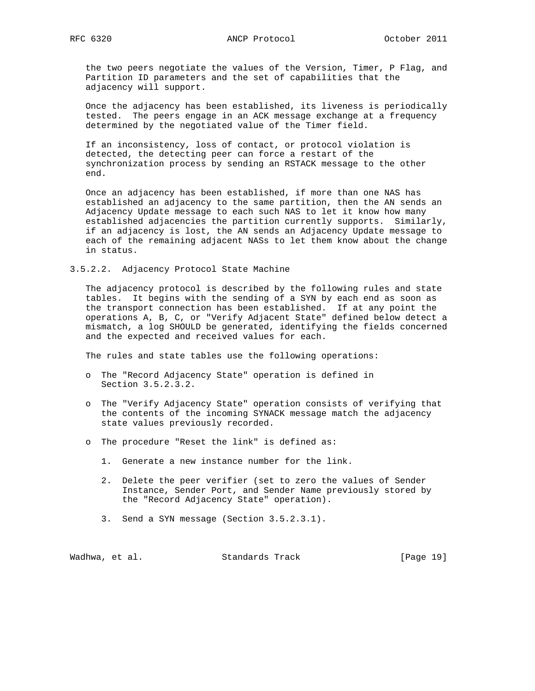the two peers negotiate the values of the Version, Timer, P Flag, and Partition ID parameters and the set of capabilities that the adjacency will support.

 Once the adjacency has been established, its liveness is periodically tested. The peers engage in an ACK message exchange at a frequency determined by the negotiated value of the Timer field.

 If an inconsistency, loss of contact, or protocol violation is detected, the detecting peer can force a restart of the synchronization process by sending an RSTACK message to the other end.

 Once an adjacency has been established, if more than one NAS has established an adjacency to the same partition, then the AN sends an Adjacency Update message to each such NAS to let it know how many established adjacencies the partition currently supports. Similarly, if an adjacency is lost, the AN sends an Adjacency Update message to each of the remaining adjacent NASs to let them know about the change in status.

3.5.2.2. Adjacency Protocol State Machine

 The adjacency protocol is described by the following rules and state tables. It begins with the sending of a SYN by each end as soon as the transport connection has been established. If at any point the operations A, B, C, or "Verify Adjacent State" defined below detect a mismatch, a log SHOULD be generated, identifying the fields concerned and the expected and received values for each.

The rules and state tables use the following operations:

- o The "Record Adjacency State" operation is defined in Section 3.5.2.3.2.
- o The "Verify Adjacency State" operation consists of verifying that the contents of the incoming SYNACK message match the adjacency state values previously recorded.
- o The procedure "Reset the link" is defined as:
	- 1. Generate a new instance number for the link.
	- 2. Delete the peer verifier (set to zero the values of Sender Instance, Sender Port, and Sender Name previously stored by the "Record Adjacency State" operation).
	- 3. Send a SYN message (Section 3.5.2.3.1).

Wadhwa, et al. Standards Track [Page 19]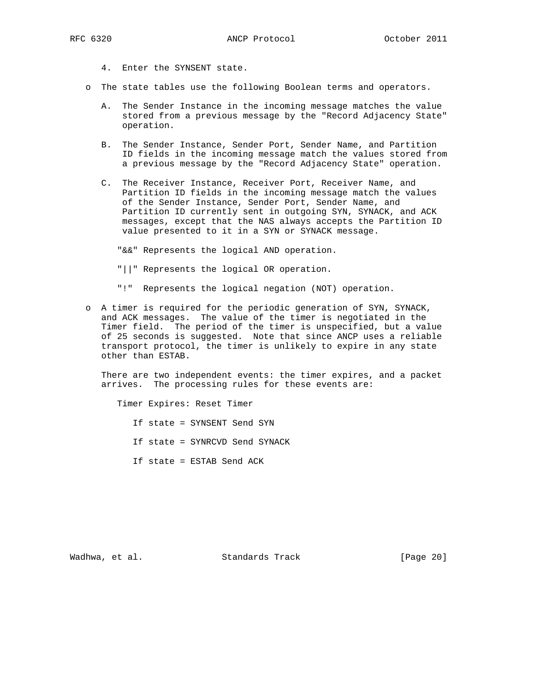- 4. Enter the SYNSENT state.
- o The state tables use the following Boolean terms and operators.
	- A. The Sender Instance in the incoming message matches the value stored from a previous message by the "Record Adjacency State" operation.
	- B. The Sender Instance, Sender Port, Sender Name, and Partition ID fields in the incoming message match the values stored from a previous message by the "Record Adjacency State" operation.
	- C. The Receiver Instance, Receiver Port, Receiver Name, and Partition ID fields in the incoming message match the values of the Sender Instance, Sender Port, Sender Name, and Partition ID currently sent in outgoing SYN, SYNACK, and ACK messages, except that the NAS always accepts the Partition ID value presented to it in a SYN or SYNACK message.

"&&" Represents the logical AND operation.

"||" Represents the logical OR operation.

"!" Represents the logical negation (NOT) operation.

 o A timer is required for the periodic generation of SYN, SYNACK, and ACK messages. The value of the timer is negotiated in the Timer field. The period of the timer is unspecified, but a value of 25 seconds is suggested. Note that since ANCP uses a reliable transport protocol, the timer is unlikely to expire in any state other than ESTAB.

 There are two independent events: the timer expires, and a packet arrives. The processing rules for these events are:

 Timer Expires: Reset Timer If state = SYNSENT Send SYN If state = SYNRCVD Send SYNACK If state = ESTAB Send ACK

Wadhwa, et al. Standards Track [Page 20]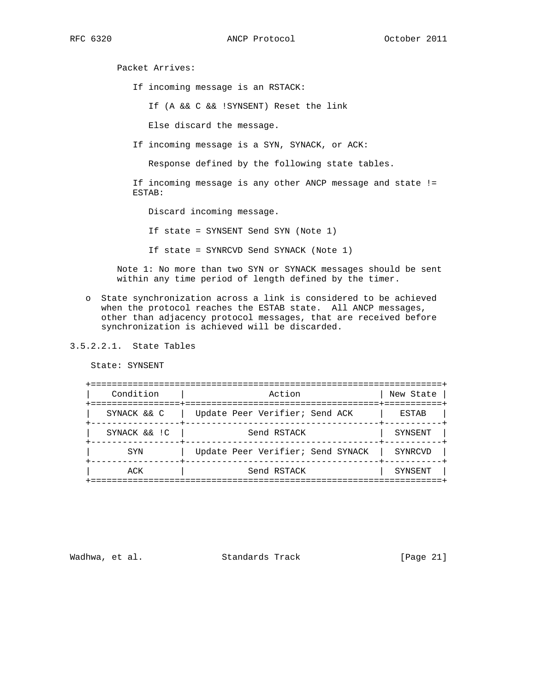RFC 6320 ANCP Protocol October 2011

Packet Arrives:

If incoming message is an RSTACK:

If (A && C && !SYNSENT) Reset the link

Else discard the message.

If incoming message is a SYN, SYNACK, or ACK:

Response defined by the following state tables.

 If incoming message is any other ANCP message and state != ESTAB:

Discard incoming message.

If state = SYNSENT Send SYN (Note 1)

If state = SYNRCVD Send SYNACK (Note 1)

 Note 1: No more than two SYN or SYNACK messages should be sent within any time period of length defined by the timer.

- o State synchronization across a link is considered to be achieved when the protocol reaches the ESTAB state. All ANCP messages, other than adjacency protocol messages, that are received before synchronization is achieved will be discarded.
- 3.5.2.2.1. State Tables

State: SYNSENT

| Condition                       | Action                            | New State |
|---------------------------------|-----------------------------------|-----------|
| ================<br>SYNACK && C | Update Peer Verifier; Send ACK    | ESTAB     |
| SYNACK && !C                    | Send RSTACK                       | SYNSENT   |
| SYN                             | Update Peer Verifier; Send SYNACK | SYNRCVD   |
| ACK                             | Send RSTACK                       | SYNSENT   |

Wadhwa, et al. Standards Track [Page 21]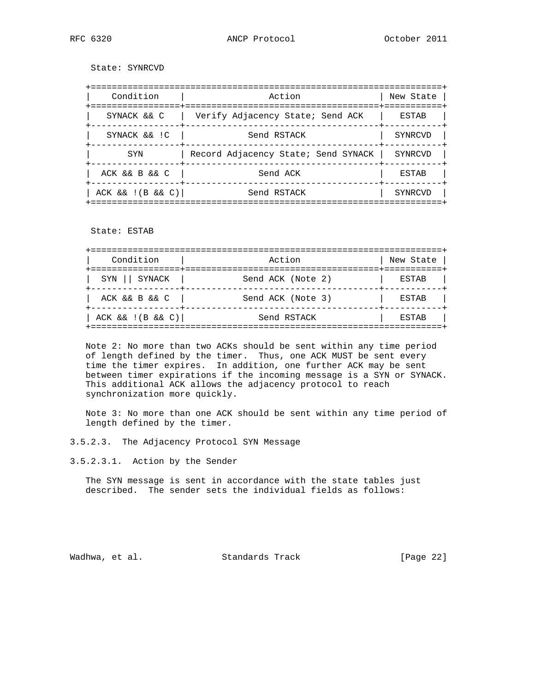State: SYNRCVD

| Condition                                        | Action                              | New State |
|--------------------------------------------------|-------------------------------------|-----------|
| . = = = = = = = = = = = = = = = +<br>SYNACK && C | Verify Adjacency State; Send ACK    | ESTAB     |
| SYNACK && !C                                     | Send RSTACK                         | SYNRCVD   |
| <b>SYN</b>                                       | Record Adjacency State; Send SYNACK | SYNRCVD   |
| ACK && B && C                                    | Send ACK                            | ESTAB     |
| $ACK$ & $( B $ & $ C )$                          | Send RSTACK                         | SYNRCVD   |

State: ESTAB

| Condition       | Action                         | New State               |
|-----------------|--------------------------------|-------------------------|
| SYN    SYNACK   | ---------<br>Send ACK (Note 2) | ===+==========<br>ESTAB |
| ACK && B && C   | Send ACK (Note 3)              | ESTAB                   |
| ACK &c&(B &c&C) | Send RSTACK                    | ESTAB                   |

 Note 2: No more than two ACKs should be sent within any time period of length defined by the timer. Thus, one ACK MUST be sent every time the timer expires. In addition, one further ACK may be sent between timer expirations if the incoming message is a SYN or SYNACK. This additional ACK allows the adjacency protocol to reach synchronization more quickly.

 Note 3: No more than one ACK should be sent within any time period of length defined by the timer.

3.5.2.3. The Adjacency Protocol SYN Message

3.5.2.3.1. Action by the Sender

 The SYN message is sent in accordance with the state tables just described. The sender sets the individual fields as follows:

Wadhwa, et al. Standards Track [Page 22]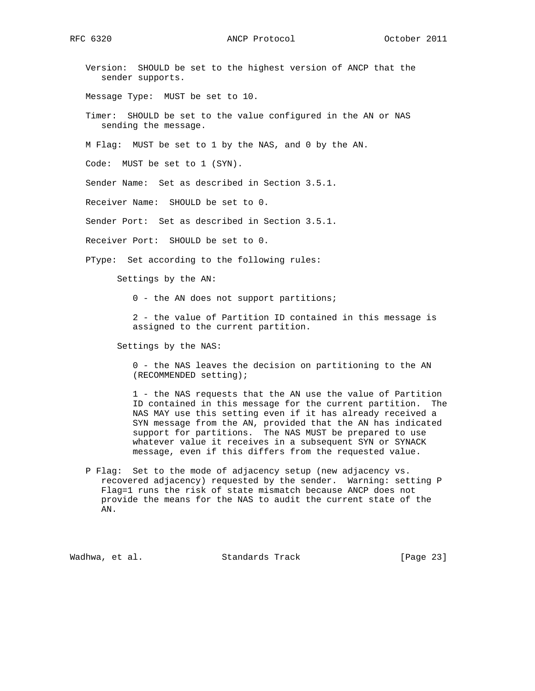RFC 6320 ANCP Protocol October 2011

 Version: SHOULD be set to the highest version of ANCP that the sender supports.

Message Type: MUST be set to 10.

 Timer: SHOULD be set to the value configured in the AN or NAS sending the message.

M Flag: MUST be set to 1 by the NAS, and 0 by the AN.

Code: MUST be set to 1 (SYN).

Sender Name: Set as described in Section 3.5.1.

Receiver Name: SHOULD be set to 0.

Sender Port: Set as described in Section 3.5.1.

Receiver Port: SHOULD be set to 0.

PType: Set according to the following rules:

Settings by the AN:

0 - the AN does not support partitions;

 2 - the value of Partition ID contained in this message is assigned to the current partition.

Settings by the NAS:

 0 - the NAS leaves the decision on partitioning to the AN (RECOMMENDED setting);

 1 - the NAS requests that the AN use the value of Partition ID contained in this message for the current partition. The NAS MAY use this setting even if it has already received a SYN message from the AN, provided that the AN has indicated support for partitions. The NAS MUST be prepared to use whatever value it receives in a subsequent SYN or SYNACK message, even if this differs from the requested value.

 P Flag: Set to the mode of adjacency setup (new adjacency vs. recovered adjacency) requested by the sender. Warning: setting P Flag=1 runs the risk of state mismatch because ANCP does not provide the means for the NAS to audit the current state of the AN.

Wadhwa, et al. Standards Track [Page 23]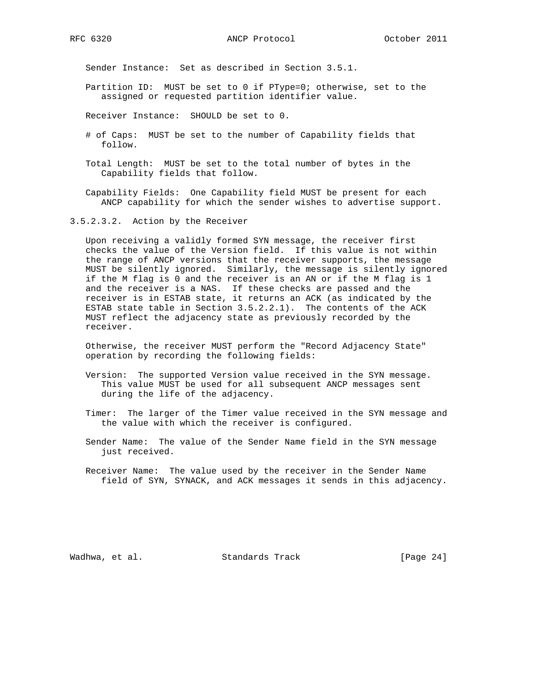RFC 6320 ANCP Protocol October 2011

Sender Instance: Set as described in Section 3.5.1.

- Partition ID: MUST be set to 0 if PType=0; otherwise, set to the assigned or requested partition identifier value.
- Receiver Instance: SHOULD be set to 0.
- # of Caps: MUST be set to the number of Capability fields that follow.
- Total Length: MUST be set to the total number of bytes in the Capability fields that follow.
- Capability Fields: One Capability field MUST be present for each ANCP capability for which the sender wishes to advertise support.

3.5.2.3.2. Action by the Receiver

 Upon receiving a validly formed SYN message, the receiver first checks the value of the Version field. If this value is not within the range of ANCP versions that the receiver supports, the message MUST be silently ignored. Similarly, the message is silently ignored if the M flag is 0 and the receiver is an AN or if the M flag is 1 and the receiver is a NAS. If these checks are passed and the receiver is in ESTAB state, it returns an ACK (as indicated by the ESTAB state table in Section 3.5.2.2.1). The contents of the ACK MUST reflect the adjacency state as previously recorded by the receiver.

 Otherwise, the receiver MUST perform the "Record Adjacency State" operation by recording the following fields:

- Version: The supported Version value received in the SYN message. This value MUST be used for all subsequent ANCP messages sent during the life of the adjacency.
- Timer: The larger of the Timer value received in the SYN message and the value with which the receiver is configured.
- Sender Name: The value of the Sender Name field in the SYN message just received.
- Receiver Name: The value used by the receiver in the Sender Name field of SYN, SYNACK, and ACK messages it sends in this adjacency.

Wadhwa, et al. Standards Track [Page 24]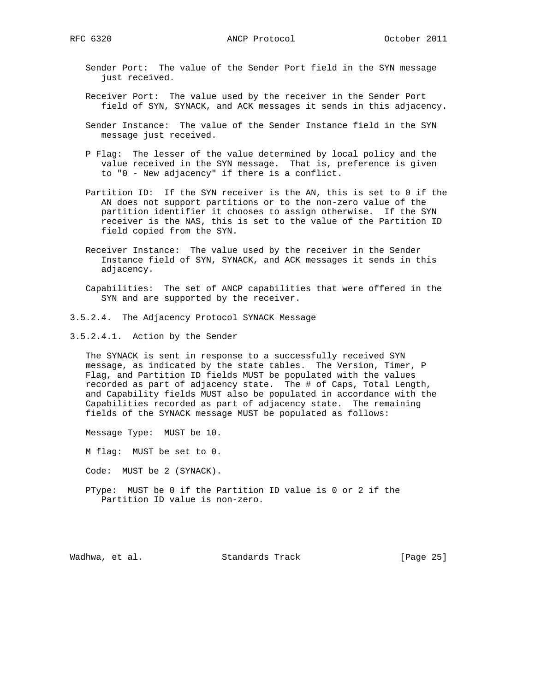Sender Port: The value of the Sender Port field in the SYN message just received.

- Receiver Port: The value used by the receiver in the Sender Port field of SYN, SYNACK, and ACK messages it sends in this adjacency.
- Sender Instance: The value of the Sender Instance field in the SYN message just received.
- P Flag: The lesser of the value determined by local policy and the value received in the SYN message. That is, preference is given to "0 - New adjacency" if there is a conflict.
- Partition ID: If the SYN receiver is the AN, this is set to 0 if the AN does not support partitions or to the non-zero value of the partition identifier it chooses to assign otherwise. If the SYN receiver is the NAS, this is set to the value of the Partition ID field copied from the SYN.
- Receiver Instance: The value used by the receiver in the Sender Instance field of SYN, SYNACK, and ACK messages it sends in this adjacency.
- Capabilities: The set of ANCP capabilities that were offered in the SYN and are supported by the receiver.
- 3.5.2.4. The Adjacency Protocol SYNACK Message
- 3.5.2.4.1. Action by the Sender

 The SYNACK is sent in response to a successfully received SYN message, as indicated by the state tables. The Version, Timer, P Flag, and Partition ID fields MUST be populated with the values recorded as part of adjacency state. The # of Caps, Total Length, and Capability fields MUST also be populated in accordance with the Capabilities recorded as part of adjacency state. The remaining fields of the SYNACK message MUST be populated as follows:

Message Type: MUST be 10.

M flag: MUST be set to 0.

Code: MUST be 2 (SYNACK).

 PType: MUST be 0 if the Partition ID value is 0 or 2 if the Partition ID value is non-zero.

Wadhwa, et al. Standards Track [Page 25]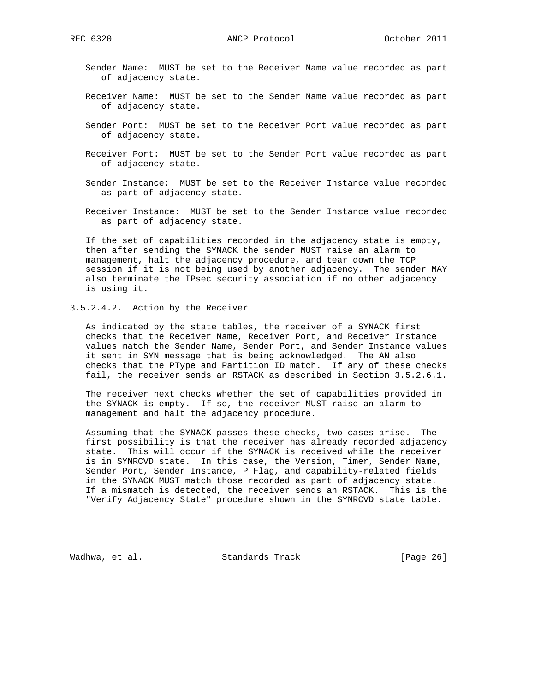- Sender Name: MUST be set to the Receiver Name value recorded as part of adjacency state.
- Receiver Name: MUST be set to the Sender Name value recorded as part of adjacency state.
- Sender Port: MUST be set to the Receiver Port value recorded as part of adjacency state.
- Receiver Port: MUST be set to the Sender Port value recorded as part of adjacency state.
- Sender Instance: MUST be set to the Receiver Instance value recorded as part of adjacency state.
- Receiver Instance: MUST be set to the Sender Instance value recorded as part of adjacency state.

 If the set of capabilities recorded in the adjacency state is empty, then after sending the SYNACK the sender MUST raise an alarm to management, halt the adjacency procedure, and tear down the TCP session if it is not being used by another adjacency. The sender MAY also terminate the IPsec security association if no other adjacency is using it.

3.5.2.4.2. Action by the Receiver

 As indicated by the state tables, the receiver of a SYNACK first checks that the Receiver Name, Receiver Port, and Receiver Instance values match the Sender Name, Sender Port, and Sender Instance values it sent in SYN message that is being acknowledged. The AN also checks that the PType and Partition ID match. If any of these checks fail, the receiver sends an RSTACK as described in Section 3.5.2.6.1.

 The receiver next checks whether the set of capabilities provided in the SYNACK is empty. If so, the receiver MUST raise an alarm to management and halt the adjacency procedure.

 Assuming that the SYNACK passes these checks, two cases arise. The first possibility is that the receiver has already recorded adjacency state. This will occur if the SYNACK is received while the receiver is in SYNRCVD state. In this case, the Version, Timer, Sender Name, Sender Port, Sender Instance, P Flag, and capability-related fields in the SYNACK MUST match those recorded as part of adjacency state. If a mismatch is detected, the receiver sends an RSTACK. This is the "Verify Adjacency State" procedure shown in the SYNRCVD state table.

Wadhwa, et al. Standards Track [Page 26]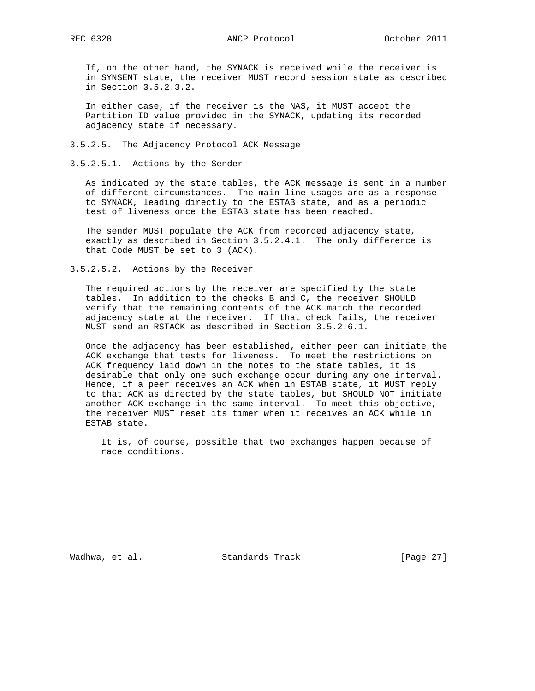If, on the other hand, the SYNACK is received while the receiver is in SYNSENT state, the receiver MUST record session state as described in Section 3.5.2.3.2.

 In either case, if the receiver is the NAS, it MUST accept the Partition ID value provided in the SYNACK, updating its recorded adjacency state if necessary.

3.5.2.5. The Adjacency Protocol ACK Message

3.5.2.5.1. Actions by the Sender

 As indicated by the state tables, the ACK message is sent in a number of different circumstances. The main-line usages are as a response to SYNACK, leading directly to the ESTAB state, and as a periodic test of liveness once the ESTAB state has been reached.

 The sender MUST populate the ACK from recorded adjacency state, exactly as described in Section 3.5.2.4.1. The only difference is that Code MUST be set to 3 (ACK).

3.5.2.5.2. Actions by the Receiver

 The required actions by the receiver are specified by the state tables. In addition to the checks B and C, the receiver SHOULD verify that the remaining contents of the ACK match the recorded adjacency state at the receiver. If that check fails, the receiver MUST send an RSTACK as described in Section 3.5.2.6.1.

 Once the adjacency has been established, either peer can initiate the ACK exchange that tests for liveness. To meet the restrictions on ACK frequency laid down in the notes to the state tables, it is desirable that only one such exchange occur during any one interval. Hence, if a peer receives an ACK when in ESTAB state, it MUST reply to that ACK as directed by the state tables, but SHOULD NOT initiate another ACK exchange in the same interval. To meet this objective, the receiver MUST reset its timer when it receives an ACK while in ESTAB state.

 It is, of course, possible that two exchanges happen because of race conditions.

Wadhwa, et al. Standards Track [Page 27]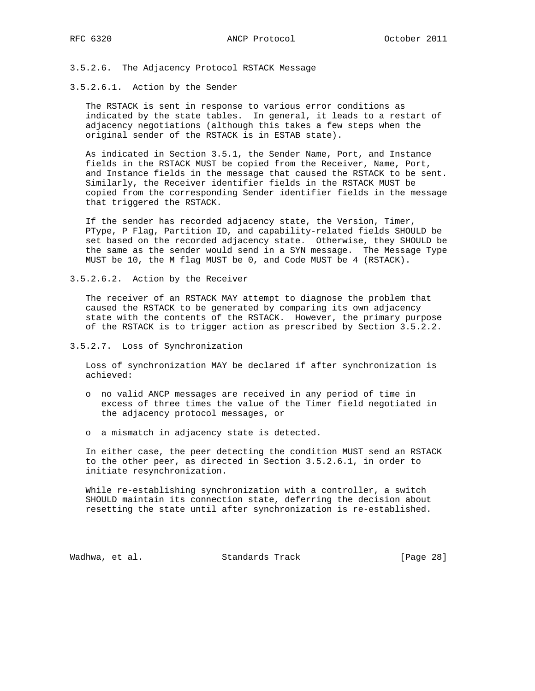3.5.2.6. The Adjacency Protocol RSTACK Message

# 3.5.2.6.1. Action by the Sender

 The RSTACK is sent in response to various error conditions as indicated by the state tables. In general, it leads to a restart of adjacency negotiations (although this takes a few steps when the original sender of the RSTACK is in ESTAB state).

 As indicated in Section 3.5.1, the Sender Name, Port, and Instance fields in the RSTACK MUST be copied from the Receiver, Name, Port, and Instance fields in the message that caused the RSTACK to be sent. Similarly, the Receiver identifier fields in the RSTACK MUST be copied from the corresponding Sender identifier fields in the message that triggered the RSTACK.

 If the sender has recorded adjacency state, the Version, Timer, PType, P Flag, Partition ID, and capability-related fields SHOULD be set based on the recorded adjacency state. Otherwise, they SHOULD be the same as the sender would send in a SYN message. The Message Type MUST be 10, the M flag MUST be 0, and Code MUST be 4 (RSTACK).

3.5.2.6.2. Action by the Receiver

 The receiver of an RSTACK MAY attempt to diagnose the problem that caused the RSTACK to be generated by comparing its own adjacency state with the contents of the RSTACK. However, the primary purpose of the RSTACK is to trigger action as prescribed by Section 3.5.2.2.

3.5.2.7. Loss of Synchronization

 Loss of synchronization MAY be declared if after synchronization is achieved:

- o no valid ANCP messages are received in any period of time in excess of three times the value of the Timer field negotiated in the adjacency protocol messages, or
- o a mismatch in adjacency state is detected.

 In either case, the peer detecting the condition MUST send an RSTACK to the other peer, as directed in Section 3.5.2.6.1, in order to initiate resynchronization.

 While re-establishing synchronization with a controller, a switch SHOULD maintain its connection state, deferring the decision about resetting the state until after synchronization is re-established.

Wadhwa, et al. Standards Track [Page 28]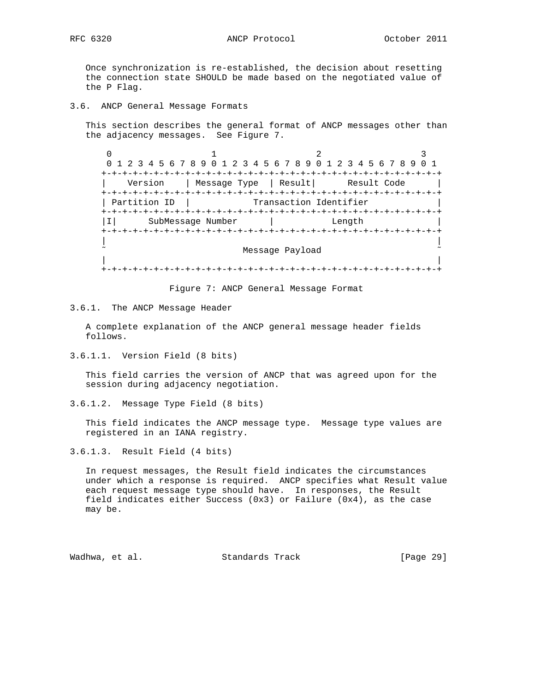Once synchronization is re-established, the decision about resetting the connection state SHOULD be made based on the negotiated value of the P Flag.

3.6. ANCP General Message Formats

 This section describes the general format of ANCP messages other than the adjacency messages. See Figure 7.

 $0$  1 2 3 0 1 2 3 4 5 6 7 8 9 0 1 2 3 4 5 6 7 8 9 0 1 2 3 4 5 6 7 8 9 0 1 +-+-+-+-+-+-+-+-+-+-+-+-+-+-+-+-+-+-+-+-+-+-+-+-+-+-+-+-+-+-+-+-+ Version | Message Type | Result| Result Code +-+-+-+-+-+-+-+-+-+-+-+-+-+-+-+-+-+-+-+-+-+-+-+-+-+-+-+-+-+-+-+-+ | Partition ID | Transaction Identifier +-+-+-+-+-+-+-+-+-+-+-+-+-+-+-+-+-+-+-+-+-+-+-+-+-+-+-+-+-+-+-+-+ |I| SubMessage Number | Length | +-+-+-+-+-+-+-+-+-+-+-+-+-+-+-+-+-+-+-+-+-+-+-+-+-+-+-+-+-+-+-+-+ | | Message Payload | | +-+-+-+-+-+-+-+-+-+-+-+-+-+-+-+-+-+-+-+-+-+-+-+-+-+-+-+-+-+-+-+-+

Figure 7: ANCP General Message Format

3.6.1. The ANCP Message Header

 A complete explanation of the ANCP general message header fields follows.

3.6.1.1. Version Field (8 bits)

 This field carries the version of ANCP that was agreed upon for the session during adjacency negotiation.

3.6.1.2. Message Type Field (8 bits)

 This field indicates the ANCP message type. Message type values are registered in an IANA registry.

3.6.1.3. Result Field (4 bits)

 In request messages, the Result field indicates the circumstances under which a response is required. ANCP specifies what Result value each request message type should have. In responses, the Result field indicates either Success (0x3) or Failure (0x4), as the case may be.

Wadhwa, et al. Standards Track [Page 29]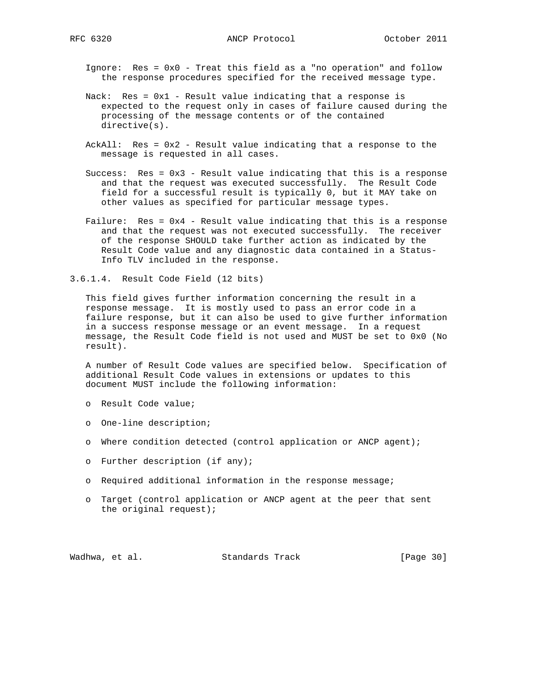Ignore: Res = 0x0 - Treat this field as a "no operation" and follow the response procedures specified for the received message type.

- Nack: Res = 0x1 Result value indicating that a response is expected to the request only in cases of failure caused during the processing of the message contents or of the contained directive(s).
- AckAll: Res = 0x2 Result value indicating that a response to the message is requested in all cases.
- Success: Res = 0x3 Result value indicating that this is a response and that the request was executed successfully. The Result Code field for a successful result is typically 0, but it MAY take on other values as specified for particular message types.
- Failure: Res = 0x4 Result value indicating that this is a response and that the request was not executed successfully. The receiver of the response SHOULD take further action as indicated by the Result Code value and any diagnostic data contained in a Status- Info TLV included in the response.
- 3.6.1.4. Result Code Field (12 bits)

 This field gives further information concerning the result in a response message. It is mostly used to pass an error code in a failure response, but it can also be used to give further information in a success response message or an event message. In a request message, the Result Code field is not used and MUST be set to 0x0 (No result).

 A number of Result Code values are specified below. Specification of additional Result Code values in extensions or updates to this document MUST include the following information:

- o Result Code value;
- o One-line description;
- o Where condition detected (control application or ANCP agent);
- o Further description (if any);
- o Required additional information in the response message;
- o Target (control application or ANCP agent at the peer that sent the original request);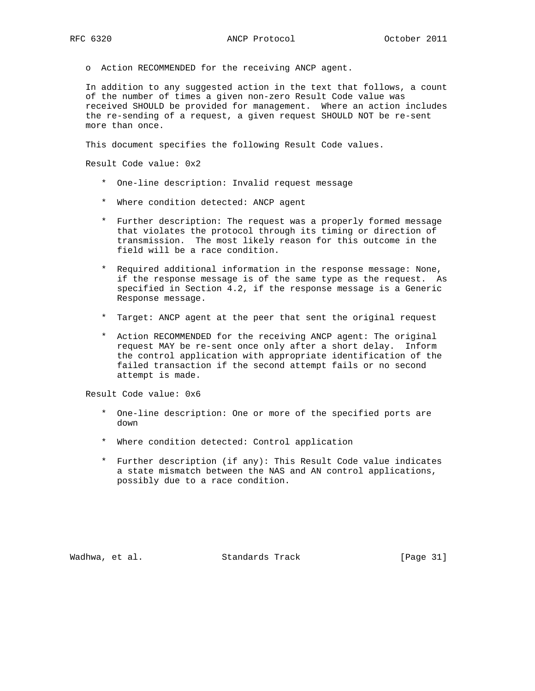o Action RECOMMENDED for the receiving ANCP agent.

 In addition to any suggested action in the text that follows, a count of the number of times a given non-zero Result Code value was received SHOULD be provided for management. Where an action includes the re-sending of a request, a given request SHOULD NOT be re-sent more than once.

This document specifies the following Result Code values.

Result Code value: 0x2

- \* One-line description: Invalid request message
- \* Where condition detected: ANCP agent
- \* Further description: The request was a properly formed message that violates the protocol through its timing or direction of transmission. The most likely reason for this outcome in the field will be a race condition.
- \* Required additional information in the response message: None, if the response message is of the same type as the request. As specified in Section 4.2, if the response message is a Generic Response message.
- \* Target: ANCP agent at the peer that sent the original request
- \* Action RECOMMENDED for the receiving ANCP agent: The original request MAY be re-sent once only after a short delay. Inform the control application with appropriate identification of the failed transaction if the second attempt fails or no second attempt is made.

Result Code value: 0x6

- \* One-line description: One or more of the specified ports are down
- \* Where condition detected: Control application
- \* Further description (if any): This Result Code value indicates a state mismatch between the NAS and AN control applications, possibly due to a race condition.

Wadhwa, et al. Standards Track [Page 31]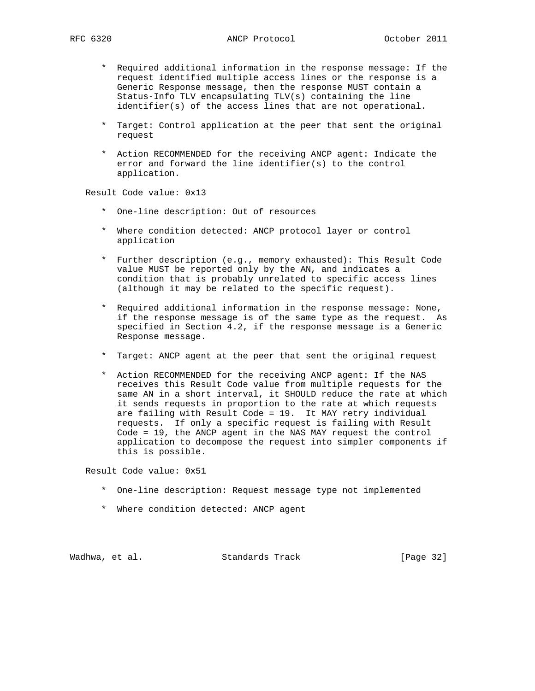- \* Required additional information in the response message: If the request identified multiple access lines or the response is a Generic Response message, then the response MUST contain a Status-Info TLV encapsulating TLV(s) containing the line identifier(s) of the access lines that are not operational.
- \* Target: Control application at the peer that sent the original request
- \* Action RECOMMENDED for the receiving ANCP agent: Indicate the error and forward the line identifier(s) to the control application.

Result Code value: 0x13

- \* One-line description: Out of resources
- \* Where condition detected: ANCP protocol layer or control application
- \* Further description (e.g., memory exhausted): This Result Code value MUST be reported only by the AN, and indicates a condition that is probably unrelated to specific access lines (although it may be related to the specific request).
- \* Required additional information in the response message: None, if the response message is of the same type as the request. As specified in Section 4.2, if the response message is a Generic Response message.
- \* Target: ANCP agent at the peer that sent the original request
- \* Action RECOMMENDED for the receiving ANCP agent: If the NAS receives this Result Code value from multiple requests for the same AN in a short interval, it SHOULD reduce the rate at which it sends requests in proportion to the rate at which requests are failing with Result Code = 19. It MAY retry individual requests. If only a specific request is failing with Result Code = 19, the ANCP agent in the NAS MAY request the control application to decompose the request into simpler components if this is possible.

Result Code value: 0x51

- \* One-line description: Request message type not implemented
- \* Where condition detected: ANCP agent

Wadhwa, et al. Standards Track [Page 32]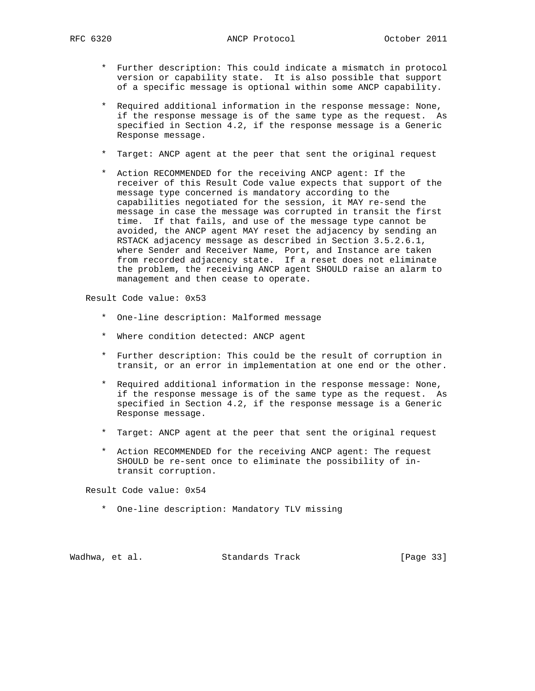- \* Further description: This could indicate a mismatch in protocol version or capability state. It is also possible that support of a specific message is optional within some ANCP capability.
- \* Required additional information in the response message: None, if the response message is of the same type as the request. As specified in Section 4.2, if the response message is a Generic Response message.
- \* Target: ANCP agent at the peer that sent the original request
- \* Action RECOMMENDED for the receiving ANCP agent: If the receiver of this Result Code value expects that support of the message type concerned is mandatory according to the capabilities negotiated for the session, it MAY re-send the message in case the message was corrupted in transit the first time. If that fails, and use of the message type cannot be avoided, the ANCP agent MAY reset the adjacency by sending an RSTACK adjacency message as described in Section 3.5.2.6.1, where Sender and Receiver Name, Port, and Instance are taken from recorded adjacency state. If a reset does not eliminate the problem, the receiving ANCP agent SHOULD raise an alarm to management and then cease to operate.

Result Code value: 0x53

- \* One-line description: Malformed message
- \* Where condition detected: ANCP agent
- \* Further description: This could be the result of corruption in transit, or an error in implementation at one end or the other.
- \* Required additional information in the response message: None, if the response message is of the same type as the request. As specified in Section 4.2, if the response message is a Generic Response message.
- \* Target: ANCP agent at the peer that sent the original request
- \* Action RECOMMENDED for the receiving ANCP agent: The request SHOULD be re-sent once to eliminate the possibility of in transit corruption.

Result Code value: 0x54

\* One-line description: Mandatory TLV missing

Wadhwa, et al. Standards Track [Page 33]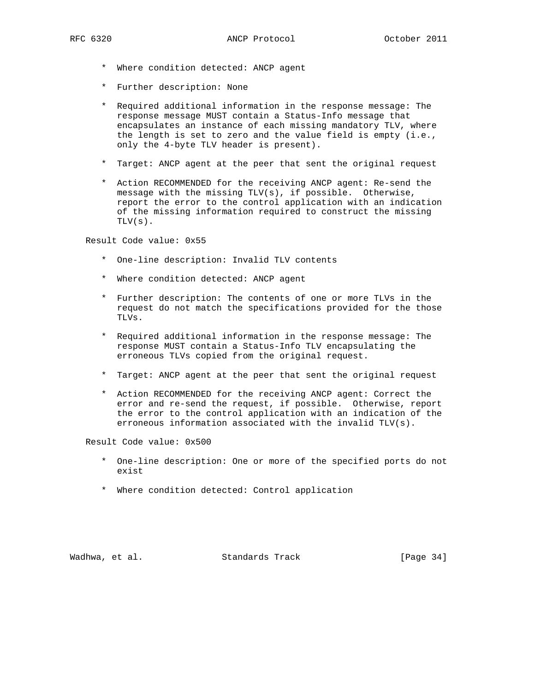- \* Where condition detected: ANCP agent
- \* Further description: None
- \* Required additional information in the response message: The response message MUST contain a Status-Info message that encapsulates an instance of each missing mandatory TLV, where the length is set to zero and the value field is empty (i.e., only the 4-byte TLV header is present).
- \* Target: ANCP agent at the peer that sent the original request
- \* Action RECOMMENDED for the receiving ANCP agent: Re-send the message with the missing TLV(s), if possible. Otherwise, report the error to the control application with an indication of the missing information required to construct the missing TLV(s).

Result Code value: 0x55

- \* One-line description: Invalid TLV contents
- \* Where condition detected: ANCP agent
- \* Further description: The contents of one or more TLVs in the request do not match the specifications provided for the those TLVs.
- \* Required additional information in the response message: The response MUST contain a Status-Info TLV encapsulating the erroneous TLVs copied from the original request.
- \* Target: ANCP agent at the peer that sent the original request
- \* Action RECOMMENDED for the receiving ANCP agent: Correct the error and re-send the request, if possible. Otherwise, report the error to the control application with an indication of the erroneous information associated with the invalid TLV(s).

Result Code value: 0x500

- \* One-line description: One or more of the specified ports do not exist
- \* Where condition detected: Control application

Wadhwa, et al. Standards Track [Page 34]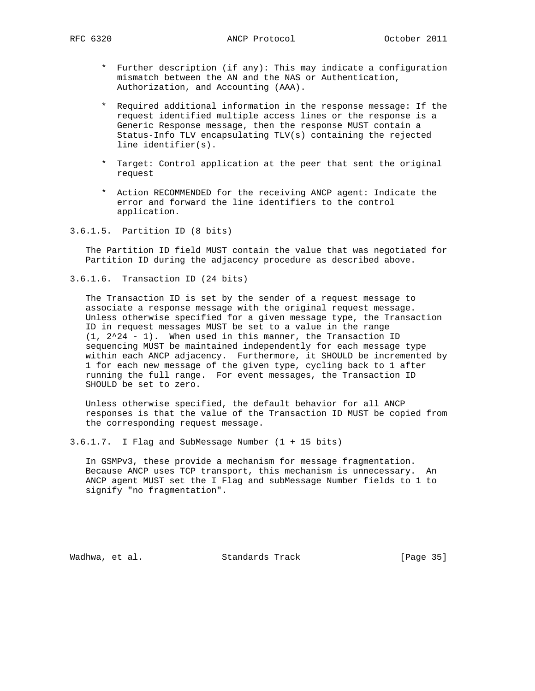- \* Further description (if any): This may indicate a configuration mismatch between the AN and the NAS or Authentication, Authorization, and Accounting (AAA).
- \* Required additional information in the response message: If the request identified multiple access lines or the response is a Generic Response message, then the response MUST contain a Status-Info TLV encapsulating TLV(s) containing the rejected line identifier(s).
- \* Target: Control application at the peer that sent the original request
- \* Action RECOMMENDED for the receiving ANCP agent: Indicate the error and forward the line identifiers to the control application.
- 3.6.1.5. Partition ID (8 bits)

 The Partition ID field MUST contain the value that was negotiated for Partition ID during the adjacency procedure as described above.

3.6.1.6. Transaction ID (24 bits)

 The Transaction ID is set by the sender of a request message to associate a response message with the original request message. Unless otherwise specified for a given message type, the Transaction ID in request messages MUST be set to a value in the range (1, 2^24 - 1). When used in this manner, the Transaction ID sequencing MUST be maintained independently for each message type within each ANCP adjacency. Furthermore, it SHOULD be incremented by 1 for each new message of the given type, cycling back to 1 after running the full range. For event messages, the Transaction ID SHOULD be set to zero.

 Unless otherwise specified, the default behavior for all ANCP responses is that the value of the Transaction ID MUST be copied from the corresponding request message.

3.6.1.7. I Flag and SubMessage Number (1 + 15 bits)

 In GSMPv3, these provide a mechanism for message fragmentation. Because ANCP uses TCP transport, this mechanism is unnecessary. An ANCP agent MUST set the I Flag and subMessage Number fields to 1 to signify "no fragmentation".

Wadhwa, et al. Standards Track [Page 35]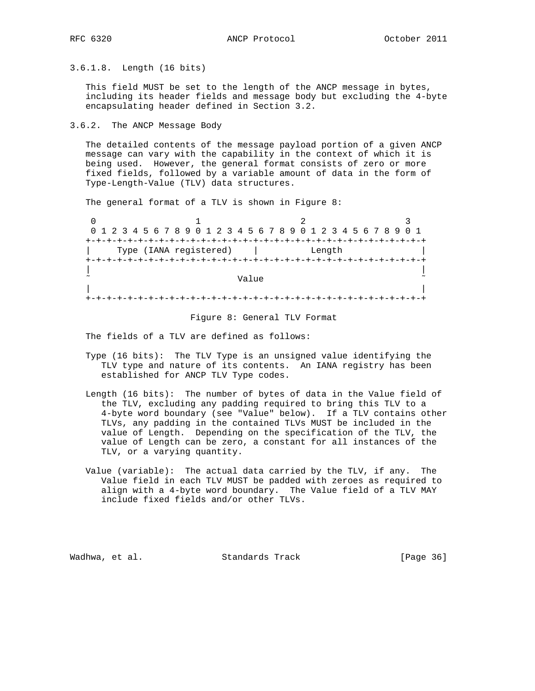3.6.1.8. Length (16 bits)

 This field MUST be set to the length of the ANCP message in bytes, including its header fields and message body but excluding the 4-byte encapsulating header defined in Section 3.2.

3.6.2. The ANCP Message Body

 The detailed contents of the message payload portion of a given ANCP message can vary with the capability in the context of which it is being used. However, the general format consists of zero or more fixed fields, followed by a variable amount of data in the form of Type-Length-Value (TLV) data structures.

The general format of a TLV is shown in Figure 8:

| 0 1 2 3 4 5 6 7 8 9 0 1 2 3 4 5 6 7 8 9 0 1 2 3 4 5 6 7 8 9 0 1 |        |  |  |  |  |  |
|-----------------------------------------------------------------|--------|--|--|--|--|--|
|                                                                 |        |  |  |  |  |  |
| Type (IANA registered)                                          | Length |  |  |  |  |  |
|                                                                 |        |  |  |  |  |  |
|                                                                 |        |  |  |  |  |  |
| Value                                                           |        |  |  |  |  |  |
|                                                                 |        |  |  |  |  |  |
|                                                                 |        |  |  |  |  |  |
|                                                                 |        |  |  |  |  |  |

Figure 8: General TLV Format

The fields of a TLV are defined as follows:

- Type (16 bits): The TLV Type is an unsigned value identifying the TLV type and nature of its contents. An IANA registry has been established for ANCP TLV Type codes.
- Length (16 bits): The number of bytes of data in the Value field of the TLV, excluding any padding required to bring this TLV to a 4-byte word boundary (see "Value" below). If a TLV contains other TLVs, any padding in the contained TLVs MUST be included in the value of Length. Depending on the specification of the TLV, the value of Length can be zero, a constant for all instances of the TLV, or a varying quantity.
- Value (variable): The actual data carried by the TLV, if any. The Value field in each TLV MUST be padded with zeroes as required to align with a 4-byte word boundary. The Value field of a TLV MAY include fixed fields and/or other TLVs.

Wadhwa, et al. Standards Track [Page 36]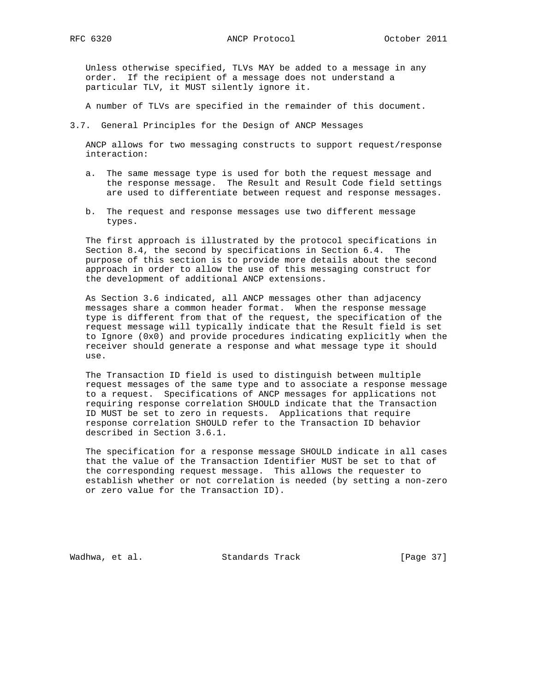Unless otherwise specified, TLVs MAY be added to a message in any order. If the recipient of a message does not understand a particular TLV, it MUST silently ignore it.

A number of TLVs are specified in the remainder of this document.

3.7. General Principles for the Design of ANCP Messages

 ANCP allows for two messaging constructs to support request/response interaction:

- a. The same message type is used for both the request message and the response message. The Result and Result Code field settings are used to differentiate between request and response messages.
- b. The request and response messages use two different message types.

 The first approach is illustrated by the protocol specifications in Section 8.4, the second by specifications in Section 6.4. The purpose of this section is to provide more details about the second approach in order to allow the use of this messaging construct for the development of additional ANCP extensions.

 As Section 3.6 indicated, all ANCP messages other than adjacency messages share a common header format. When the response message type is different from that of the request, the specification of the request message will typically indicate that the Result field is set to Ignore (0x0) and provide procedures indicating explicitly when the receiver should generate a response and what message type it should use.

 The Transaction ID field is used to distinguish between multiple request messages of the same type and to associate a response message to a request. Specifications of ANCP messages for applications not requiring response correlation SHOULD indicate that the Transaction ID MUST be set to zero in requests. Applications that require response correlation SHOULD refer to the Transaction ID behavior described in Section 3.6.1.

 The specification for a response message SHOULD indicate in all cases that the value of the Transaction Identifier MUST be set to that of the corresponding request message. This allows the requester to establish whether or not correlation is needed (by setting a non-zero or zero value for the Transaction ID).

Wadhwa, et al. Standards Track (Page 37)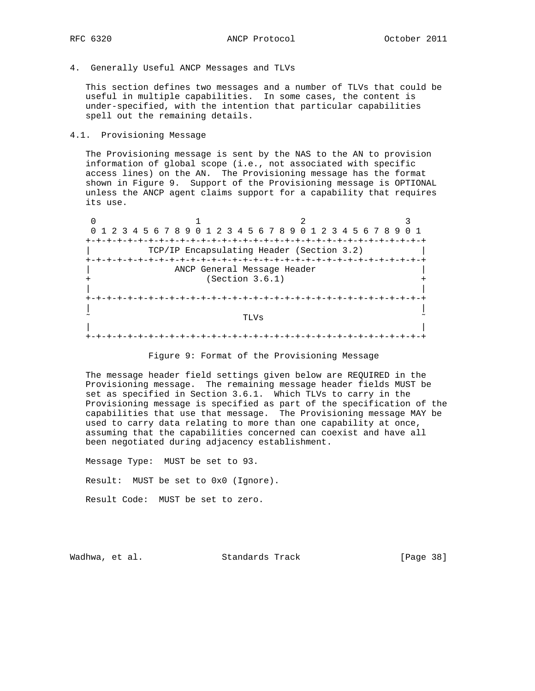- 
- 4. Generally Useful ANCP Messages and TLVs

 This section defines two messages and a number of TLVs that could be useful in multiple capabilities. In some cases, the content is under-specified, with the intention that particular capabilities spell out the remaining details.

4.1. Provisioning Message

 The Provisioning message is sent by the NAS to the AN to provision information of global scope (i.e., not associated with specific access lines) on the AN. The Provisioning message has the format shown in Figure 9. Support of the Provisioning message is OPTIONAL unless the ANCP agent claims support for a capability that requires its use.

0  $1$  2 3 0 1 2 3 4 5 6 7 8 9 0 1 2 3 4 5 6 7 8 9 0 1 2 3 4 5 6 7 8 9 0 1 +-+-+-+-+-+-+-+-+-+-+-+-+-+-+-+-+-+-+-+-+-+-+-+-+-+-+-+-+-+-+-+-+ | TCP/IP Encapsulating Header (Section 3.2) | +-+-+-+-+-+-+-+-+-+-+-+-+-+-+-+-+-+-+-+-+-+-+-+-+-+-+-+-+-+-+-+-+ ANCP General Message Header (Section 3.6.1) | | +-+-+-+-+-+-+-+-+-+-+-+-+-+-+-+-+-+-+-+-+-+-+-+-+-+-+-+-+-+-+-+-+ | |  $\sim$   $\sim$  TLVs  $\sim$  | | +-+-+-+-+-+-+-+-+-+-+-+-+-+-+-+-+-+-+-+-+-+-+-+-+-+-+-+-+-+-+-+-+

 The message header field settings given below are REQUIRED in the Provisioning message. The remaining message header fields MUST be set as specified in Section 3.6.1. Which TLVs to carry in the Provisioning message is specified as part of the specification of the capabilities that use that message. The Provisioning message MAY be used to carry data relating to more than one capability at once, assuming that the capabilities concerned can coexist and have all been negotiated during adjacency establishment.

 Message Type: MUST be set to 93. Result: MUST be set to 0x0 (Ignore). Result Code: MUST be set to zero.

Wadhwa, et al. Standards Track [Page 38]

Figure 9: Format of the Provisioning Message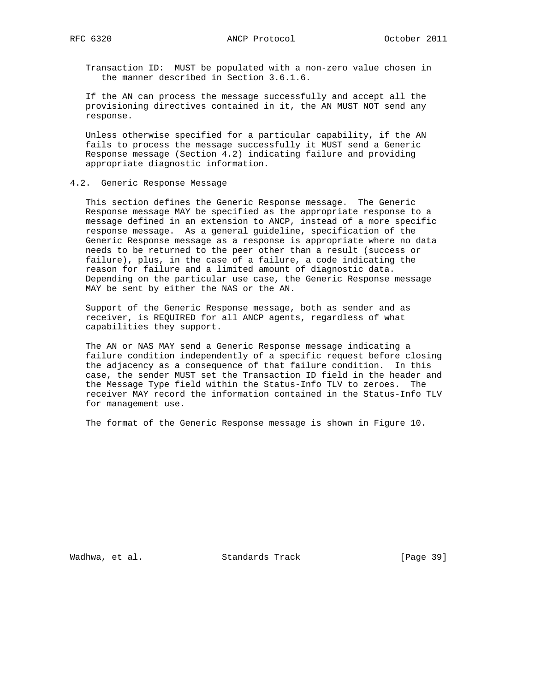Transaction ID: MUST be populated with a non-zero value chosen in the manner described in Section 3.6.1.6.

 If the AN can process the message successfully and accept all the provisioning directives contained in it, the AN MUST NOT send any response.

 Unless otherwise specified for a particular capability, if the AN fails to process the message successfully it MUST send a Generic Response message (Section 4.2) indicating failure and providing appropriate diagnostic information.

### 4.2. Generic Response Message

 This section defines the Generic Response message. The Generic Response message MAY be specified as the appropriate response to a message defined in an extension to ANCP, instead of a more specific response message. As a general guideline, specification of the Generic Response message as a response is appropriate where no data needs to be returned to the peer other than a result (success or failure), plus, in the case of a failure, a code indicating the reason for failure and a limited amount of diagnostic data. Depending on the particular use case, the Generic Response message MAY be sent by either the NAS or the AN.

 Support of the Generic Response message, both as sender and as receiver, is REQUIRED for all ANCP agents, regardless of what capabilities they support.

 The AN or NAS MAY send a Generic Response message indicating a failure condition independently of a specific request before closing the adjacency as a consequence of that failure condition. In this case, the sender MUST set the Transaction ID field in the header and the Message Type field within the Status-Info TLV to zeroes. The receiver MAY record the information contained in the Status-Info TLV for management use.

The format of the Generic Response message is shown in Figure 10.

Wadhwa, et al. Standards Track [Page 39]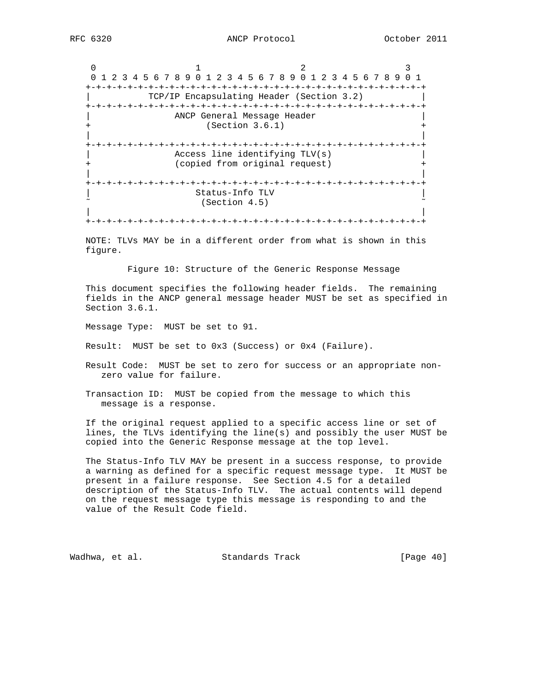0  $1$  2 3 0 1 2 3 4 5 6 7 8 9 0 1 2 3 4 5 6 7 8 9 0 1 2 3 4 5 6 7 8 9 0 1 +-+-+-+-+-+-+-+-+-+-+-+-+-+-+-+-+-+-+-+-+-+-+-+-+-+-+-+-+-+-+-+-+ | TCP/IP Encapsulating Header (Section 3.2) | +-+-+-+-+-+-+-+-+-+-+-+-+-+-+-+-+-+-+-+-+-+-+-+-+-+-+-+-+-+-+-+-+ ANCP General Message Header  $(Section 3.6.1)$  | | +-+-+-+-+-+-+-+-+-+-+-+-+-+-+-+-+-+-+-+-+-+-+-+-+-+-+-+-+-+-+-+-+ Access line identifying TLV(s) (copied from original request) | | +-+-+-+-+-+-+-+-+-+-+-+-+-+-+-+-+-+-+-+-+-+-+-+-+-+-+-+-+-+-+-+-+ | Status-Info TLV |  $(Section 4.5)$  | | +-+-+-+-+-+-+-+-+-+-+-+-+-+-+-+-+-+-+-+-+-+-+-+-+-+-+-+-+-+-+-+-+

 NOTE: TLVs MAY be in a different order from what is shown in this figure.

Figure 10: Structure of the Generic Response Message

 This document specifies the following header fields. The remaining fields in the ANCP general message header MUST be set as specified in Section 3.6.1.

Message Type: MUST be set to 91.

Result: MUST be set to 0x3 (Success) or 0x4 (Failure).

- Result Code: MUST be set to zero for success or an appropriate non zero value for failure.
- Transaction ID: MUST be copied from the message to which this message is a response.

 If the original request applied to a specific access line or set of lines, the TLVs identifying the line(s) and possibly the user MUST be copied into the Generic Response message at the top level.

 The Status-Info TLV MAY be present in a success response, to provide a warning as defined for a specific request message type. It MUST be present in a failure response. See Section 4.5 for a detailed description of the Status-Info TLV. The actual contents will depend on the request message type this message is responding to and the value of the Result Code field.

Wadhwa, et al. Standards Track [Page 40]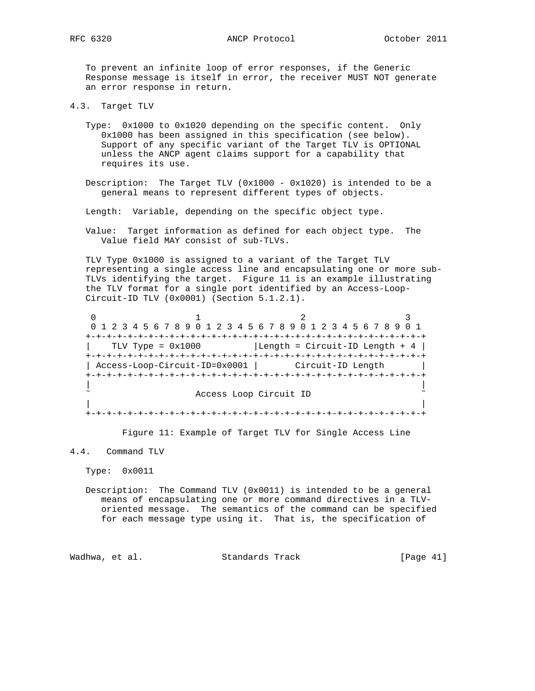RFC 6320 **ANCP** Protocol October 2011

 To prevent an infinite loop of error responses, if the Generic Response message is itself in error, the receiver MUST NOT generate an error response in return.

4.3. Target TLV

- Type: 0x1000 to 0x1020 depending on the specific content. Only 0x1000 has been assigned in this specification (see below). Support of any specific variant of the Target TLV is OPTIONAL unless the ANCP agent claims support for a capability that requires its use.
- Description: The Target TLV (0x1000 0x1020) is intended to be a general means to represent different types of objects.
- Length: Variable, depending on the specific object type.
- Value: Target information as defined for each object type. The Value field MAY consist of sub-TLVs.

 TLV Type 0x1000 is assigned to a variant of the Target TLV representing a single access line and encapsulating one or more sub- TLVs identifying the target. Figure 11 is an example illustrating the TLV format for a single port identified by an Access-Loop- Circuit-ID TLV (0x0001) (Section 5.1.2.1).

0  $1$  2 3 0 1 2 3 4 5 6 7 8 9 0 1 2 3 4 5 6 7 8 9 0 1 2 3 4 5 6 7 8 9 0 1 +-+-+-+-+-+-+-+-+-+-+-+-+-+-+-+-+-+-+-+-+-+-+-+-+-+-+-+-+-+-+-+-+  $TLV$  Type =  $0x1000$  | Length = Circuit-ID Length + 4 | +-+-+-+-+-+-+-+-+-+-+-+-+-+-+-+-+-+-+-+-+-+-+-+-+-+-+-+-+-+-+-+-+ | Access-Loop-Circuit-ID=0x0001 | Circuit-ID Length | +-+-+-+-+-+-+-+-+-+-+-+-+-+-+-+-+-+-+-+-+-+-+-+-+-+-+-+-+-+-+-+-+ | | Access Loop Circuit ID | | +-+-+-+-+-+-+-+-+-+-+-+-+-+-+-+-+-+-+-+-+-+-+-+-+-+-+-+-+-+-+-+-+

Figure 11: Example of Target TLV for Single Access Line

#### 4.4. Command TLV

Type: 0x0011

Description: The Command TLV  $(0x0011)$  is intended to be a general means of encapsulating one or more command directives in a TLV oriented message. The semantics of the command can be specified for each message type using it. That is, the specification of

Wadhwa, et al. Standards Track [Page 41]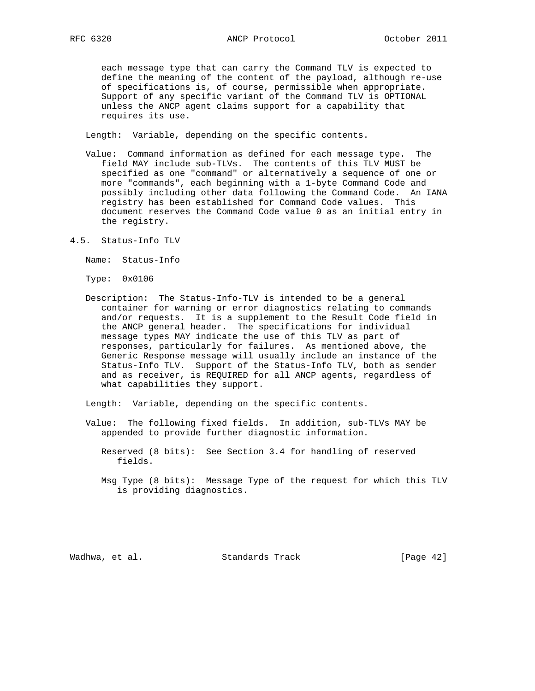each message type that can carry the Command TLV is expected to define the meaning of the content of the payload, although re-use of specifications is, of course, permissible when appropriate. Support of any specific variant of the Command TLV is OPTIONAL unless the ANCP agent claims support for a capability that requires its use.

Length: Variable, depending on the specific contents.

- Value: Command information as defined for each message type. The field MAY include sub-TLVs. The contents of this TLV MUST be specified as one "command" or alternatively a sequence of one or more "commands", each beginning with a 1-byte Command Code and possibly including other data following the Command Code. An IANA registry has been established for Command Code values. This document reserves the Command Code value 0 as an initial entry in the registry.
- 4.5. Status-Info TLV

Name: Status-Info

Type: 0x0106

 Description: The Status-Info-TLV is intended to be a general container for warning or error diagnostics relating to commands and/or requests. It is a supplement to the Result Code field in the ANCP general header. The specifications for individual message types MAY indicate the use of this TLV as part of responses, particularly for failures. As mentioned above, the Generic Response message will usually include an instance of the Status-Info TLV. Support of the Status-Info TLV, both as sender and as receiver, is REQUIRED for all ANCP agents, regardless of what capabilities they support.

Length: Variable, depending on the specific contents.

- Value: The following fixed fields. In addition, sub-TLVs MAY be appended to provide further diagnostic information.
	- Reserved (8 bits): See Section 3.4 for handling of reserved fields.
	- Msg Type (8 bits): Message Type of the request for which this TLV is providing diagnostics.

Wadhwa, et al. Standards Track [Page 42]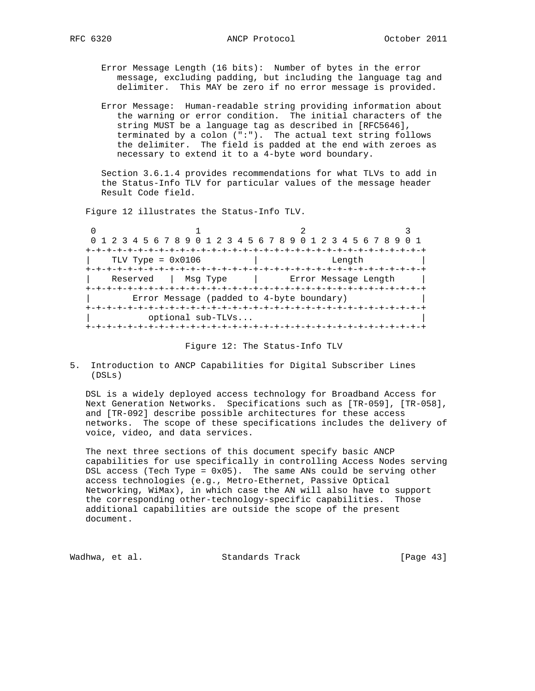Error Message Length (16 bits): Number of bytes in the error message, excluding padding, but including the language tag and delimiter. This MAY be zero if no error message is provided.

 Error Message: Human-readable string providing information about the warning or error condition. The initial characters of the string MUST be a language tag as described in [RFC5646], terminated by a colon (":"). The actual text string follows the delimiter. The field is padded at the end with zeroes as necessary to extend it to a 4-byte word boundary.

 Section 3.6.1.4 provides recommendations for what TLVs to add in the Status-Info TLV for particular values of the message header Result Code field.

Figure 12 illustrates the Status-Info TLV.

 $\begin{array}{ccccccc}\n0 & & & & 1 & & & 2 & & & 3\n\end{array}$  0 1 2 3 4 5 6 7 8 9 0 1 2 3 4 5 6 7 8 9 0 1 2 3 4 5 6 7 8 9 0 1 +-+-+-+-+-+-+-+-+-+-+-+-+-+-+-+-+-+-+-+-+-+-+-+-+-+-+-+-+-+-+-+-+ | TLV Type = 0x0106 | Length | +-+-+-+-+-+-+-+-+-+-+-+-+-+-+-+-+-+-+-+-+-+-+-+-+-+-+-+-+-+-+-+-+ | Reserved | Msg Type | Error Message Length | +-+-+-+-+-+-+-+-+-+-+-+-+-+-+-+-+-+-+-+-+-+-+-+-+-+-+-+-+-+-+-+-+ | Error Message (padded to 4-byte boundary) | +-+-+-+-+-+-+-+-+-+-+-+-+-+-+-+-+-+-+-+-+-+-+-+-+-+-+-+-+-+-+-+-+ | optional sub-TLVs... | +-+-+-+-+-+-+-+-+-+-+-+-+-+-+-+-+-+-+-+-+-+-+-+-+-+-+-+-+-+-+-+-+

|  |  |  | Figure 12: The Status-Info TLV |  |
|--|--|--|--------------------------------|--|
|--|--|--|--------------------------------|--|

5. Introduction to ANCP Capabilities for Digital Subscriber Lines (DSLs)

 DSL is a widely deployed access technology for Broadband Access for Next Generation Networks. Specifications such as [TR-059], [TR-058], and [TR-092] describe possible architectures for these access networks. The scope of these specifications includes the delivery of voice, video, and data services.

 The next three sections of this document specify basic ANCP capabilities for use specifically in controlling Access Nodes serving DSL access (Tech Type = 0x05). The same ANs could be serving other access technologies (e.g., Metro-Ethernet, Passive Optical Networking, WiMax), in which case the AN will also have to support the corresponding other-technology-specific capabilities. Those additional capabilities are outside the scope of the present document.

Wadhwa, et al. Standards Track [Page 43]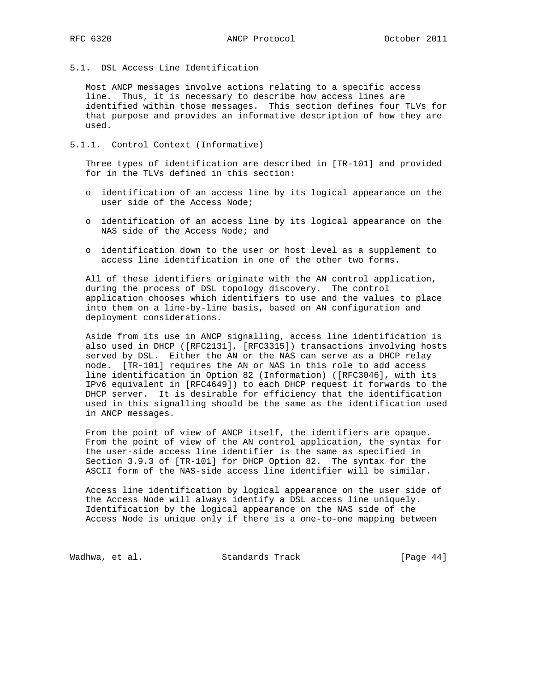5.1. DSL Access Line Identification

 Most ANCP messages involve actions relating to a specific access line. Thus, it is necessary to describe how access lines are identified within those messages. This section defines four TLVs for that purpose and provides an informative description of how they are used.

5.1.1. Control Context (Informative)

 Three types of identification are described in [TR-101] and provided for in the TLVs defined in this section:

- o identification of an access line by its logical appearance on the user side of the Access Node;
- o identification of an access line by its logical appearance on the NAS side of the Access Node; and
- o identification down to the user or host level as a supplement to access line identification in one of the other two forms.

 All of these identifiers originate with the AN control application, during the process of DSL topology discovery. The control application chooses which identifiers to use and the values to place into them on a line-by-line basis, based on AN configuration and deployment considerations.

 Aside from its use in ANCP signalling, access line identification is also used in DHCP ([RFC2131], [RFC3315]) transactions involving hosts served by DSL. Either the AN or the NAS can serve as a DHCP relay node. [TR-101] requires the AN or NAS in this role to add access line identification in Option 82 (Information) ([RFC3046], with its IPv6 equivalent in [RFC4649]) to each DHCP request it forwards to the DHCP server. It is desirable for efficiency that the identification used in this signalling should be the same as the identification used in ANCP messages.

 From the point of view of ANCP itself, the identifiers are opaque. From the point of view of the AN control application, the syntax for the user-side access line identifier is the same as specified in Section 3.9.3 of [TR-101] for DHCP Option 82. The syntax for the ASCII form of the NAS-side access line identifier will be similar.

 Access line identification by logical appearance on the user side of the Access Node will always identify a DSL access line uniquely. Identification by the logical appearance on the NAS side of the Access Node is unique only if there is a one-to-one mapping between

Wadhwa, et al. Standards Track [Page 44]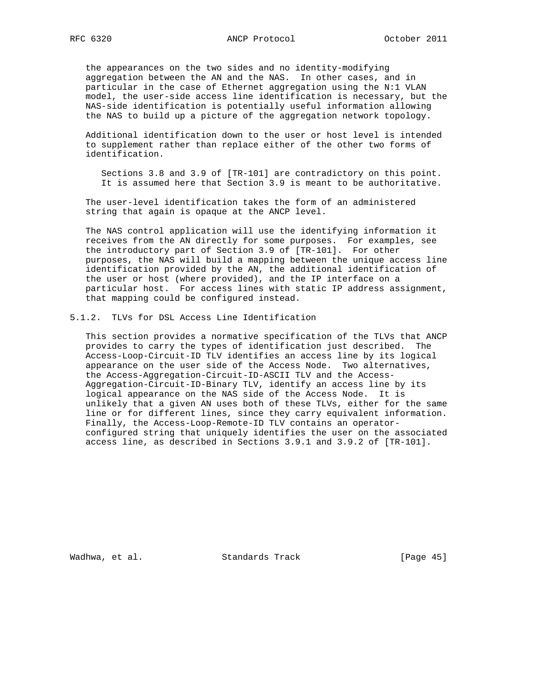the appearances on the two sides and no identity-modifying aggregation between the AN and the NAS. In other cases, and in particular in the case of Ethernet aggregation using the N:1 VLAN model, the user-side access line identification is necessary, but the NAS-side identification is potentially useful information allowing the NAS to build up a picture of the aggregation network topology.

 Additional identification down to the user or host level is intended to supplement rather than replace either of the other two forms of identification.

 Sections 3.8 and 3.9 of [TR-101] are contradictory on this point. It is assumed here that Section 3.9 is meant to be authoritative.

 The user-level identification takes the form of an administered string that again is opaque at the ANCP level.

 The NAS control application will use the identifying information it receives from the AN directly for some purposes. For examples, see the introductory part of Section 3.9 of [TR-101]. For other purposes, the NAS will build a mapping between the unique access line identification provided by the AN, the additional identification of the user or host (where provided), and the IP interface on a particular host. For access lines with static IP address assignment, that mapping could be configured instead.

5.1.2. TLVs for DSL Access Line Identification

 This section provides a normative specification of the TLVs that ANCP provides to carry the types of identification just described. The Access-Loop-Circuit-ID TLV identifies an access line by its logical appearance on the user side of the Access Node. Two alternatives, the Access-Aggregation-Circuit-ID-ASCII TLV and the Access- Aggregation-Circuit-ID-Binary TLV, identify an access line by its logical appearance on the NAS side of the Access Node. It is unlikely that a given AN uses both of these TLVs, either for the same line or for different lines, since they carry equivalent information. Finally, the Access-Loop-Remote-ID TLV contains an operator configured string that uniquely identifies the user on the associated access line, as described in Sections 3.9.1 and 3.9.2 of [TR-101].

Wadhwa, et al. Standards Track [Page 45]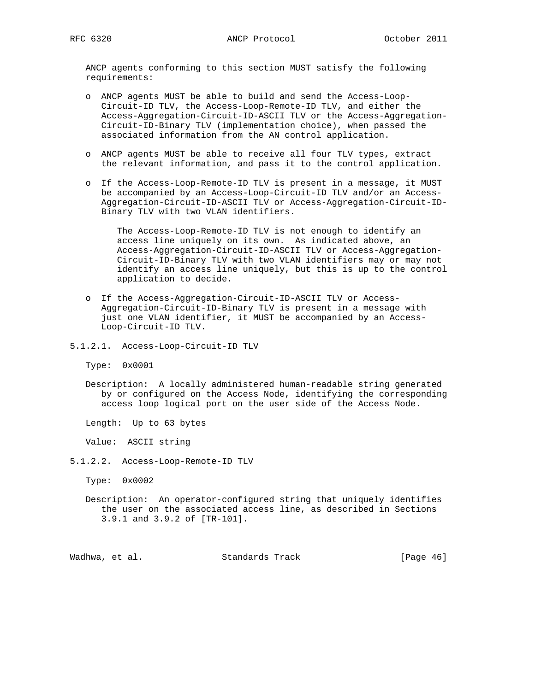ANCP agents conforming to this section MUST satisfy the following requirements:

- o ANCP agents MUST be able to build and send the Access-Loop- Circuit-ID TLV, the Access-Loop-Remote-ID TLV, and either the Access-Aggregation-Circuit-ID-ASCII TLV or the Access-Aggregation- Circuit-ID-Binary TLV (implementation choice), when passed the associated information from the AN control application.
- o ANCP agents MUST be able to receive all four TLV types, extract the relevant information, and pass it to the control application.
- o If the Access-Loop-Remote-ID TLV is present in a message, it MUST be accompanied by an Access-Loop-Circuit-ID TLV and/or an Access- Aggregation-Circuit-ID-ASCII TLV or Access-Aggregation-Circuit-ID- Binary TLV with two VLAN identifiers.

 The Access-Loop-Remote-ID TLV is not enough to identify an access line uniquely on its own. As indicated above, an Access-Aggregation-Circuit-ID-ASCII TLV or Access-Aggregation- Circuit-ID-Binary TLV with two VLAN identifiers may or may not identify an access line uniquely, but this is up to the control application to decide.

- o If the Access-Aggregation-Circuit-ID-ASCII TLV or Access- Aggregation-Circuit-ID-Binary TLV is present in a message with just one VLAN identifier, it MUST be accompanied by an Access- Loop-Circuit-ID TLV.
- 5.1.2.1. Access-Loop-Circuit-ID TLV

Type: 0x0001

 Description: A locally administered human-readable string generated by or configured on the Access Node, identifying the corresponding access loop logical port on the user side of the Access Node.

Length: Up to 63 bytes

Value: ASCII string

5.1.2.2. Access-Loop-Remote-ID TLV

Type: 0x0002

 Description: An operator-configured string that uniquely identifies the user on the associated access line, as described in Sections 3.9.1 and 3.9.2 of [TR-101].

Wadhwa, et al. Standards Track [Page 46]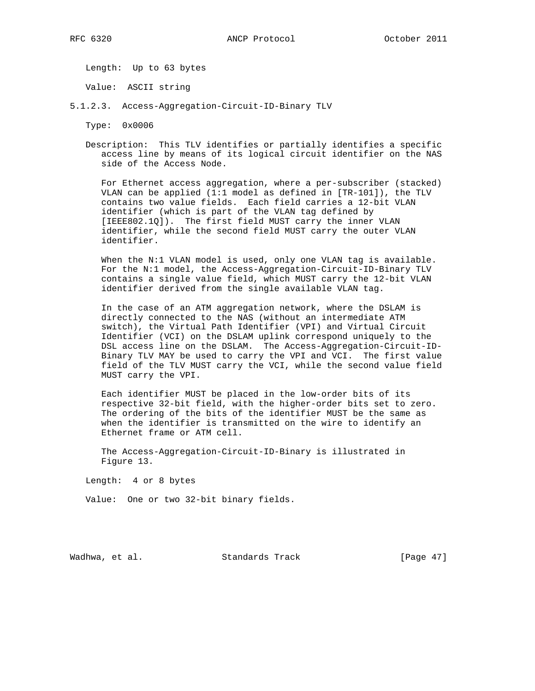Length: Up to 63 bytes

Value: ASCII string

5.1.2.3. Access-Aggregation-Circuit-ID-Binary TLV

Type: 0x0006

 Description: This TLV identifies or partially identifies a specific access line by means of its logical circuit identifier on the NAS side of the Access Node.

 For Ethernet access aggregation, where a per-subscriber (stacked) VLAN can be applied (1:1 model as defined in [TR-101]), the TLV contains two value fields. Each field carries a 12-bit VLAN identifier (which is part of the VLAN tag defined by [IEEE802.1Q]). The first field MUST carry the inner VLAN identifier, while the second field MUST carry the outer VLAN identifier.

When the N:1 VLAN model is used, only one VLAN tag is available. For the N:1 model, the Access-Aggregation-Circuit-ID-Binary TLV contains a single value field, which MUST carry the 12-bit VLAN identifier derived from the single available VLAN tag.

 In the case of an ATM aggregation network, where the DSLAM is directly connected to the NAS (without an intermediate ATM switch), the Virtual Path Identifier (VPI) and Virtual Circuit Identifier (VCI) on the DSLAM uplink correspond uniquely to the DSL access line on the DSLAM. The Access-Aggregation-Circuit-ID- Binary TLV MAY be used to carry the VPI and VCI. The first value field of the TLV MUST carry the VCI, while the second value field MUST carry the VPI.

 Each identifier MUST be placed in the low-order bits of its respective 32-bit field, with the higher-order bits set to zero. The ordering of the bits of the identifier MUST be the same as when the identifier is transmitted on the wire to identify an Ethernet frame or ATM cell.

 The Access-Aggregation-Circuit-ID-Binary is illustrated in Figure 13.

Length: 4 or 8 bytes

Value: One or two 32-bit binary fields.

Wadhwa, et al. Standards Track [Page 47]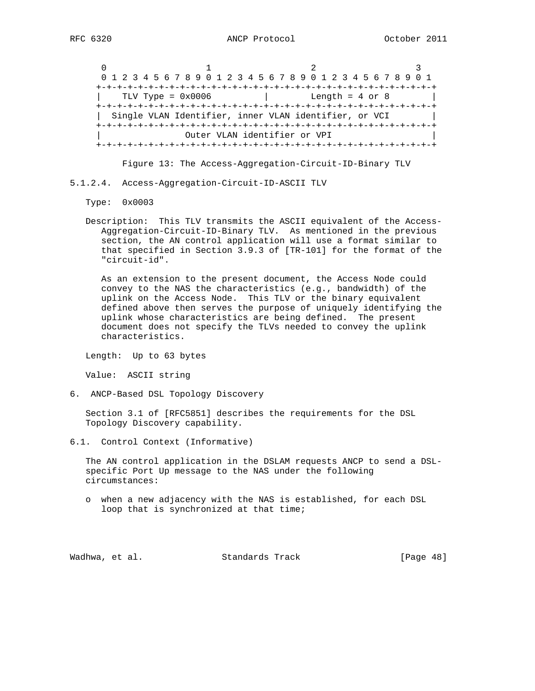$0$  and  $1$  and  $2$  3 0 1 2 3 4 5 6 7 8 9 0 1 2 3 4 5 6 7 8 9 0 1 2 3 4 5 6 7 8 9 0 1 +-+-+-+-+-+-+-+-+-+-+-+-+-+-+-+-+-+-+-+-+-+-+-+-+-+-+-+-+-+-+-+-+ | TLV Type = 0x0006 | Length = 4 or 8 | +-+-+-+-+-+-+-+-+-+-+-+-+-+-+-+-+-+-+-+-+-+-+-+-+-+-+-+-+-+-+-+-+ | Single VLAN Identifier, inner VLAN identifier, or VCI | +-+-+-+-+-+-+-+-+-+-+-+-+-+-+-+-+-+-+-+-+-+-+-+-+-+-+-+-+-+-+-+-+ Outer VLAN identifier or VPI +-+-+-+-+-+-+-+-+-+-+-+-+-+-+-+-+-+-+-+-+-+-+-+-+-+-+-+-+-+-+-+-+

Figure 13: The Access-Aggregation-Circuit-ID-Binary TLV

5.1.2.4. Access-Aggregation-Circuit-ID-ASCII TLV

Type: 0x0003

 Description: This TLV transmits the ASCII equivalent of the Access- Aggregation-Circuit-ID-Binary TLV. As mentioned in the previous section, the AN control application will use a format similar to that specified in Section 3.9.3 of [TR-101] for the format of the "circuit-id".

 As an extension to the present document, the Access Node could convey to the NAS the characteristics (e.g., bandwidth) of the uplink on the Access Node. This TLV or the binary equivalent defined above then serves the purpose of uniquely identifying the uplink whose characteristics are being defined. The present document does not specify the TLVs needed to convey the uplink characteristics.

Length: Up to 63 bytes

Value: ASCII string

6. ANCP-Based DSL Topology Discovery

 Section 3.1 of [RFC5851] describes the requirements for the DSL Topology Discovery capability.

6.1. Control Context (Informative)

 The AN control application in the DSLAM requests ANCP to send a DSL specific Port Up message to the NAS under the following circumstances:

 o when a new adjacency with the NAS is established, for each DSL loop that is synchronized at that time;

Wadhwa, et al. Standards Track [Page 48]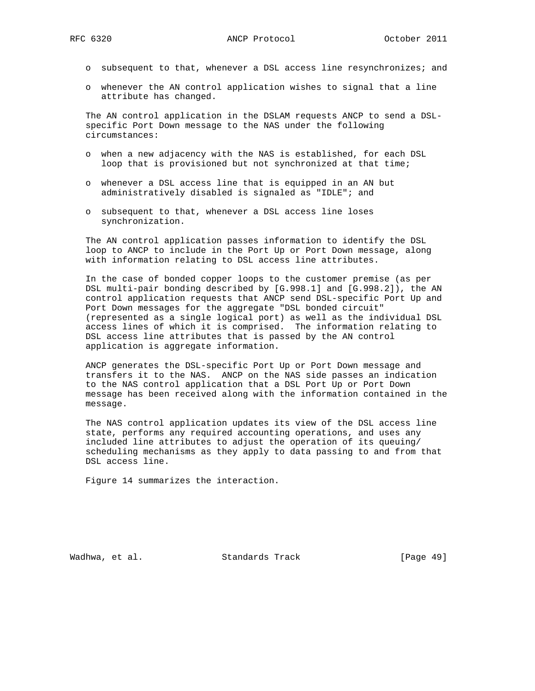- o subsequent to that, whenever a DSL access line resynchronizes; and
- o whenever the AN control application wishes to signal that a line attribute has changed.

 The AN control application in the DSLAM requests ANCP to send a DSL specific Port Down message to the NAS under the following circumstances:

- o when a new adjacency with the NAS is established, for each DSL loop that is provisioned but not synchronized at that time;
- o whenever a DSL access line that is equipped in an AN but administratively disabled is signaled as "IDLE"; and
- o subsequent to that, whenever a DSL access line loses synchronization.

 The AN control application passes information to identify the DSL loop to ANCP to include in the Port Up or Port Down message, along with information relating to DSL access line attributes.

 In the case of bonded copper loops to the customer premise (as per DSL multi-pair bonding described by [G.998.1] and [G.998.2]), the AN control application requests that ANCP send DSL-specific Port Up and Port Down messages for the aggregate "DSL bonded circuit" (represented as a single logical port) as well as the individual DSL access lines of which it is comprised. The information relating to DSL access line attributes that is passed by the AN control application is aggregate information.

 ANCP generates the DSL-specific Port Up or Port Down message and transfers it to the NAS. ANCP on the NAS side passes an indication to the NAS control application that a DSL Port Up or Port Down message has been received along with the information contained in the message.

 The NAS control application updates its view of the DSL access line state, performs any required accounting operations, and uses any included line attributes to adjust the operation of its queuing/ scheduling mechanisms as they apply to data passing to and from that DSL access line.

Figure 14 summarizes the interaction.

Wadhwa, et al. Standards Track [Page 49]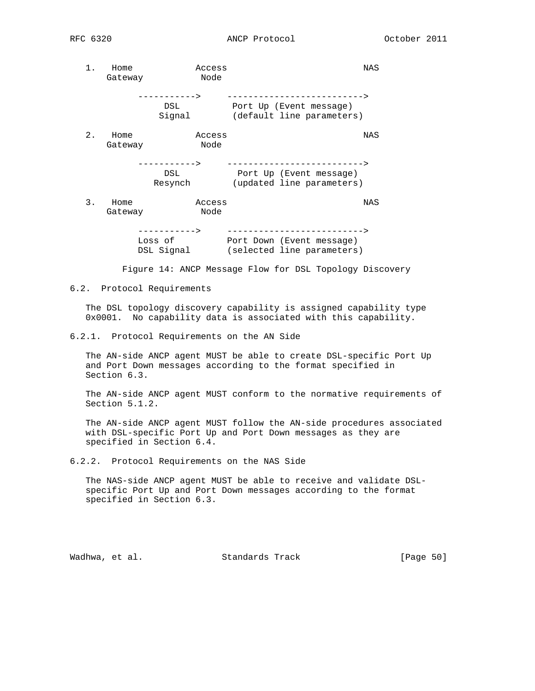1. Home Access Access Gateway Node -----------> --------------------------> DSL Port Up (Event message) Signal (default line parameters) 2. Home Access Access Gateway Node -----------> --------------------------> DSL Port Up (Event message) Resynch (updated line parameters) 3. Home Access NAS Gateway Node -----------> --------------------------> Loss of Port Down (Event message) DSL Signal (selected line parameters)

Figure 14: ANCP Message Flow for DSL Topology Discovery

6.2. Protocol Requirements

 The DSL topology discovery capability is assigned capability type 0x0001. No capability data is associated with this capability.

6.2.1. Protocol Requirements on the AN Side

 The AN-side ANCP agent MUST be able to create DSL-specific Port Up and Port Down messages according to the format specified in Section 6.3.

 The AN-side ANCP agent MUST conform to the normative requirements of Section 5.1.2.

 The AN-side ANCP agent MUST follow the AN-side procedures associated with DSL-specific Port Up and Port Down messages as they are specified in Section 6.4.

6.2.2. Protocol Requirements on the NAS Side

 The NAS-side ANCP agent MUST be able to receive and validate DSL specific Port Up and Port Down messages according to the format specified in Section 6.3.

Wadhwa, et al. Standards Track [Page 50]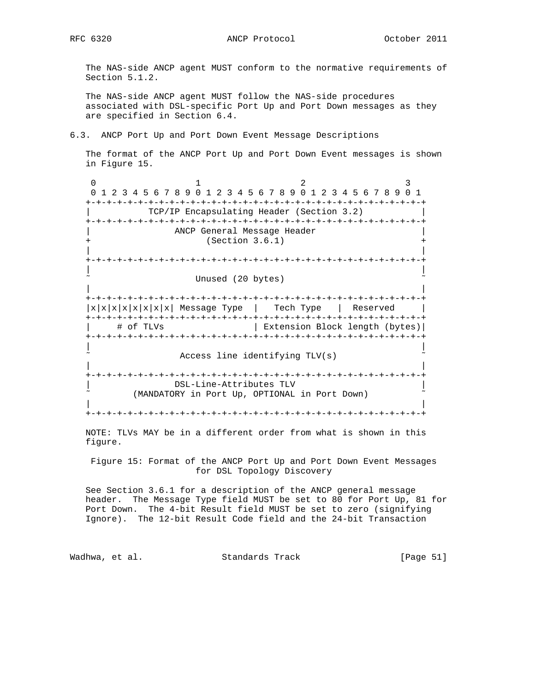The NAS-side ANCP agent MUST conform to the normative requirements of Section 5.1.2.

 The NAS-side ANCP agent MUST follow the NAS-side procedures associated with DSL-specific Port Up and Port Down messages as they are specified in Section 6.4.

6.3. ANCP Port Up and Port Down Event Message Descriptions

 The format of the ANCP Port Up and Port Down Event messages is shown in Figure 15.

0  $1$  2 3 0 1 2 3 4 5 6 7 8 9 0 1 2 3 4 5 6 7 8 9 0 1 2 3 4 5 6 7 8 9 0 1 +-+-+-+-+-+-+-+-+-+-+-+-+-+-+-+-+-+-+-+-+-+-+-+-+-+-+-+-+-+-+-+-+ | TCP/IP Encapsulating Header (Section 3.2) | +-+-+-+-+-+-+-+-+-+-+-+-+-+-+-+-+-+-+-+-+-+-+-+-+-+-+-+-+-+-+-+-+ ANCP General Message Header  $(Section 3.6.1)$  | | +-+-+-+-+-+-+-+-+-+-+-+-+-+-+-+-+-+-+-+-+-+-+-+-+-+-+-+-+-+-+-+-+ | | Unused (20 bytes) | | +-+-+-+-+-+-+-+-+-+-+-+-+-+-+-+-+-+-+-+-+-+-+-+-+-+-+-+-+-+-+-+-+  $|x|x|x|x|x|x|$  Message Type | Tech Type | Reserved | +-+-+-+-+-+-+-+-+-+-+-+-+-+-+-+-+-+-+-+-+-+-+-+-+-+-+-+-+-+-+-+-+ | # of TLVs | Extension Block length (bytes)| +-+-+-+-+-+-+-+-+-+-+-+-+-+-+-+-+-+-+-+-+-+-+-+-+-+-+-+-+-+-+-+-+ | | Access line identifying TLV(s) | | +-+-+-+-+-+-+-+-+-+-+-+-+-+-+-+-+-+-+-+-+-+-+-+-+-+-+-+-+-+-+-+-+ | DSL-Line-Attributes TLV | (MANDATORY in Port Up, OPTIONAL in Port Down) | | +-+-+-+-+-+-+-+-+-+-+-+-+-+-+-+-+-+-+-+-+-+-+-+-+-+-+-+-+-+-+-+-+

 NOTE: TLVs MAY be in a different order from what is shown in this figure.

 Figure 15: Format of the ANCP Port Up and Port Down Event Messages for DSL Topology Discovery

 See Section 3.6.1 for a description of the ANCP general message header. The Message Type field MUST be set to 80 for Port Up, 81 for Port Down. The 4-bit Result field MUST be set to zero (signifying Ignore). The 12-bit Result Code field and the 24-bit Transaction

Wadhwa, et al. Standards Track [Page 51]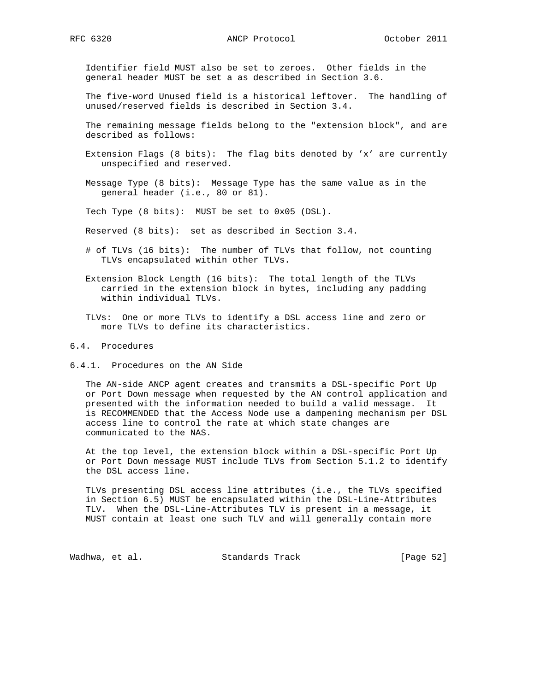Identifier field MUST also be set to zeroes. Other fields in the general header MUST be set a as described in Section 3.6.

 The five-word Unused field is a historical leftover. The handling of unused/reserved fields is described in Section 3.4.

 The remaining message fields belong to the "extension block", and are described as follows:

- Extension Flags  $(8 \text{ bits})$ : The flag bits denoted by 'x' are currently unspecified and reserved.
- Message Type (8 bits): Message Type has the same value as in the general header (i.e., 80 or 81).

Tech Type (8 bits): MUST be set to 0x05 (DSL).

- Reserved (8 bits): set as described in Section 3.4.
- # of TLVs (16 bits): The number of TLVs that follow, not counting TLVs encapsulated within other TLVs.
- Extension Block Length (16 bits): The total length of the TLVs carried in the extension block in bytes, including any padding within individual TLVs.
- TLVs: One or more TLVs to identify a DSL access line and zero or more TLVs to define its characteristics.

## 6.4. Procedures

6.4.1. Procedures on the AN Side

 The AN-side ANCP agent creates and transmits a DSL-specific Port Up or Port Down message when requested by the AN control application and presented with the information needed to build a valid message. It is RECOMMENDED that the Access Node use a dampening mechanism per DSL access line to control the rate at which state changes are communicated to the NAS.

 At the top level, the extension block within a DSL-specific Port Up or Port Down message MUST include TLVs from Section 5.1.2 to identify the DSL access line.

 TLVs presenting DSL access line attributes (i.e., the TLVs specified in Section 6.5) MUST be encapsulated within the DSL-Line-Attributes TLV. When the DSL-Line-Attributes TLV is present in a message, it MUST contain at least one such TLV and will generally contain more

Wadhwa, et al. Standards Track [Page 52]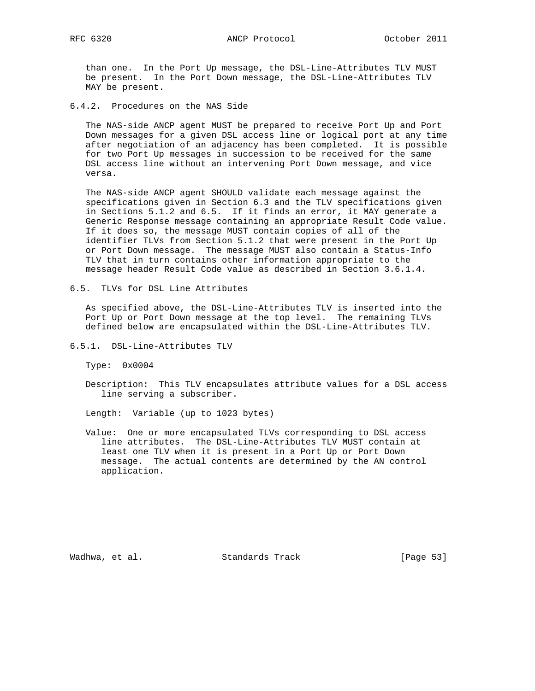than one. In the Port Up message, the DSL-Line-Attributes TLV MUST be present. In the Port Down message, the DSL-Line-Attributes TLV MAY be present.

6.4.2. Procedures on the NAS Side

 The NAS-side ANCP agent MUST be prepared to receive Port Up and Port Down messages for a given DSL access line or logical port at any time after negotiation of an adjacency has been completed. It is possible for two Port Up messages in succession to be received for the same DSL access line without an intervening Port Down message, and vice versa.

 The NAS-side ANCP agent SHOULD validate each message against the specifications given in Section 6.3 and the TLV specifications given in Sections 5.1.2 and 6.5. If it finds an error, it MAY generate a Generic Response message containing an appropriate Result Code value. If it does so, the message MUST contain copies of all of the identifier TLVs from Section 5.1.2 that were present in the Port Up or Port Down message. The message MUST also contain a Status-Info TLV that in turn contains other information appropriate to the message header Result Code value as described in Section 3.6.1.4.

6.5. TLVs for DSL Line Attributes

 As specified above, the DSL-Line-Attributes TLV is inserted into the Port Up or Port Down message at the top level. The remaining TLVs defined below are encapsulated within the DSL-Line-Attributes TLV.

6.5.1. DSL-Line-Attributes TLV

Type: 0x0004

 Description: This TLV encapsulates attribute values for a DSL access line serving a subscriber.

Length: Variable (up to 1023 bytes)

 Value: One or more encapsulated TLVs corresponding to DSL access line attributes. The DSL-Line-Attributes TLV MUST contain at least one TLV when it is present in a Port Up or Port Down message. The actual contents are determined by the AN control application.

Wadhwa, et al. Standards Track (Page 53)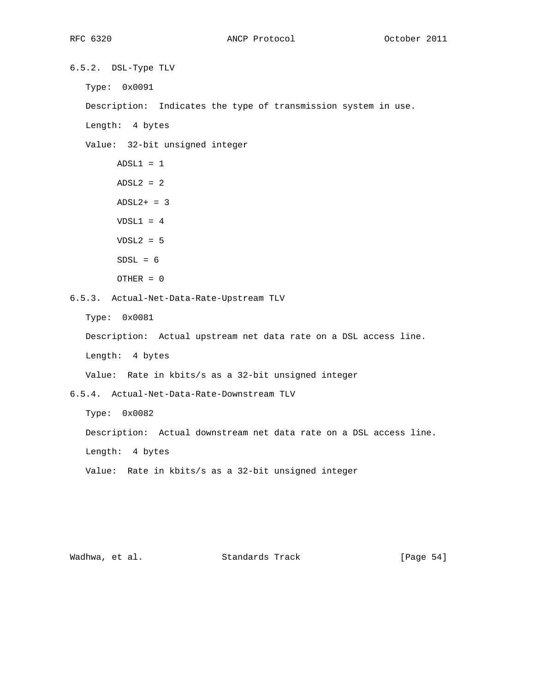6.5.2. DSL-Type TLV

Type: 0x0091

Description: Indicates the type of transmission system in use.

Length: 4 bytes

Value: 32-bit unsigned integer

```
ADSL1 = 1ADSL2 = 2ADSL2+ = 3VDSL1 = 4VDSL2 = 5SDSL = 6 OTHER = 0
```
6.5.3. Actual-Net-Data-Rate-Upstream TLV

Type: 0x0081

Description: Actual upstream net data rate on a DSL access line.

Length: 4 bytes

Value: Rate in kbits/s as a 32-bit unsigned integer

6.5.4. Actual-Net-Data-Rate-Downstream TLV

Type: 0x0082

Description: Actual downstream net data rate on a DSL access line.

Length: 4 bytes

Value: Rate in kbits/s as a 32-bit unsigned integer

Wadhwa, et al. Standards Track [Page 54]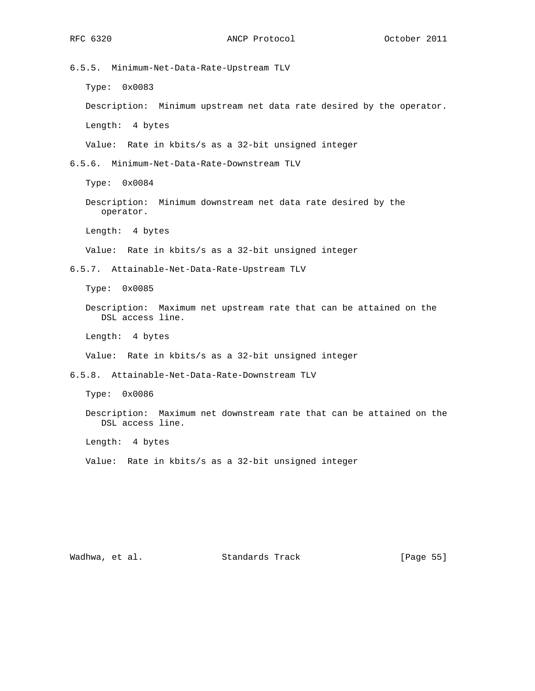6.5.5. Minimum-Net-Data-Rate-Upstream TLV

Type: 0x0083

Description: Minimum upstream net data rate desired by the operator.

Length: 4 bytes

Value: Rate in kbits/s as a 32-bit unsigned integer

6.5.6. Minimum-Net-Data-Rate-Downstream TLV

Type: 0x0084

 Description: Minimum downstream net data rate desired by the operator.

Length: 4 bytes

Value: Rate in kbits/s as a 32-bit unsigned integer

6.5.7. Attainable-Net-Data-Rate-Upstream TLV

Type: 0x0085

 Description: Maximum net upstream rate that can be attained on the DSL access line.

Length: 4 bytes

Value: Rate in kbits/s as a 32-bit unsigned integer

6.5.8. Attainable-Net-Data-Rate-Downstream TLV

Type: 0x0086

 Description: Maximum net downstream rate that can be attained on the DSL access line.

Length: 4 bytes

Value: Rate in kbits/s as a 32-bit unsigned integer

Wadhwa, et al. Standards Track [Page 55]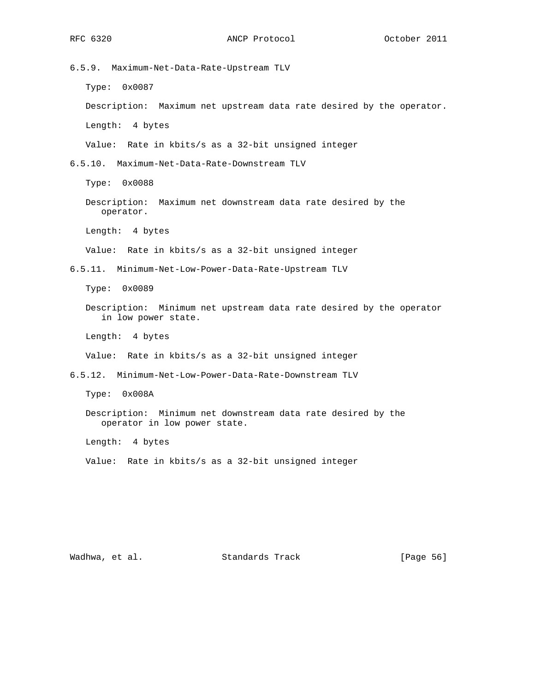6.5.9. Maximum-Net-Data-Rate-Upstream TLV Type: 0x0087 Description: Maximum net upstream data rate desired by the operator. Length: 4 bytes Value: Rate in kbits/s as a 32-bit unsigned integer 6.5.10. Maximum-Net-Data-Rate-Downstream TLV Type: 0x0088 Description: Maximum net downstream data rate desired by the operator. Length: 4 bytes Value: Rate in kbits/s as a 32-bit unsigned integer 6.5.11. Minimum-Net-Low-Power-Data-Rate-Upstream TLV Type: 0x0089 Description: Minimum net upstream data rate desired by the operator in low power state. Length: 4 bytes Value: Rate in kbits/s as a 32-bit unsigned integer 6.5.12. Minimum-Net-Low-Power-Data-Rate-Downstream TLV Type: 0x008A Description: Minimum net downstream data rate desired by the operator in low power state. Length: 4 bytes Value: Rate in kbits/s as a 32-bit unsigned integer

Wadhwa, et al. Standards Track [Page 56]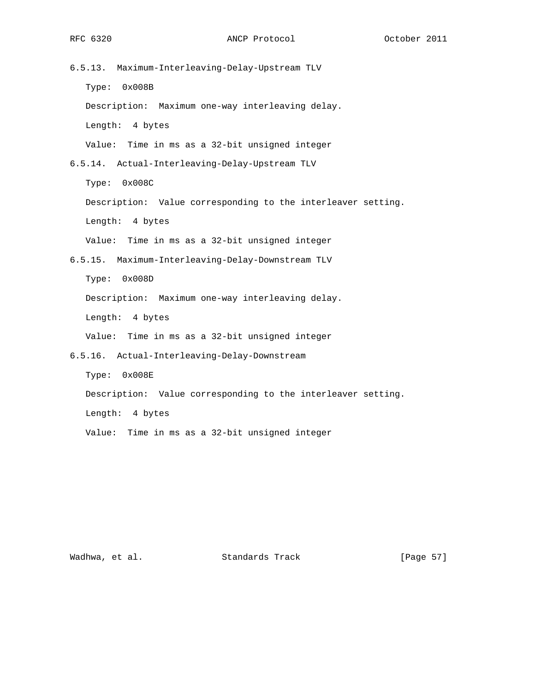6.5.13. Maximum-Interleaving-Delay-Upstream TLV Type: 0x008B Description: Maximum one-way interleaving delay. Length: 4 bytes Value: Time in ms as a 32-bit unsigned integer 6.5.14. Actual-Interleaving-Delay-Upstream TLV Type: 0x008C Description: Value corresponding to the interleaver setting. Length: 4 bytes Value: Time in ms as a 32-bit unsigned integer 6.5.15. Maximum-Interleaving-Delay-Downstream TLV Type: 0x008D Description: Maximum one-way interleaving delay. Length: 4 bytes Value: Time in ms as a 32-bit unsigned integer 6.5.16. Actual-Interleaving-Delay-Downstream Type: 0x008E Description: Value corresponding to the interleaver setting. Length: 4 bytes

Value: Time in ms as a 32-bit unsigned integer

Wadhwa, et al. Standards Track [Page 57]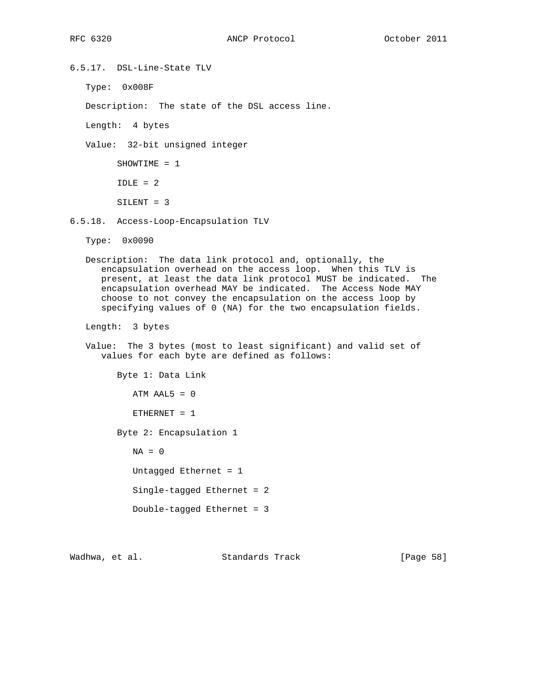6.5.17. DSL-Line-State TLV

Type: 0x008F

Description: The state of the DSL access line.

Length: 4 bytes

Value: 32-bit unsigned integer

 SHOWTIME = 1  $IDLE = 2$ 

SILENT = 3

6.5.18. Access-Loop-Encapsulation TLV

Type: 0x0090

 Description: The data link protocol and, optionally, the encapsulation overhead on the access loop. When this TLV is present, at least the data link protocol MUST be indicated. The encapsulation overhead MAY be indicated. The Access Node MAY choose to not convey the encapsulation on the access loop by specifying values of 0 (NA) for the two encapsulation fields.

Length: 3 bytes

 Value: The 3 bytes (most to least significant) and valid set of values for each byte are defined as follows:

 Byte 1: Data Link  $ATM$  AAL $5 = 0$  $ETHERNET = 1$  Byte 2: Encapsulation 1  $NA = 0$ Untagged Ethernet = 1

Single-tagged Ethernet = 2

Double-tagged Ethernet = 3

Wadhwa, et al. Standards Track [Page 58]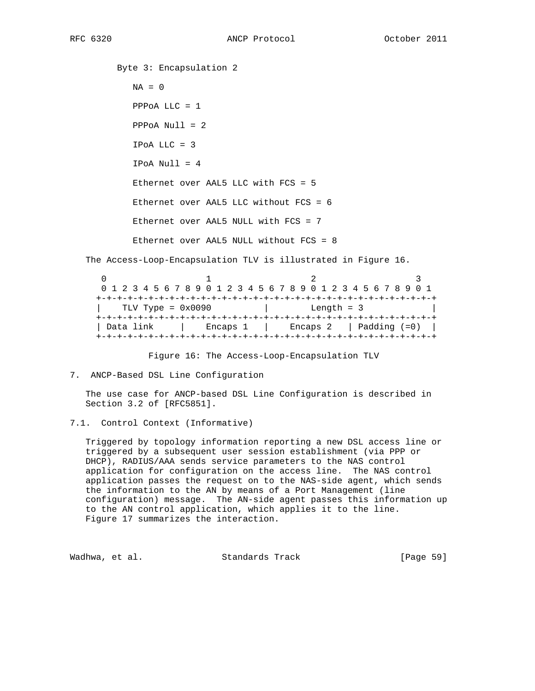Byte 3: Encapsulation 2  $NA = 0$  PPPoA LLC = 1 PPPoA Null = 2 IPoA LLC = 3  $IPoA Null = 4$  Ethernet over AAL5 LLC with FCS = 5 Ethernet over AAL5 LLC without FCS = 6 Ethernet over AAL5 NULL with FCS = 7 Ethernet over AAL5 NULL without FCS = 8 The Access-Loop-Encapsulation TLV is illustrated in Figure 16.

 $0$  and  $1$  and  $2$  3 0 1 2 3 4 5 6 7 8 9 0 1 2 3 4 5 6 7 8 9 0 1 2 3 4 5 6 7 8 9 0 1 +-+-+-+-+-+-+-+-+-+-+-+-+-+-+-+-+-+-+-+-+-+-+-+-+-+-+-+-+-+-+-+-+ | TLV Type = 0x0090 | Length = 3 | +-+-+-+-+-+-+-+-+-+-+-+-+-+-+-+-+-+-+-+-+-+-+-+-+-+-+-+-+-+-+-+-+ | Data link | Encaps 1 | Encaps 2 | Padding (=0) | +-+-+-+-+-+-+-+-+-+-+-+-+-+-+-+-+-+-+-+-+-+-+-+-+-+-+-+-+-+-+-+-+

Figure 16: The Access-Loop-Encapsulation TLV

 The use case for ANCP-based DSL Line Configuration is described in Section 3.2 of [RFC5851].

 Triggered by topology information reporting a new DSL access line or triggered by a subsequent user session establishment (via PPP or DHCP), RADIUS/AAA sends service parameters to the NAS control application for configuration on the access line. The NAS control application passes the request on to the NAS-side agent, which sends the information to the AN by means of a Port Management (line configuration) message. The AN-side agent passes this information up to the AN control application, which applies it to the line. Figure 17 summarizes the interaction.

Wadhwa, et al. Standards Track [Page 59]

<sup>7.</sup> ANCP-Based DSL Line Configuration

<sup>7.1.</sup> Control Context (Informative)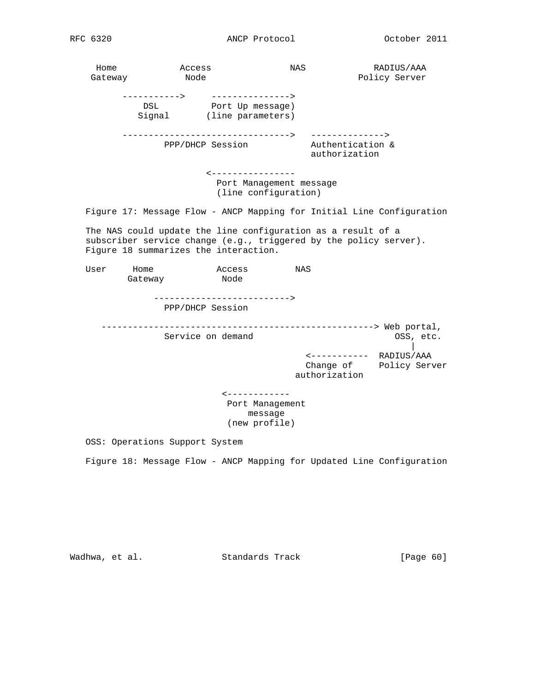Home Access NAS RADIUS/AAA Gateway Node Policy Server -----------> ---------------> DSL Port Up message) Signal (line parameters) --------------------------------> --------------> PPP/DHCP Session **Authentication &**  authorization <---------------- Port Management message (line configuration) Figure 17: Message Flow - ANCP Mapping for Initial Line Configuration The NAS could update the line configuration as a result of a subscriber service change (e.g., triggered by the policy server). Figure 18 summarizes the interaction. User Home **Access** NAS Gateway Node --------------------------> PPP/DHCP Session ----------------------------------------------------> Web portal, Service on demand  $OSS$ , etc. | <----------- RADIUS/AAA Change of Policy Server authorization <------------ Port Management message (new profile) OSS: Operations Support System

Figure 18: Message Flow - ANCP Mapping for Updated Line Configuration

Wadhwa, et al. Standards Track [Page 60]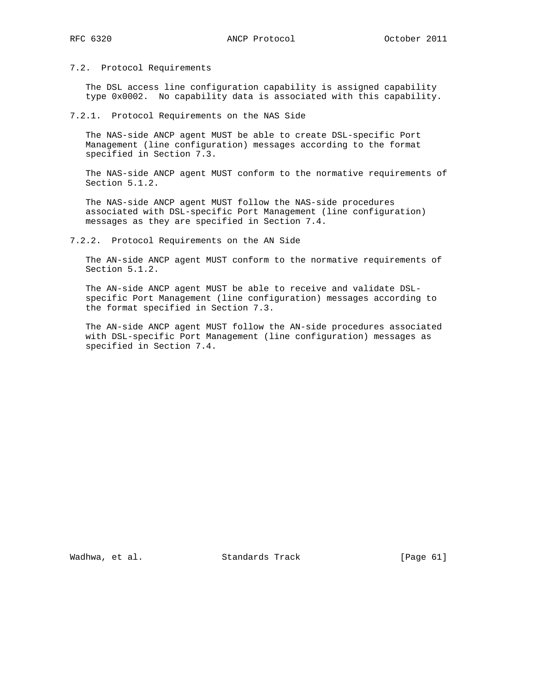### 7.2. Protocol Requirements

 The DSL access line configuration capability is assigned capability type 0x0002. No capability data is associated with this capability.

### 7.2.1. Protocol Requirements on the NAS Side

 The NAS-side ANCP agent MUST be able to create DSL-specific Port Management (line configuration) messages according to the format specified in Section 7.3.

 The NAS-side ANCP agent MUST conform to the normative requirements of Section 5.1.2.

 The NAS-side ANCP agent MUST follow the NAS-side procedures associated with DSL-specific Port Management (line configuration) messages as they are specified in Section 7.4.

7.2.2. Protocol Requirements on the AN Side

 The AN-side ANCP agent MUST conform to the normative requirements of Section 5.1.2.

 The AN-side ANCP agent MUST be able to receive and validate DSL specific Port Management (line configuration) messages according to the format specified in Section 7.3.

 The AN-side ANCP agent MUST follow the AN-side procedures associated with DSL-specific Port Management (line configuration) messages as specified in Section 7.4.

Wadhwa, et al. Standards Track [Page 61]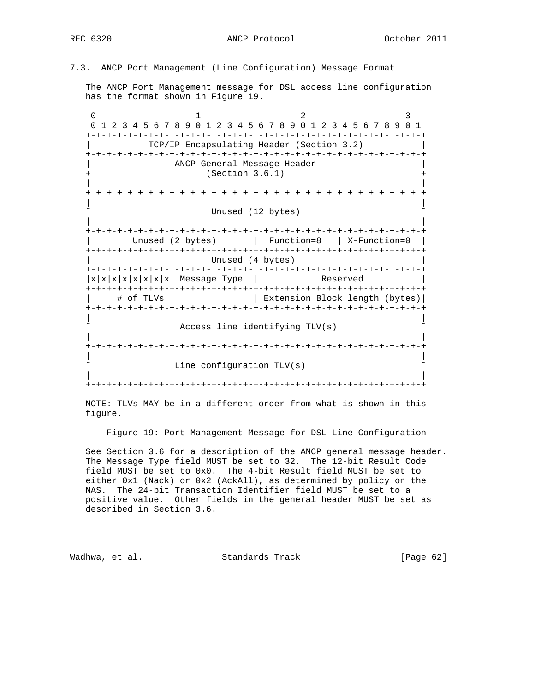7.3. ANCP Port Management (Line Configuration) Message Format

 The ANCP Port Management message for DSL access line configuration has the format shown in Figure 19.

0  $1$  2 3 0 1 2 3 4 5 6 7 8 9 0 1 2 3 4 5 6 7 8 9 0 1 2 3 4 5 6 7 8 9 0 1 +-+-+-+-+-+-+-+-+-+-+-+-+-+-+-+-+-+-+-+-+-+-+-+-+-+-+-+-+-+-+-+-+ | TCP/IP Encapsulating Header (Section 3.2) | +-+-+-+-+-+-+-+-+-+-+-+-+-+-+-+-+-+-+-+-+-+-+-+-+-+-+-+-+-+-+-+-+ ANCP General Message Header  $(Section 3.6.1)$  | | +-+-+-+-+-+-+-+-+-+-+-+-+-+-+-+-+-+-+-+-+-+-+-+-+-+-+-+-+-+-+-+-+ | | Unused (12 bytes) | | +-+-+-+-+-+-+-+-+-+-+-+-+-+-+-+-+-+-+-+-+-+-+-+-+-+-+-+-+-+-+-+-+ | Unused (2 bytes) | Function=8 | X-Function=0 | +-+-+-+-+-+-+-+-+-+-+-+-+-+-+-+-+-+-+-+-+-+-+-+-+-+-+-+-+-+-+-+-+ Unused (4 bytes) +-+-+-+-+-+-+-+-+-+-+-+-+-+-+-+-+-+-+-+-+-+-+-+-+-+-+-+-+-+-+-+-+  $|x|x|x|x|x|x|x|$  Message Type | Reserved | +-+-+-+-+-+-+-+-+-+-+-+-+-+-+-+-+-+-+-+-+-+-+-+-+-+-+-+-+-+-+-+-+ | # of TLVs | Extension Block length (bytes)| +-+-+-+-+-+-+-+-+-+-+-+-+-+-+-+-+-+-+-+-+-+-+-+-+-+-+-+-+-+-+-+-+ | | Access line identifying TLV(s) | | +-+-+-+-+-+-+-+-+-+-+-+-+-+-+-+-+-+-+-+-+-+-+-+-+-+-+-+-+-+-+-+-+ | | Line configuration  $TLV(s)$  | | +-+-+-+-+-+-+-+-+-+-+-+-+-+-+-+-+-+-+-+-+-+-+-+-+-+-+-+-+-+-+-+-+

 NOTE: TLVs MAY be in a different order from what is shown in this figure.

Figure 19: Port Management Message for DSL Line Configuration

 See Section 3.6 for a description of the ANCP general message header. The Message Type field MUST be set to 32. The 12-bit Result Code field MUST be set to 0x0. The 4-bit Result field MUST be set to either 0x1 (Nack) or 0x2 (AckAll), as determined by policy on the NAS. The 24-bit Transaction Identifier field MUST be set to a positive value. Other fields in the general header MUST be set as described in Section 3.6.

Wadhwa, et al. Standards Track [Page 62]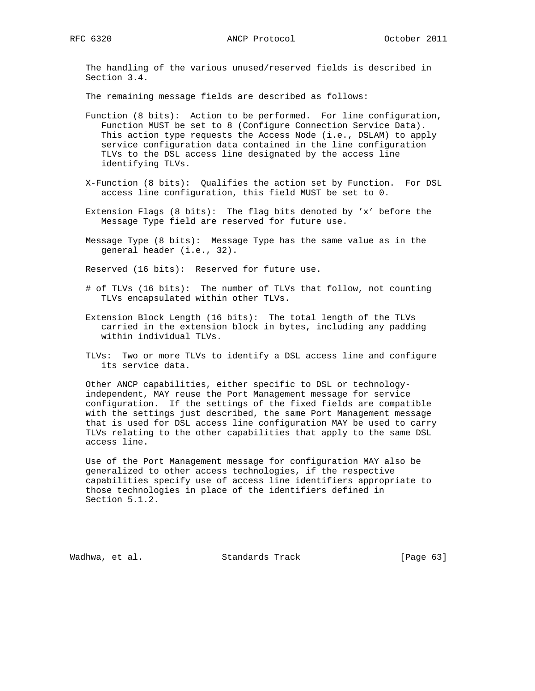The handling of the various unused/reserved fields is described in Section 3.4.

The remaining message fields are described as follows:

- Function (8 bits): Action to be performed. For line configuration, Function MUST be set to 8 (Configure Connection Service Data). This action type requests the Access Node (i.e., DSLAM) to apply service configuration data contained in the line configuration TLVs to the DSL access line designated by the access line identifying TLVs.
- X-Function (8 bits): Qualifies the action set by Function. For DSL access line configuration, this field MUST be set to 0.
- Extension Flags (8 bits): The flag bits denoted by 'x' before the Message Type field are reserved for future use.
- Message Type (8 bits): Message Type has the same value as in the general header (i.e., 32).

Reserved (16 bits): Reserved for future use.

- # of TLVs (16 bits): The number of TLVs that follow, not counting TLVs encapsulated within other TLVs.
- Extension Block Length (16 bits): The total length of the TLVs carried in the extension block in bytes, including any padding within individual TLVs.
- TLVs: Two or more TLVs to identify a DSL access line and configure its service data.

 Other ANCP capabilities, either specific to DSL or technology independent, MAY reuse the Port Management message for service configuration. If the settings of the fixed fields are compatible with the settings just described, the same Port Management message that is used for DSL access line configuration MAY be used to carry TLVs relating to the other capabilities that apply to the same DSL access line.

 Use of the Port Management message for configuration MAY also be generalized to other access technologies, if the respective capabilities specify use of access line identifiers appropriate to those technologies in place of the identifiers defined in Section 5.1.2.

Wadhwa, et al. Standards Track [Page 63]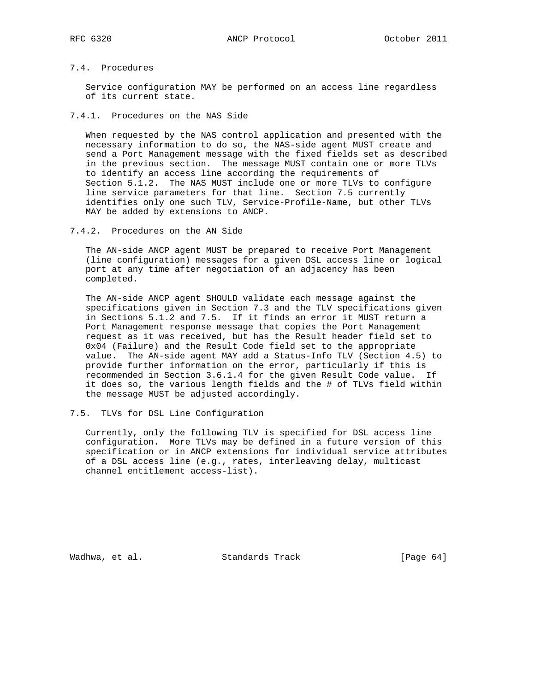# 7.4. Procedures

 Service configuration MAY be performed on an access line regardless of its current state.

## 7.4.1. Procedures on the NAS Side

 When requested by the NAS control application and presented with the necessary information to do so, the NAS-side agent MUST create and send a Port Management message with the fixed fields set as described in the previous section. The message MUST contain one or more TLVs to identify an access line according the requirements of Section 5.1.2. The NAS MUST include one or more TLVs to configure line service parameters for that line. Section 7.5 currently identifies only one such TLV, Service-Profile-Name, but other TLVs MAY be added by extensions to ANCP.

#### 7.4.2. Procedures on the AN Side

 The AN-side ANCP agent MUST be prepared to receive Port Management (line configuration) messages for a given DSL access line or logical port at any time after negotiation of an adjacency has been completed.

 The AN-side ANCP agent SHOULD validate each message against the specifications given in Section 7.3 and the TLV specifications given in Sections 5.1.2 and 7.5. If it finds an error it MUST return a Port Management response message that copies the Port Management request as it was received, but has the Result header field set to 0x04 (Failure) and the Result Code field set to the appropriate value. The AN-side agent MAY add a Status-Info TLV (Section 4.5) to provide further information on the error, particularly if this is recommended in Section 3.6.1.4 for the given Result Code value. If it does so, the various length fields and the # of TLVs field within the message MUST be adjusted accordingly.

### 7.5. TLVs for DSL Line Configuration

 Currently, only the following TLV is specified for DSL access line configuration. More TLVs may be defined in a future version of this specification or in ANCP extensions for individual service attributes of a DSL access line (e.g., rates, interleaving delay, multicast channel entitlement access-list).

Wadhwa, et al. Standards Track [Page 64]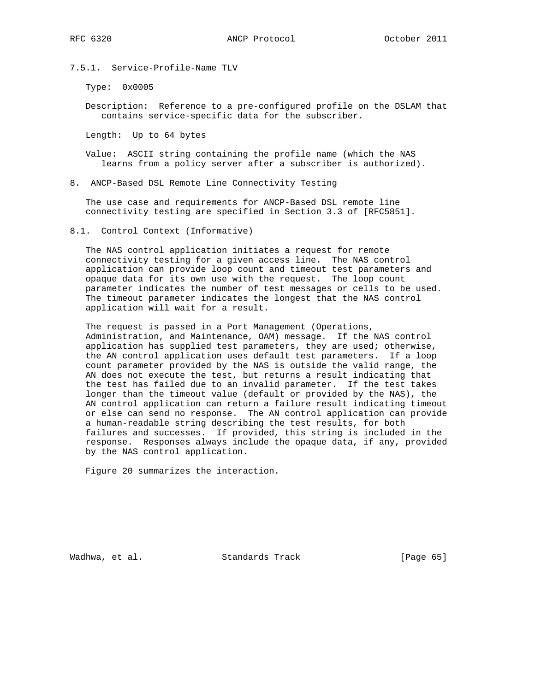7.5.1. Service-Profile-Name TLV

Type: 0x0005

 Description: Reference to a pre-configured profile on the DSLAM that contains service-specific data for the subscriber.

Length: Up to 64 bytes

 Value: ASCII string containing the profile name (which the NAS learns from a policy server after a subscriber is authorized).

8. ANCP-Based DSL Remote Line Connectivity Testing

 The use case and requirements for ANCP-Based DSL remote line connectivity testing are specified in Section 3.3 of [RFC5851].

8.1. Control Context (Informative)

 The NAS control application initiates a request for remote connectivity testing for a given access line. The NAS control application can provide loop count and timeout test parameters and opaque data for its own use with the request. The loop count parameter indicates the number of test messages or cells to be used. The timeout parameter indicates the longest that the NAS control application will wait for a result.

 The request is passed in a Port Management (Operations, Administration, and Maintenance, OAM) message. If the NAS control application has supplied test parameters, they are used; otherwise, the AN control application uses default test parameters. If a loop count parameter provided by the NAS is outside the valid range, the AN does not execute the test, but returns a result indicating that the test has failed due to an invalid parameter. If the test takes longer than the timeout value (default or provided by the NAS), the AN control application can return a failure result indicating timeout or else can send no response. The AN control application can provide a human-readable string describing the test results, for both failures and successes. If provided, this string is included in the response. Responses always include the opaque data, if any, provided by the NAS control application.

Figure 20 summarizes the interaction.

Wadhwa, et al. Standards Track [Page 65]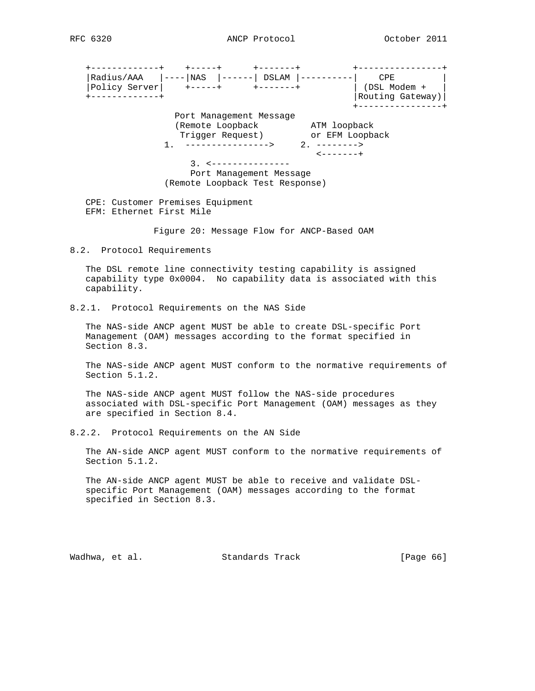+-------------+ +-----+ +-------+ +----------------+ |Radius/AAA |----|NAS |------| DSLAM |----------| CPE | |Policy Server| +-----+ +-------+ | (DSL Modem + | +-------------+ |Routing Gateway)| +----------------+ Port Management Message (Remote Loopback ATM loopback Trigger Request) or EFM Loopback 1. ----------------> 2. --------> <-------+ 3. <--------------- Port Management Message (Remote Loopback Test Response) CPE: Customer Premises Equipment EFM: Ethernet First Mile Figure 20: Message Flow for ANCP-Based OAM 8.2. Protocol Requirements The DSL remote line connectivity testing capability is assigned capability type 0x0004. No capability data is associated with this capability. 8.2.1. Protocol Requirements on the NAS Side The NAS-side ANCP agent MUST be able to create DSL-specific Port Management (OAM) messages according to the format specified in

 Section 8.3. The NAS-side ANCP agent MUST conform to the normative requirements of

 The NAS-side ANCP agent MUST follow the NAS-side procedures associated with DSL-specific Port Management (OAM) messages as they

8.2.2. Protocol Requirements on the AN Side

are specified in Section 8.4.

Section 5.1.2.

 The AN-side ANCP agent MUST conform to the normative requirements of Section 5.1.2.

 The AN-side ANCP agent MUST be able to receive and validate DSL specific Port Management (OAM) messages according to the format specified in Section 8.3.

Wadhwa, et al. Standards Track [Page 66]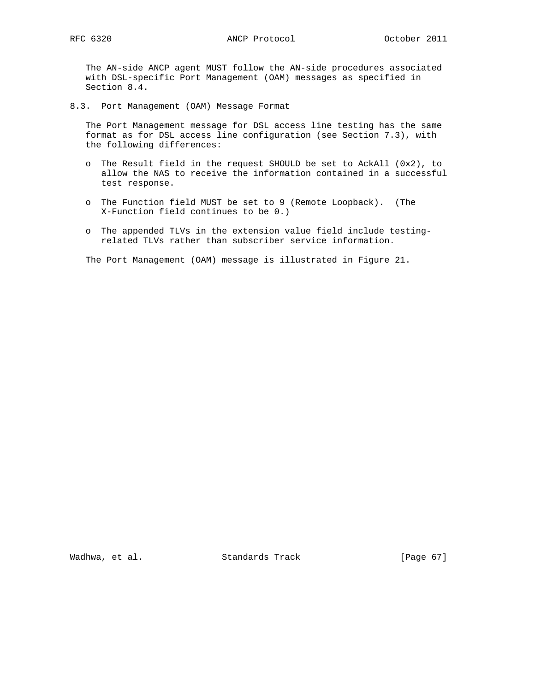The AN-side ANCP agent MUST follow the AN-side procedures associated with DSL-specific Port Management (OAM) messages as specified in Section 8.4.

8.3. Port Management (OAM) Message Format

 The Port Management message for DSL access line testing has the same format as for DSL access line configuration (see Section 7.3), with the following differences:

- o The Result field in the request SHOULD be set to AckAll (0x2), to allow the NAS to receive the information contained in a successful test response.
- o The Function field MUST be set to 9 (Remote Loopback). (The X-Function field continues to be 0.)
- o The appended TLVs in the extension value field include testing related TLVs rather than subscriber service information.

The Port Management (OAM) message is illustrated in Figure 21.

Wadhwa, et al. Standards Track [Page 67]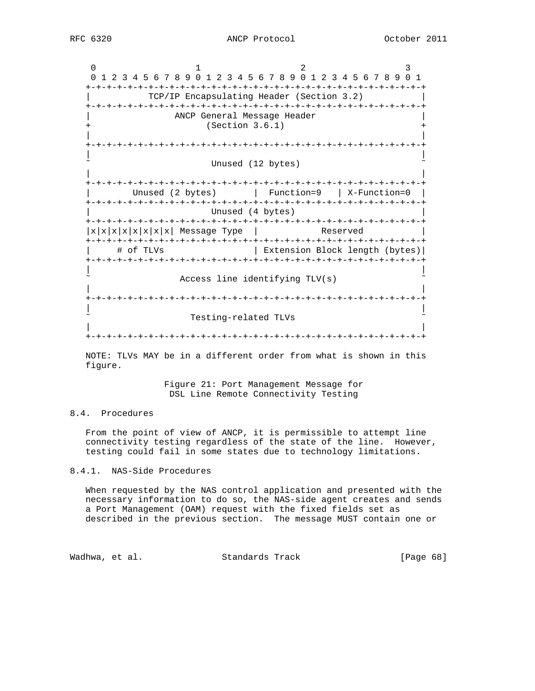0  $1$  2 3 0 1 2 3 4 5 6 7 8 9 0 1 2 3 4 5 6 7 8 9 0 1 2 3 4 5 6 7 8 9 0 1 +-+-+-+-+-+-+-+-+-+-+-+-+-+-+-+-+-+-+-+-+-+-+-+-+-+-+-+-+-+-+-+-+ | TCP/IP Encapsulating Header (Section 3.2) | +-+-+-+-+-+-+-+-+-+-+-+-+-+-+-+-+-+-+-+-+-+-+-+-+-+-+-+-+-+-+-+-+ ANCP General Message Header  $(Section 3.6.1)$  | | +-+-+-+-+-+-+-+-+-+-+-+-+-+-+-+-+-+-+-+-+-+-+-+-+-+-+-+-+-+-+-+-+ | | Unused (12 bytes) | | +-+-+-+-+-+-+-+-+-+-+-+-+-+-+-+-+-+-+-+-+-+-+-+-+-+-+-+-+-+-+-+-+ | Unused (2 bytes) | Function=9 | X-Function=0 | +-+-+-+-+-+-+-+-+-+-+-+-+-+-+-+-+-+-+-+-+-+-+-+-+-+-+-+-+-+-+-+-+ Unused (4 bytes) +-+-+-+-+-+-+-+-+-+-+-+-+-+-+-+-+-+-+-+-+-+-+-+-+-+-+-+-+-+-+-+-+  $|x|x|x|x|x|x|$  Message Type | Reserved +-+-+-+-+-+-+-+-+-+-+-+-+-+-+-+-+-+-+-+-+-+-+-+-+-+-+-+-+-+-+-+-+ | # of TLVs | Extension Block length (bytes)| +-+-+-+-+-+-+-+-+-+-+-+-+-+-+-+-+-+-+-+-+-+-+-+-+-+-+-+-+-+-+-+-+ | | Access line identifying TLV(s) | | +-+-+-+-+-+-+-+-+-+-+-+-+-+-+-+-+-+-+-+-+-+-+-+-+-+-+-+-+-+-+-+-+ | | Testing-related TLVs | | +-+-+-+-+-+-+-+-+-+-+-+-+-+-+-+-+-+-+-+-+-+-+-+-+-+-+-+-+-+-+-+-+

 NOTE: TLVs MAY be in a different order from what is shown in this figure.

> Figure 21: Port Management Message for DSL Line Remote Connectivity Testing

# 8.4. Procedures

 From the point of view of ANCP, it is permissible to attempt line connectivity testing regardless of the state of the line. However, testing could fail in some states due to technology limitations.

8.4.1. NAS-Side Procedures

 When requested by the NAS control application and presented with the necessary information to do so, the NAS-side agent creates and sends a Port Management (OAM) request with the fixed fields set as described in the previous section. The message MUST contain one or

Wadhwa, et al. Standards Track [Page 68]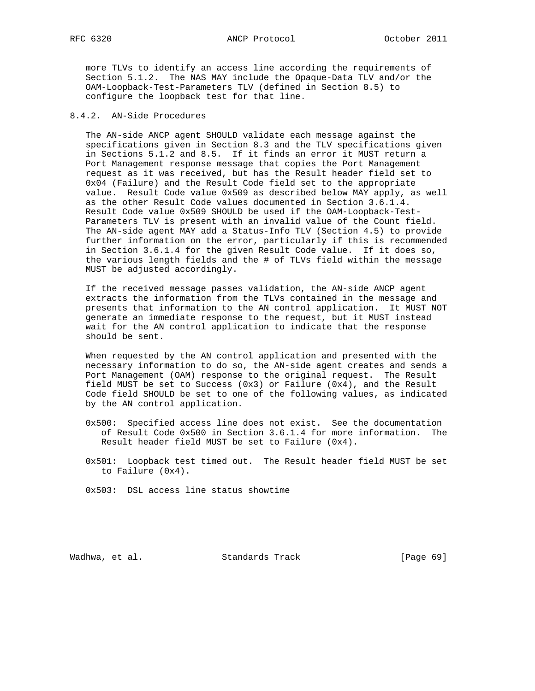RFC 6320 ANCP Protocol October 2011

 more TLVs to identify an access line according the requirements of Section 5.1.2. The NAS MAY include the Opaque-Data TLV and/or the OAM-Loopback-Test-Parameters TLV (defined in Section 8.5) to configure the loopback test for that line.

# 8.4.2. AN-Side Procedures

 The AN-side ANCP agent SHOULD validate each message against the specifications given in Section 8.3 and the TLV specifications given in Sections 5.1.2 and 8.5. If it finds an error it MUST return a Port Management response message that copies the Port Management request as it was received, but has the Result header field set to 0x04 (Failure) and the Result Code field set to the appropriate value. Result Code value 0x509 as described below MAY apply, as well as the other Result Code values documented in Section 3.6.1.4. Result Code value 0x509 SHOULD be used if the OAM-Loopback-Test- Parameters TLV is present with an invalid value of the Count field. The AN-side agent MAY add a Status-Info TLV (Section 4.5) to provide further information on the error, particularly if this is recommended in Section 3.6.1.4 for the given Result Code value. If it does so, the various length fields and the # of TLVs field within the message MUST be adjusted accordingly.

 If the received message passes validation, the AN-side ANCP agent extracts the information from the TLVs contained in the message and presents that information to the AN control application. It MUST NOT generate an immediate response to the request, but it MUST instead wait for the AN control application to indicate that the response should be sent.

 When requested by the AN control application and presented with the necessary information to do so, the AN-side agent creates and sends a Port Management (OAM) response to the original request. The Result field MUST be set to Success (0x3) or Failure (0x4), and the Result Code field SHOULD be set to one of the following values, as indicated by the AN control application.

- 0x500: Specified access line does not exist. See the documentation of Result Code 0x500 in Section 3.6.1.4 for more information. The Result header field MUST be set to Failure (0x4).
- 0x501: Loopback test timed out. The Result header field MUST be set to Failure (0x4).
- 0x503: DSL access line status showtime

Wadhwa, et al. Standards Track [Page 69]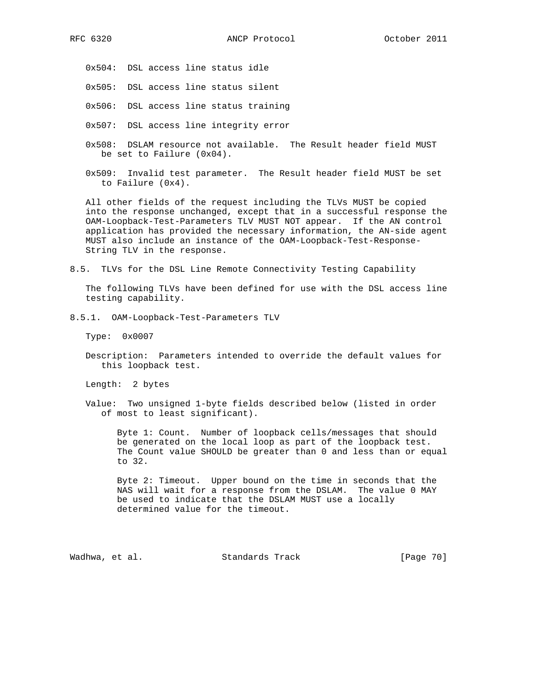0x504: DSL access line status idle

0x505: DSL access line status silent

0x506: DSL access line status training

0x507: DSL access line integrity error

- 0x508: DSLAM resource not available. The Result header field MUST be set to Failure (0x04).
- 0x509: Invalid test parameter. The Result header field MUST be set to Failure (0x4).

 All other fields of the request including the TLVs MUST be copied into the response unchanged, except that in a successful response the OAM-Loopback-Test-Parameters TLV MUST NOT appear. If the AN control application has provided the necessary information, the AN-side agent MUST also include an instance of the OAM-Loopback-Test-Response- String TLV in the response.

8.5. TLVs for the DSL Line Remote Connectivity Testing Capability

 The following TLVs have been defined for use with the DSL access line testing capability.

8.5.1. OAM-Loopback-Test-Parameters TLV

Type: 0x0007

 Description: Parameters intended to override the default values for this loopback test.

Length: 2 bytes

 Value: Two unsigned 1-byte fields described below (listed in order of most to least significant).

 Byte 1: Count. Number of loopback cells/messages that should be generated on the local loop as part of the loopback test. The Count value SHOULD be greater than 0 and less than or equal to 32.

 Byte 2: Timeout. Upper bound on the time in seconds that the NAS will wait for a response from the DSLAM. The value 0 MAY be used to indicate that the DSLAM MUST use a locally determined value for the timeout.

Wadhwa, et al. Standards Track [Page 70]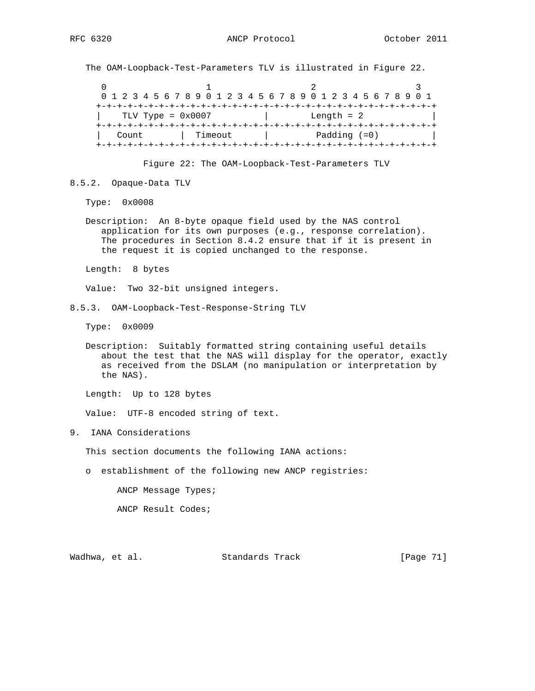The OAM-Loopback-Test-Parameters TLV is illustrated in Figure 22.

 $0$  and  $1$  and  $2$  3 0 1 2 3 4 5 6 7 8 9 0 1 2 3 4 5 6 7 8 9 0 1 2 3 4 5 6 7 8 9 0 1 +-+-+-+-+-+-+-+-+-+-+-+-+-+-+-+-+-+-+-+-+-+-+-+-+-+-+-+-+-+-+-+-+ | TLV Type = 0x0007 | Length = 2 | +-+-+-+-+-+-+-+-+-+-+-+-+-+-+-+-+-+-+-+-+-+-+-+-+-+-+-+-+-+-+-+-+ | Count | Timeout | Padding (=0) | +-+-+-+-+-+-+-+-+-+-+-+-+-+-+-+-+-+-+-+-+-+-+-+-+-+-+-+-+-+-+-+-+

Figure 22: The OAM-Loopback-Test-Parameters TLV

8.5.2. Opaque-Data TLV

Type: 0x0008

 Description: An 8-byte opaque field used by the NAS control application for its own purposes (e.g., response correlation). The procedures in Section 8.4.2 ensure that if it is present in the request it is copied unchanged to the response.

Length: 8 bytes

Value: Two 32-bit unsigned integers.

Type: 0x0009

 Description: Suitably formatted string containing useful details about the test that the NAS will display for the operator, exactly as received from the DSLAM (no manipulation or interpretation by the NAS).

Length: Up to 128 bytes

Value: UTF-8 encoded string of text.

9. IANA Considerations

This section documents the following IANA actions:

o establishment of the following new ANCP registries:

ANCP Message Types;

ANCP Result Codes;

Wadhwa, et al. Standards Track [Page 71]

<sup>8.5.3.</sup> OAM-Loopback-Test-Response-String TLV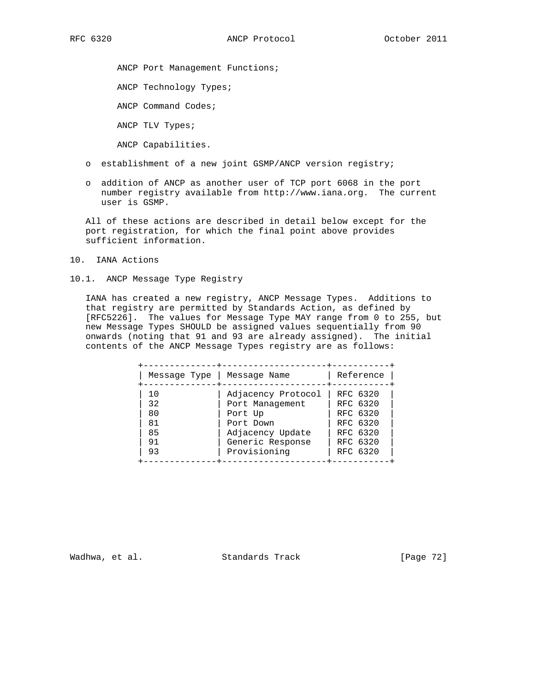ANCP Port Management Functions;

ANCP Technology Types;

ANCP Command Codes;

ANCP TLV Types;

ANCP Capabilities.

- o establishment of a new joint GSMP/ANCP version registry;
- o addition of ANCP as another user of TCP port 6068 in the port number registry available from http://www.iana.org. The current user is GSMP.

 All of these actions are described in detail below except for the port registration, for which the final point above provides sufficient information.

- 10. IANA Actions
- 10.1. ANCP Message Type Registry

 IANA has created a new registry, ANCP Message Types. Additions to that registry are permitted by Standards Action, as defined by [RFC5226]. The values for Message Type MAY range from 0 to 255, but new Message Types SHOULD be assigned values sequentially from 90 onwards (noting that 91 and 93 are already assigned). The initial contents of the ANCP Message Types registry are as follows:

| Message Type | Message Name       | Reference |  |
|--------------|--------------------|-----------|--|
| 10           | Adjacency Protocol | RFC 6320  |  |
| 32           | Port Management    | RFC 6320  |  |
| 80           | Port Up            | RFC 6320  |  |
| 81           | Port Down          | RFC 6320  |  |
| 85           | Adjacency Update   | RFC 6320  |  |
| 91           | Generic Response   | RFC 6320  |  |
| 93           | Provisioning       | RFC 6320  |  |

Wadhwa, et al. Standards Track [Page 72]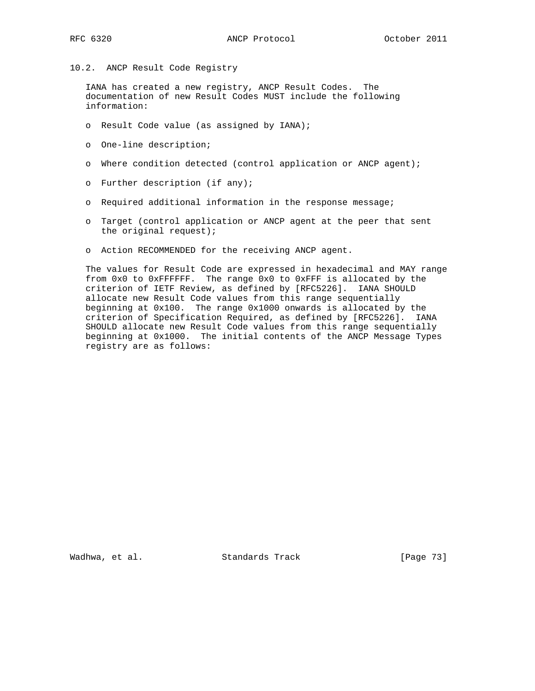10.2. ANCP Result Code Registry

 IANA has created a new registry, ANCP Result Codes. The documentation of new Result Codes MUST include the following information:

- o Result Code value (as assigned by IANA);
- o One-line description;
- o Where condition detected (control application or ANCP agent);
- o Further description (if any);
- o Required additional information in the response message;
- o Target (control application or ANCP agent at the peer that sent the original request);
- o Action RECOMMENDED for the receiving ANCP agent.

 The values for Result Code are expressed in hexadecimal and MAY range from 0x0 to 0xFFFFFF. The range 0x0 to 0xFFF is allocated by the criterion of IETF Review, as defined by [RFC5226]. IANA SHOULD allocate new Result Code values from this range sequentially beginning at 0x100. The range 0x1000 onwards is allocated by the criterion of Specification Required, as defined by [RFC5226]. IANA SHOULD allocate new Result Code values from this range sequentially beginning at 0x1000. The initial contents of the ANCP Message Types registry are as follows:

Wadhwa, et al. Standards Track [Page 73]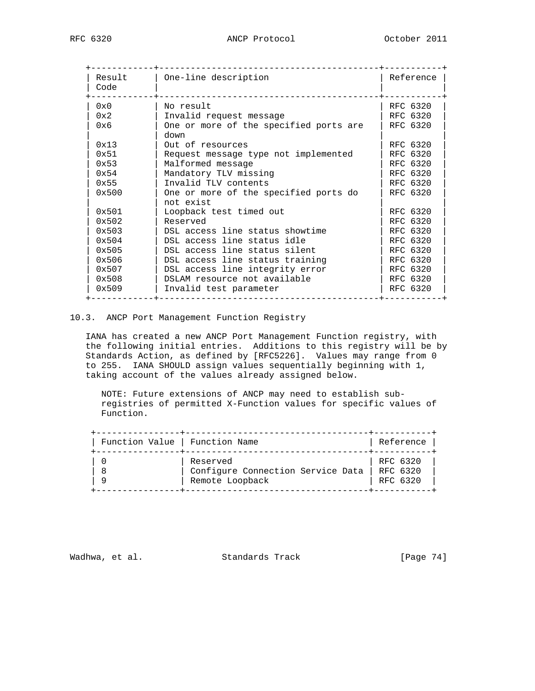| Result<br>Code | One-line description                               | Reference |
|----------------|----------------------------------------------------|-----------|
| $0 \times 0$   | No result                                          | RFC 6320  |
| 0x2            | Invalid request message                            | RFC 6320  |
| 0x6            | One or more of the specified ports are<br>down     | RFC 6320  |
| 0x13           | Out of resources                                   | RFC 6320  |
| 0x51           | Request message type not implemented               | RFC 6320  |
| $0 \times 53$  | Malformed message                                  | RFC 6320  |
| $0 \times 54$  | Mandatory TLV missing                              | RFC 6320  |
| 0x55           | Invalid TLV contents                               | RFC 6320  |
| 0x500          | One or more of the specified ports do<br>not exist | RFC 6320  |
| 0x501          | Loopback test timed out                            | RFC 6320  |
| $0 \times 502$ | Reserved                                           | RFC 6320  |
| 0x503          | DSL access line status showtime                    | RFC 6320  |
| 0x504          | DSL access line status idle                        | RFC 6320  |
| 0x505          | DSL access line status silent                      | RFC 6320  |
| 0x506          | DSL access line status training                    | RFC 6320  |
| 0x507          | DSL access line integrity error                    | RFC 6320  |
| 0x508          | DSLAM resource not available                       | RFC 6320  |
| 0x509          | Invalid test parameter                             | RFC 6320  |

### 10.3. ANCP Port Management Function Registry

 IANA has created a new ANCP Port Management Function registry, with the following initial entries. Additions to this registry will be by Standards Action, as defined by [RFC5226]. Values may range from 0 to 255. IANA SHOULD assign values sequentially beginning with 1, taking account of the values already assigned below.

 NOTE: Future extensions of ANCP may need to establish sub registries of permitted X-Function values for specific values of Function.

| Function Value   Function Name |                                   | Reference |
|--------------------------------|-----------------------------------|-----------|
|                                | Reserved                          | RFC 6320  |
| 8                              | Configure Connection Service Data | RFC 6320  |
| 9                              | Remote Loopback                   | RFC 6320  |

Wadhwa, et al. Standards Track [Page 74]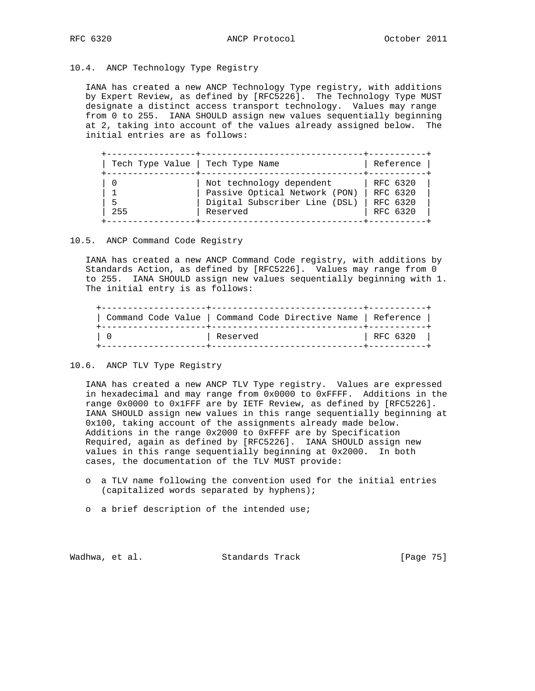### 10.4. ANCP Technology Type Registry

 IANA has created a new ANCP Technology Type registry, with additions by Expert Review, as defined by [RFC5226]. The Technology Type MUST designate a distinct access transport technology. Values may range from 0 to 255. IANA SHOULD assign new values sequentially beginning at 2, taking into account of the values already assigned below. The initial entries are as follows:

| Tech Type Value   Tech Type Name |
|----------------------------------|
| 255                              |

### 10.5. ANCP Command Code Registry

 IANA has created a new ANCP Command Code registry, with additions by Standards Action, as defined by [RFC5226]. Values may range from 0 to 255. IANA SHOULD assign new values sequentially beginning with 1. The initial entry is as follows:

| Command Code Value   Command Code Directive Name   Reference |          |
|--------------------------------------------------------------|----------|
| Reserved                                                     | RFC 6320 |

#### 10.6. ANCP TLV Type Registry

 IANA has created a new ANCP TLV Type registry. Values are expressed in hexadecimal and may range from 0x0000 to 0xFFFF. Additions in the range 0x0000 to 0x1FFF are by IETF Review, as defined by [RFC5226]. IANA SHOULD assign new values in this range sequentially beginning at 0x100, taking account of the assignments already made below. Additions in the range 0x2000 to 0xFFFF are by Specification Required, again as defined by [RFC5226]. IANA SHOULD assign new values in this range sequentially beginning at 0x2000. In both cases, the documentation of the TLV MUST provide:

- o a TLV name following the convention used for the initial entries (capitalized words separated by hyphens);
- o a brief description of the intended use;

Wadhwa, et al. Standards Track [Page 75]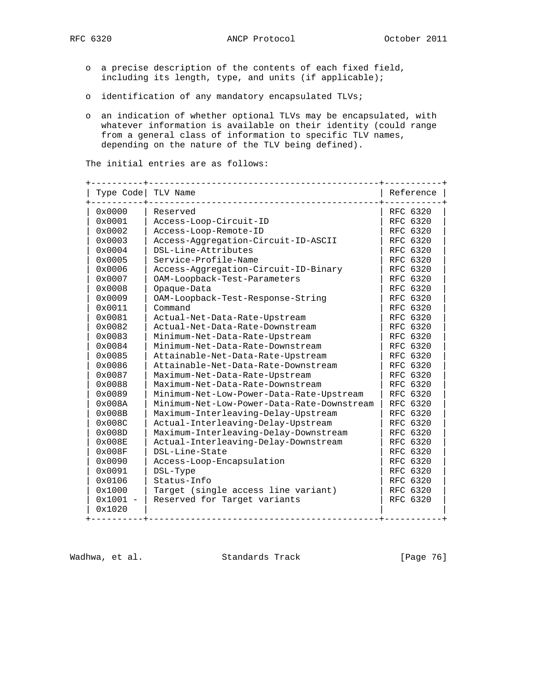- - o a precise description of the contents of each fixed field, including its length, type, and units (if applicable);
	- o identification of any mandatory encapsulated TLVs;
	- o an indication of whether optional TLVs may be encapsulated, with whatever information is available on their identity (could range from a general class of information to specific TLV names, depending on the nature of the TLV being defined).

The initial entries are as follows:

| Type Code        | TLV Name                                   | Reference |
|------------------|--------------------------------------------|-----------|
| 0x0000           | Reserved                                   | RFC 6320  |
| 0x0001           | Access-Loop-Circuit-ID                     | RFC 6320  |
| $0 \times 0002$  | Access-Loop-Remote-ID                      | RFC 6320  |
| 0x0003           | Access-Aggregation-Circuit-ID-ASCII        | RFC 6320  |
| 0x0004           | DSL-Line-Attributes                        | RFC 6320  |
| 0x0005           | Service-Profile-Name                       | RFC 6320  |
| 0x0006           | Access-Aggregation-Circuit-ID-Binary       | RFC 6320  |
| 0x0007           | OAM-Loopback-Test-Parameters               | RFC 6320  |
| $0 \times 0008$  | Opaque-Data                                | RFC 6320  |
| $0 \times 0009$  | OAM-Loopback-Test-Response-String          | RFC 6320  |
| $0 \times 0011$  | Command                                    | RFC 6320  |
| 0x0081           | Actual-Net-Data-Rate-Upstream              | RFC 6320  |
| $0 \times 0082$  | Actual-Net-Data-Rate-Downstream            | RFC 6320  |
| 0x0083           | Minimum-Net-Data-Rate-Upstream             | RFC 6320  |
| $0 \times 0084$  | Minimum-Net-Data-Rate-Downstream           | RFC 6320  |
| $0 \times 0085$  | Attainable-Net-Data-Rate-Upstream          | RFC 6320  |
| 0x0086           | Attainable-Net-Data-Rate-Downstream        | RFC 6320  |
| $0 \times 0087$  | Maximum-Net-Data-Rate-Upstream             | RFC 6320  |
| 0x0088           | Maximum-Net-Data-Rate-Downstream           | RFC 6320  |
| 0x0089           | Minimum-Net-Low-Power-Data-Rate-Upstream   | RFC 6320  |
| $0 \times 008$ A | Minimum-Net-Low-Power-Data-Rate-Downstream | RFC 6320  |
| $0 \times 008B$  | Maximum-Interleaving-Delay-Upstream        | RFC 6320  |
| $0 \times 008C$  | Actual-Interleaving-Delay-Upstream         | RFC 6320  |
| $0 \times 008$ D | Maximum-Interleaving-Delay-Downstream      | RFC 6320  |
| $0 \times 008E$  | Actual-Interleaving-Delay-Downstream       | RFC 6320  |
| 0x008F           | DSL-Line-State                             | RFC 6320  |
| 0x0090           | Access-Loop-Encapsulation                  | RFC 6320  |
| 0x0091           | DSL-Type                                   | RFC 6320  |
| 0x0106           | Status-Info                                | RFC 6320  |
| 0x1000           | Target (single access line variant)        | RFC 6320  |
| $0x1001 -$       | Reserved for Target variants               | RFC 6320  |
| 0x1020           |                                            |           |

Wadhwa, et al. Standards Track [Page 76]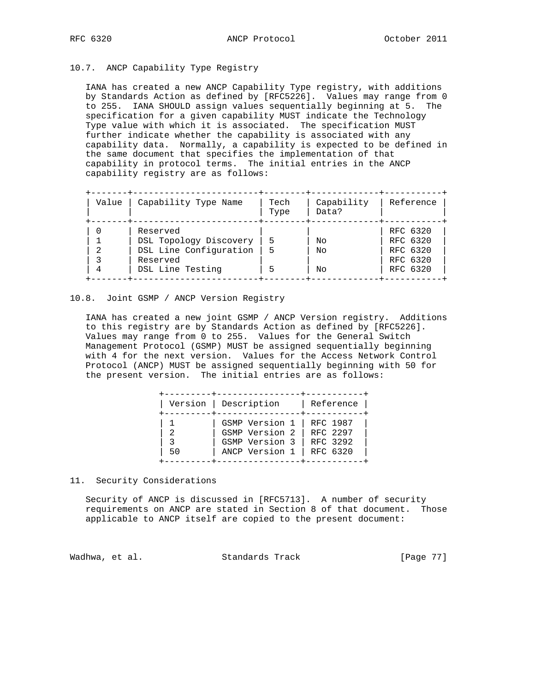# 10.7. ANCP Capability Type Registry

 IANA has created a new ANCP Capability Type registry, with additions by Standards Action as defined by [RFC5226]. Values may range from 0 to 255. IANA SHOULD assign values sequentially beginning at 5. The specification for a given capability MUST indicate the Technology Type value with which it is associated. The specification MUST further indicate whether the capability is associated with any capability data. Normally, a capability is expected to be defined in the same document that specifies the implementation of that capability in protocol terms. The initial entries in the ANCP capability registry are as follows:

| Value | Capability Type Name   | Tech<br>Type | Capability<br>Data? | Reference |
|-------|------------------------|--------------|---------------------|-----------|
|       | Reserved               |              |                     | RFC 6320  |
|       | DSL Topology Discovery | 5            | Nο                  | RFC 6320  |
|       | DSL Line Configuration | 5            | Nο                  | RFC 6320  |
|       | Reserved               |              |                     | RFC 6320  |
| 4     | DSL Line Testing       | ↳            | Nο                  | RFC 6320  |

## 10.8. Joint GSMP / ANCP Version Registry

 IANA has created a new joint GSMP / ANCP Version registry. Additions to this registry are by Standards Action as defined by [RFC5226]. Values may range from 0 to 255. Values for the General Switch Management Protocol (GSMP) MUST be assigned sequentially beginning with 4 for the next version. Values for the Access Network Control Protocol (ANCP) MUST be assigned sequentially beginning with 50 for the present version. The initial entries are as follows:

|          | Version   Description                                                | Reference                                    |
|----------|----------------------------------------------------------------------|----------------------------------------------|
| -2<br>50 | GSMP Version 1<br>GSMP Version 2<br>GSMP Version 3<br>ANCP Version 1 | RFC 1987<br>RFC 2297<br>RFC 3292<br>RFC 6320 |

11. Security Considerations

 Security of ANCP is discussed in [RFC5713]. A number of security requirements on ANCP are stated in Section 8 of that document. Those applicable to ANCP itself are copied to the present document:

Wadhwa, et al. Standards Track [Page 77]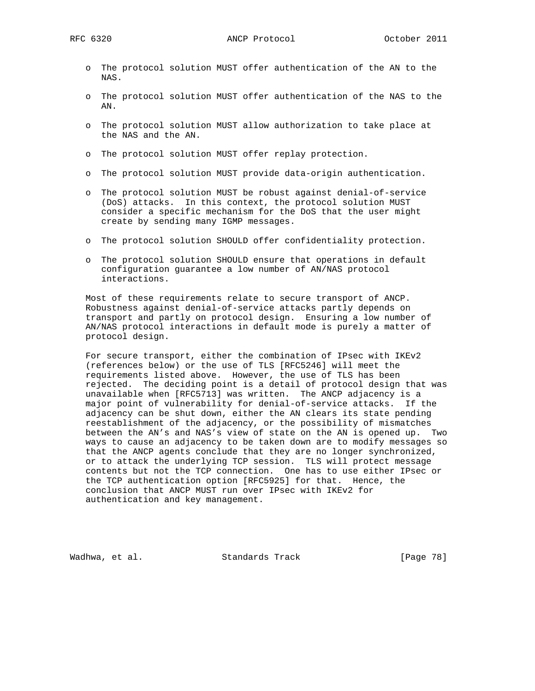- o The protocol solution MUST offer authentication of the AN to the NAS.
- o The protocol solution MUST offer authentication of the NAS to the AN.
- o The protocol solution MUST allow authorization to take place at the NAS and the AN.
- o The protocol solution MUST offer replay protection.
- o The protocol solution MUST provide data-origin authentication.
- o The protocol solution MUST be robust against denial-of-service (DoS) attacks. In this context, the protocol solution MUST consider a specific mechanism for the DoS that the user might create by sending many IGMP messages.
- o The protocol solution SHOULD offer confidentiality protection.
- o The protocol solution SHOULD ensure that operations in default configuration guarantee a low number of AN/NAS protocol interactions.

 Most of these requirements relate to secure transport of ANCP. Robustness against denial-of-service attacks partly depends on transport and partly on protocol design. Ensuring a low number of AN/NAS protocol interactions in default mode is purely a matter of protocol design.

 For secure transport, either the combination of IPsec with IKEv2 (references below) or the use of TLS [RFC5246] will meet the requirements listed above. However, the use of TLS has been rejected. The deciding point is a detail of protocol design that was unavailable when [RFC5713] was written. The ANCP adjacency is a major point of vulnerability for denial-of-service attacks. If the adjacency can be shut down, either the AN clears its state pending reestablishment of the adjacency, or the possibility of mismatches between the AN's and NAS's view of state on the AN is opened up. Two ways to cause an adjacency to be taken down are to modify messages so that the ANCP agents conclude that they are no longer synchronized, or to attack the underlying TCP session. TLS will protect message contents but not the TCP connection. One has to use either IPsec or the TCP authentication option [RFC5925] for that. Hence, the conclusion that ANCP MUST run over IPsec with IKEv2 for authentication and key management.

Wadhwa, et al. Standards Track [Page 78]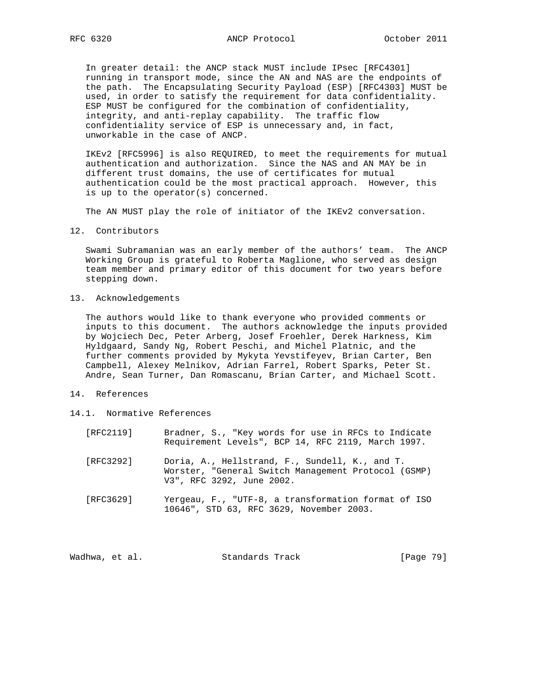In greater detail: the ANCP stack MUST include IPsec [RFC4301] running in transport mode, since the AN and NAS are the endpoints of the path. The Encapsulating Security Payload (ESP) [RFC4303] MUST be used, in order to satisfy the requirement for data confidentiality. ESP MUST be configured for the combination of confidentiality, integrity, and anti-replay capability. The traffic flow confidentiality service of ESP is unnecessary and, in fact, unworkable in the case of ANCP.

 IKEv2 [RFC5996] is also REQUIRED, to meet the requirements for mutual authentication and authorization. Since the NAS and AN MAY be in different trust domains, the use of certificates for mutual authentication could be the most practical approach. However, this is up to the operator(s) concerned.

The AN MUST play the role of initiator of the IKEv2 conversation.

12. Contributors

 Swami Subramanian was an early member of the authors' team. The ANCP Working Group is grateful to Roberta Maglione, who served as design team member and primary editor of this document for two years before stepping down.

13. Acknowledgements

 The authors would like to thank everyone who provided comments or inputs to this document. The authors acknowledge the inputs provided by Wojciech Dec, Peter Arberg, Josef Froehler, Derek Harkness, Kim Hyldgaard, Sandy Ng, Robert Peschi, and Michel Platnic, and the further comments provided by Mykyta Yevstifeyev, Brian Carter, Ben Campbell, Alexey Melnikov, Adrian Farrel, Robert Sparks, Peter St. Andre, Sean Turner, Dan Romascanu, Brian Carter, and Michael Scott.

- 14. References
- 14.1. Normative References

| [RFC2119] | Bradner, S., "Key words for use in RFCs to Indicate<br>Requirement Levels", BCP 14, RFC 2119, March 1997.                          |
|-----------|------------------------------------------------------------------------------------------------------------------------------------|
| [RFC3292] | Doria, A., Hellstrand, F., Sundell, K., and T.<br>Worster, "General Switch Management Protocol (GSMP)<br>V3", RFC 3292, June 2002. |
| [RFC3629] | Yergeau, F., "UTF-8, a transformation format of ISO<br>10646", STD 63, RFC 3629, November 2003.                                    |

Wadhwa, et al. Standards Track [Page 79]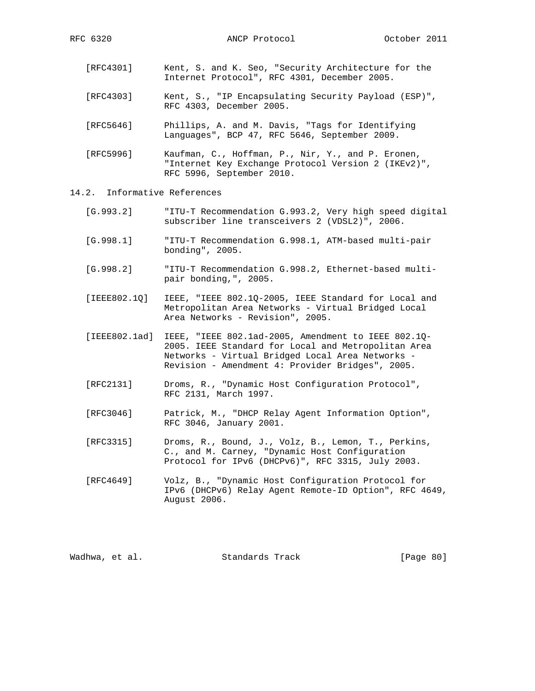- [RFC4301] Kent, S. and K. Seo, "Security Architecture for the Internet Protocol", RFC 4301, December 2005.
- [RFC4303] Kent, S., "IP Encapsulating Security Payload (ESP)", RFC 4303, December 2005.
- [RFC5646] Phillips, A. and M. Davis, "Tags for Identifying Languages", BCP 47, RFC 5646, September 2009.
- [RFC5996] Kaufman, C., Hoffman, P., Nir, Y., and P. Eronen, "Internet Key Exchange Protocol Version 2 (IKEv2)", RFC 5996, September 2010.
- 14.2. Informative References
	- [G.993.2] "ITU-T Recommendation G.993.2, Very high speed digital subscriber line transceivers 2 (VDSL2)", 2006.
	- [G.998.1] "ITU-T Recommendation G.998.1, ATM-based multi-pair bonding", 2005.
	- [G.998.2] "ITU-T Recommendation G.998.2, Ethernet-based multi pair bonding,", 2005.
	- [IEEE802.1Q] IEEE, "IEEE 802.1Q-2005, IEEE Standard for Local and Metropolitan Area Networks - Virtual Bridged Local Area Networks - Revision", 2005.
	- [IEEE802.1ad] IEEE, "IEEE 802.1ad-2005, Amendment to IEEE 802.1Q- 2005. IEEE Standard for Local and Metropolitan Area Networks - Virtual Bridged Local Area Networks - Revision - Amendment 4: Provider Bridges", 2005.
	- [RFC2131] Droms, R., "Dynamic Host Configuration Protocol", RFC 2131, March 1997.
	- [RFC3046] Patrick, M., "DHCP Relay Agent Information Option", RFC 3046, January 2001.
	- [RFC3315] Droms, R., Bound, J., Volz, B., Lemon, T., Perkins, C., and M. Carney, "Dynamic Host Configuration Protocol for IPv6 (DHCPv6)", RFC 3315, July 2003.
	- [RFC4649] Volz, B., "Dynamic Host Configuration Protocol for IPv6 (DHCPv6) Relay Agent Remote-ID Option", RFC 4649, August 2006.

Wadhwa, et al. Standards Track [Page 80]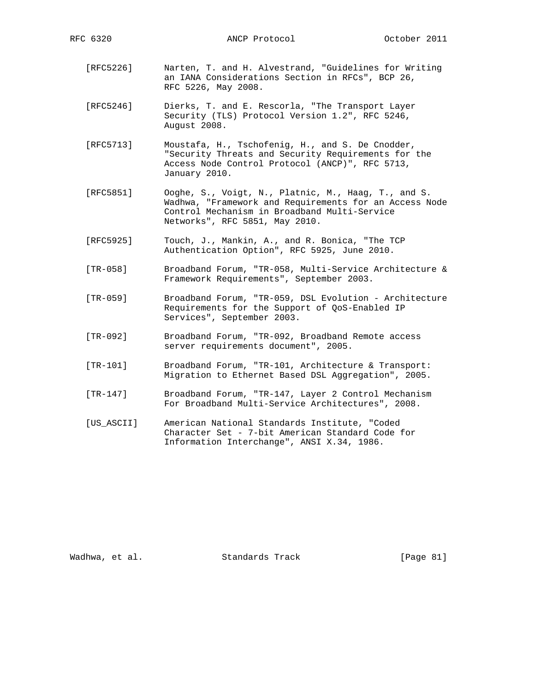RFC 6320 ANCP Protocol October 2011

- [RFC5226] Narten, T. and H. Alvestrand, "Guidelines for Writing an IANA Considerations Section in RFCs", BCP 26, RFC 5226, May 2008.
- [RFC5246] Dierks, T. and E. Rescorla, "The Transport Layer Security (TLS) Protocol Version 1.2", RFC 5246, August 2008.
- [RFC5713] Moustafa, H., Tschofenig, H., and S. De Cnodder, "Security Threats and Security Requirements for the Access Node Control Protocol (ANCP)", RFC 5713, January 2010.
- [RFC5851] Ooghe, S., Voigt, N., Platnic, M., Haag, T., and S. Wadhwa, "Framework and Requirements for an Access Node Control Mechanism in Broadband Multi-Service Networks", RFC 5851, May 2010.
- [RFC5925] Touch, J., Mankin, A., and R. Bonica, "The TCP Authentication Option", RFC 5925, June 2010.
- [TR-058] Broadband Forum, "TR-058, Multi-Service Architecture & Framework Requirements", September 2003.
- [TR-059] Broadband Forum, "TR-059, DSL Evolution Architecture Requirements for the Support of QoS-Enabled IP Services", September 2003.
- [TR-092] Broadband Forum, "TR-092, Broadband Remote access server requirements document", 2005.
- [TR-101] Broadband Forum, "TR-101, Architecture & Transport: Migration to Ethernet Based DSL Aggregation", 2005.
- [TR-147] Broadband Forum, "TR-147, Layer 2 Control Mechanism For Broadband Multi-Service Architectures", 2008.
- [US\_ASCII] American National Standards Institute, "Coded Character Set - 7-bit American Standard Code for Information Interchange", ANSI X.34, 1986.

Wadhwa, et al. Standards Track [Page 81]